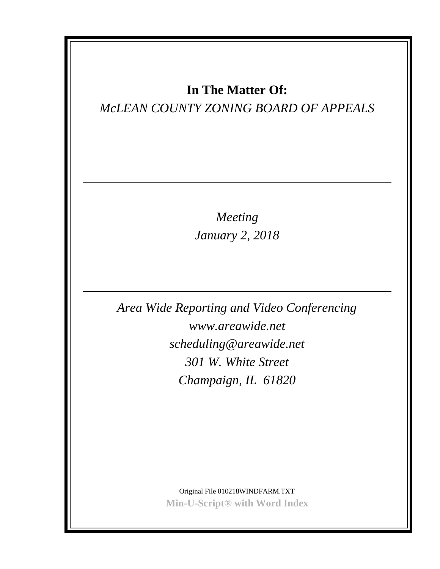### **In The Matter Of:**

### *McLEAN COUNTY ZONING BOARD OF APPEALS*

*Meeting January 2, 2018*

*Area Wide Reporting and Video Conferencing www.areawide.net scheduling@areawide.net 301 W. White Street Champaign, IL 61820*

> Original File 010218WINDFARM.TXT **Min-U-Script® with Word Index**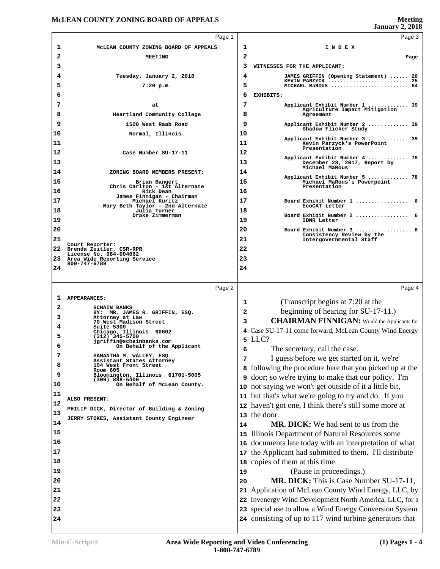**Meeting** 

|    |                                                       |                | <b>January 2, 2018</b>                                                                                    |
|----|-------------------------------------------------------|----------------|-----------------------------------------------------------------------------------------------------------|
|    | Page 1                                                |                | Page 3                                                                                                    |
| 1  | MCLEAN COUNTY ZONING BOARD OF APPEALS                 | 1              | INDEX                                                                                                     |
| 2  | <b>MEETING</b>                                        | $\overline{2}$ | Page                                                                                                      |
| 3  |                                                       | 3              | WITNESSES FOR THE APPLICANT:                                                                              |
| 4  | Tuesday, January 2, 2018                              | 4              | JAMES GRIFFIN (Opening Statement)  20                                                                     |
| 5  | $7:20$ p.m.                                           | 5              | KEVIN PARZYCK  25<br>MICHAEL MaROUS  64                                                                   |
| 6  |                                                       | 6              | EXHIBITS:                                                                                                 |
| 7  |                                                       | 7              |                                                                                                           |
|    | at                                                    |                | Applicant Exhibit Number 1  39<br>Agriculture Impact Mitigation                                           |
| 8  | Heartland Community College                           | 8              | Agreement                                                                                                 |
| 9  | 1500 West Raab Road                                   | 9              | Applicant Exhibit Number 2  39<br>Shadow Flicker Study                                                    |
| 10 | Normal, Illinois                                      | 10             | Applicant Exhibit Number 3  39                                                                            |
| 11 |                                                       | 11             | Kevin Parzyck's PowerPoint<br>Presentation                                                                |
| 12 | Case Number SU-17-11                                  | 12             |                                                                                                           |
| 13 |                                                       | 13             | Applicant Exhibit Number 4  78<br>December 28, 2017, Report by                                            |
| 14 | ZONING BOARD MEMBERS PRESENT:                         | 14             | Michael MaRous                                                                                            |
| 15 | Brian Bangert                                         | 15             | Applicant Exhibit Number 5  78<br>Michael MaRous's Powerpoint                                             |
| 16 | Chris Carlton - 1st Alternate<br>Rick Dean            | 16             | Presentation                                                                                              |
| 17 | James Finnigan - Chairman<br>Michael Kuritz           | 17             | Board Exhibit Number 1<br>-6                                                                              |
| 18 | Mary Beth Taylor - 2nd Alternate                      | 18             | ECOCAT Letter                                                                                             |
|    | Julia Turner<br>Drake Zimmerman                       |                | Board Exhibit Number 2                                                                                    |
| 19 |                                                       | 19             | IDNR Letter                                                                                               |
| 20 |                                                       | 20             | Board Exhibit Number 3  6<br>Consistency Review by the                                                    |
| 21 | Court Reporter:                                       | 21             | Intergovernmental Staff                                                                                   |
| 22 | Brenda Zeitler, CSR-RPR<br>License No. 084-004062     | 22             |                                                                                                           |
| 23 | Area Wide Reporting Service<br>800-747-6789           | 23             |                                                                                                           |
| 24 |                                                       | 24             |                                                                                                           |
|    |                                                       |                |                                                                                                           |
|    | Page 2                                                |                | Page 4                                                                                                    |
| 1  | <b>APPEARANCES:</b>                                   |                |                                                                                                           |
| 2  | <b>SCHAIN BANKS</b>                                   | 1              | (Transcript begins at 7:20 at the                                                                         |
| 3  | BY: MR. JAMES R. GRIFFIN, ESQ.<br>Attorney at Law     | $\mathbf{2}$   | beginning of hearing for SU-17-11.)                                                                       |
| 4  | 70 West Madison Street<br>Suite 5300                  | 3              | <b>CHAIRMAN FINNIGAN:</b> Would the Applicants for                                                        |
| 5  | Chicago, Illinois 60602                               |                | 4 Case SU-17-11 come forward, McLean County Wind Energy                                                   |
|    | (312) 345-5700<br>jgriffin@schainbanks.com            |                | 5 LLC?                                                                                                    |
| 6  | On Behalf of the Applicant                            | 6              | The secretary, call the case.                                                                             |
| 7  | SAMANTHA M. WALLEY, ESQ.<br>Assistant States Attorney | 7              | I guess before we get started on it, we're                                                                |
| 8  | 104 West Front Street                                 |                |                                                                                                           |
|    | Room 605                                              |                | 8 following the procedure here that you picked up at the                                                  |
| 9  | Bloomington, Illinois 61701-5005                      | 9              |                                                                                                           |
| 10 | $(309)$ 888-5400<br>On Behalf of McLean County.       | 10             | door; so we're trying to make that our policy. I'm<br>not saying we won't get outside of it a little bit, |
| 11 |                                                       | 11             |                                                                                                           |
| 12 | ALSO PRESENT:                                         |                | but that's what we're going to try and do. If you                                                         |
| 13 | PHILIP DICK, Director of Building & Zoning            | 12             | haven't got one, I think there's still some more at                                                       |
| 14 | JERRY STOKES, Assistant County Engineer               | 13             | the door.                                                                                                 |
|    |                                                       | 14             | <b>MR. DICK:</b> We had sent to us from the                                                               |
| 15 |                                                       | 15             | Illinois Department of Natural Resources some                                                             |
| 16 |                                                       | 16             | documents late today with an interpretation of what                                                       |
| 17 |                                                       | 17             | the Applicant had submitted to them. I'll distribute                                                      |
| 18 |                                                       | 18             | copies of them at this time.                                                                              |
| 19 |                                                       | 19             | (Pause in proceedings.)                                                                                   |
| 20 |                                                       | 20             | MR. DICK: This is Case Number SU-17-11,                                                                   |
| 21 |                                                       | 21             | Application of McLean County Wind Energy, LLC, by                                                         |
| 22 |                                                       |                | 22 Invenergy Wind Development North America, LLC, for a                                                   |
| 23 |                                                       |                | 23 special use to allow a Wind Energy Conversion System                                                   |
| 24 |                                                       |                | 24 consisting of up to 117 wind turbine generators that                                                   |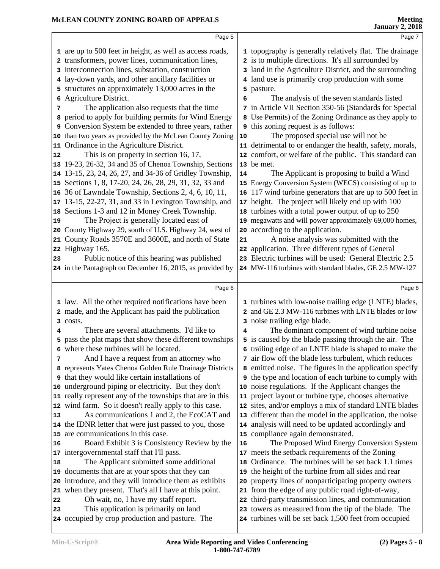|    | Page 5                                                                                       |    | Page 7                                                                                                        |
|----|----------------------------------------------------------------------------------------------|----|---------------------------------------------------------------------------------------------------------------|
|    | 1 are up to 500 feet in height, as well as access roads,                                     |    | 1 topography is generally relatively flat. The drainage                                                       |
|    | 2 transformers, power lines, communication lines,                                            |    | 2 is to multiple directions. It's all surrounded by                                                           |
|    | 3 interconnection lines, substation, construction                                            |    | 3 land in the Agriculture District, and the surrounding                                                       |
|    | 4 lay-down yards, and other ancillary facilities or                                          |    | 4 land use is primarily crop production with some                                                             |
|    | 5 structures on approximately 13,000 acres in the                                            | 5  | pasture.                                                                                                      |
|    | 6 Agriculture District.                                                                      | 6  | The analysis of the seven standards listed                                                                    |
| 7  | The application also requests that the time                                                  |    | 7 in Article VII Section 350-56 (Standards for Special                                                        |
|    | 8 period to apply for building permits for Wind Energy                                       |    | 8 Use Permits) of the Zoning Ordinance as they apply to                                                       |
|    | 9 Conversion System be extended to three years, rather                                       | 9  | this zoning request is as follows:                                                                            |
|    | 10 than two years as provided by the McLean County Zoning                                    | 10 | The proposed special use will not be                                                                          |
|    | 11 Ordinance in the Agriculture District.                                                    |    | 11 detrimental to or endanger the health, safety, morals,                                                     |
| 12 | This is on property in section 16, 17,                                                       |    | 12 comfort, or welfare of the public. This standard can                                                       |
|    | 13 19-23, 26-32, 34 and 35 of Chenoa Township, Sections                                      |    | 13 be met.                                                                                                    |
|    | 14 13-15, 23, 24, 26, 27, and 34-36 of Gridley Township,                                     | 14 | The Applicant is proposing to build a Wind                                                                    |
|    | 15 Sections 1, 8, 17-20, 24, 26, 28, 29, 31, 32, 33 and                                      |    | 15 Energy Conversion System (WECS) consisting of up to                                                        |
|    | 16 36 of Lawndale Township, Sections 2, 4, 6, 10, 11,                                        |    | 16 117 wind turbine generators that are up to 500 feet in                                                     |
|    | 17 13-15, 22-27, 31, and 33 in Lexington Township, and                                       |    | 17 height. The project will likely end up with 100                                                            |
|    | 18 Sections 1-3 and 12 in Money Creek Township.                                              |    | 18 turbines with a total power output of up to 250                                                            |
| 19 | The Project is generally located east of                                                     |    | 19 megawatts and will power approximately 69,000 homes,                                                       |
|    | 20 County Highway 29, south of U.S. Highway 24, west of                                      |    | 20 according to the application.                                                                              |
|    | 21 County Roads 3570E and 3600E, and north of State                                          | 21 | A noise analysis was submitted with the                                                                       |
|    | 22 Highway 165.                                                                              |    | 22 application. Three different types of General                                                              |
| 23 | Public notice of this hearing was published                                                  |    | 23 Electric turbines will be used: General Electric 2.5                                                       |
|    | 24 in the Pantagraph on December 16, 2015, as provided by                                    |    | 24 MW-116 turbines with standard blades, GE 2.5 MW-127                                                        |
|    |                                                                                              |    |                                                                                                               |
|    | Page 6                                                                                       |    | Page 8                                                                                                        |
|    | 1 law. All the other required notifications have been                                        |    | 1 turbines with low-noise trailing edge (LNTE) blades,                                                        |
|    | 2 made, and the Applicant has paid the publication                                           |    | 2 and GE 2.3 MW-116 turbines with LNTE blades or low                                                          |
|    | 3 costs.                                                                                     |    | 3 noise trailing edge blade.                                                                                  |
| 4  | There are several attachments. I'd like to                                                   | 4  | The dominant component of wind turbine noise                                                                  |
| 5. | pass the plat maps that show these different townships                                       | 5  | is caused by the blade passing through the air. The                                                           |
|    | 6 where these turbines will be located.                                                      |    | 6 trailing edge of an LNTE blade is shaped to make the                                                        |
| 7  | And I have a request from an attorney who                                                    |    | 7 air flow off the blade less turbulent, which reduces                                                        |
|    | 8 represents Yates Chenoa Golden Rule Drainage Districts                                     |    | 8 emitted noise. The figures in the application specify                                                       |
|    | <b>9</b> that they would like certain installations of                                       |    | <b>9</b> the type and location of each turbine to comply with                                                 |
|    | 10 underground piping or electricity. But they don't                                         |    | 10 noise regulations. If the Applicant changes the                                                            |
|    | 11 really represent any of the townships that are in this                                    |    | 11 project layout or turbine type, chooses alternative                                                        |
|    | 12 wind farm. So it doesn't really apply to this case.                                       |    | 12 sites, and/or employs a mix of standard LNTE blades                                                        |
| 13 | As communications 1 and 2, the EcoCAT and                                                    |    | 13 different than the model in the application, the noise                                                     |
|    | 14 the IDNR letter that were just passed to you, those                                       |    | 14 analysis will need to be updated accordingly and                                                           |
|    | 15 are communications in this case.                                                          |    | 15 compliance again demonstrated.                                                                             |
| 16 | Board Exhibit 3 is Consistency Review by the                                                 | 16 | The Proposed Wind Energy Conversion System                                                                    |
|    | 17 intergovernmental staff that I'll pass.                                                   |    | 17 meets the setback requirements of the Zoning                                                               |
| 18 | The Applicant submitted some additional<br>19 documents that are at your spots that they can |    | 18 Ordinance. The turbines will be set back 1.1 times                                                         |
|    |                                                                                              | 19 | the height of the turbine from all sides and rear                                                             |
|    |                                                                                              |    |                                                                                                               |
|    | 20 introduce, and they will introduce them as exhibits                                       | 20 | property lines of nonparticipating property owners                                                            |
|    | 21 when they present. That's all I have at this point.                                       | 21 | from the edge of any public road right-of-way,                                                                |
| 22 | Oh wait, no, I have my staff report.                                                         |    | 22 third-party transmission lines, and communication                                                          |
| 23 | This application is primarily on land<br>24 occupied by crop production and pasture. The     |    | 23 towers as measured from the tip of the blade. The<br>24 turbines will be set back 1,500 feet from occupied |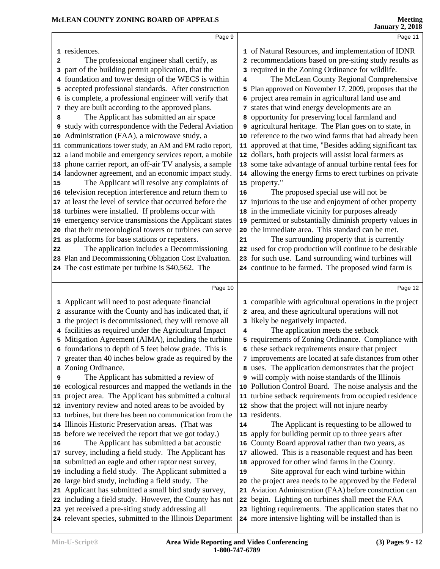|              | Page 9                                                                                                         |    | Page 11                                                                                                          |
|--------------|----------------------------------------------------------------------------------------------------------------|----|------------------------------------------------------------------------------------------------------------------|
|              | 1 residences.                                                                                                  |    | 1 of Natural Resources, and implementation of IDNR                                                               |
| $\mathbf{2}$ | The professional engineer shall certify, as                                                                    |    | 2 recommendations based on pre-siting study results as                                                           |
| 3            | part of the building permit application, that the                                                              |    | 3 required in the Zoning Ordinance for wildlife.                                                                 |
|              | foundation and tower design of the WECS is within                                                              | 4  | The McLean County Regional Comprehensive                                                                         |
| 5.           | accepted professional standards. After construction                                                            |    | 5 Plan approved on November 17, 2009, proposes that the                                                          |
|              | 6 is complete, a professional engineer will verify that                                                        |    | 6 project area remain in agricultural land use and                                                               |
| 7            | they are built according to the approved plans.                                                                |    | 7 states that wind energy developments are an                                                                    |
| 8            | The Applicant has submitted an air space                                                                       |    | 8 opportunity for preserving local farmland and                                                                  |
|              | 9 study with correspondence with the Federal Aviation                                                          |    | 9 agricultural heritage. The Plan goes on to state, in                                                           |
|              | 10 Administration (FAA), a microwave study, a                                                                  |    | 10 reference to the two wind farms that had already been                                                         |
|              | 11 communications tower study, an AM and FM radio report,                                                      |    | 11 approved at that time, "Besides adding significant tax                                                        |
|              | 12 a land mobile and emergency services report, a mobile                                                       |    | 12 dollars, both projects will assist local farmers as                                                           |
|              | 13 phone carrier report, an off-air TV analysis, a sample                                                      |    | 13 some take advantage of annual turbine rental fees for                                                         |
|              | 14 landowner agreement, and an economic impact study.                                                          |    | 14 allowing the energy firms to erect turbines on private                                                        |
| 15           | The Applicant will resolve any complaints of                                                                   |    | 15 property."                                                                                                    |
|              | 16 television reception interference and return them to                                                        | 16 | The proposed special use will not be                                                                             |
|              | 17 at least the level of service that occurred before the                                                      |    | 17 injurious to the use and enjoyment of other property                                                          |
|              | 18 turbines were installed. If problems occur with                                                             |    | 18 in the immediate vicinity for purposes already                                                                |
|              | 19 emergency service transmissions the Applicant states                                                        |    | 19 permitted or substantially diminish property values in<br>20 the immediate area. This standard can be met.    |
|              | 20 that their meteorological towers or turbines can serve<br>21 as platforms for base stations or repeaters.   |    |                                                                                                                  |
| 22           | The application includes a Decommissioning                                                                     | 21 | The surrounding property that is currently<br>22 used for crop production will continue to be desirable          |
|              | 23 Plan and Decommissioning Obligation Cost Evaluation.                                                        |    | 23 for such use. Land surrounding wind turbines will                                                             |
|              | 24 The cost estimate per turbine is \$40,562. The                                                              |    | 24 continue to be farmed. The proposed wind farm is                                                              |
|              |                                                                                                                |    |                                                                                                                  |
|              | Page 10                                                                                                        |    | Page 12                                                                                                          |
|              |                                                                                                                |    |                                                                                                                  |
|              |                                                                                                                |    |                                                                                                                  |
|              | 1 Applicant will need to post adequate financial                                                               |    | 1 compatible with agricultural operations in the project                                                         |
|              | assurance with the County and has indicated that, if                                                           |    | 2 area, and these agricultural operations will not                                                               |
| 3            | the project is decommissioned, they will remove all<br>facilities as required under the Agricultural Impact    | 4  | 3 likely be negatively impacted.<br>The application meets the setback                                            |
|              | Mitigation Agreement (AIMA), including the turbine                                                             |    | 5 requirements of Zoning Ordinance. Compliance with                                                              |
|              | 6 foundations to depth of 5 feet below grade. This is                                                          |    | 6 these setback requirements ensure that project                                                                 |
|              | 7 greater than 40 inches below grade as required by the                                                        |    | 7 improvements are located at safe distances from other                                                          |
|              | 8 Zoning Ordinance.                                                                                            |    | 8 uses. The application demonstrates that the project                                                            |
| 9            | The Applicant has submitted a review of                                                                        |    | 9 will comply with noise standards of the Illinois                                                               |
|              | 10 ecological resources and mapped the wetlands in the                                                         |    | 10 Pollution Control Board. The noise analysis and the                                                           |
|              | 11 project area. The Applicant has submitted a cultural                                                        |    | 11 turbine setback requirements from occupied residence                                                          |
|              | 12 inventory review and noted areas to be avoided by                                                           |    | 12 show that the project will not injure nearby                                                                  |
|              | 13 turbines, but there has been no communication from the                                                      |    | 13 residents.                                                                                                    |
|              | 14 Illinois Historic Preservation areas. (That was                                                             | 14 | The Applicant is requesting to be allowed to                                                                     |
|              | 15 before we received the report that we got today.)                                                           |    | 15 apply for building permit up to three years after                                                             |
|              | The Applicant has submitted a bat acoustic                                                                     |    | 16 County Board approval rather than two years, as                                                               |
| 16           | 17 survey, including a field study. The Applicant has                                                          |    | 17 allowed. This is a reasonable request and has been                                                            |
|              | 18 submitted an eagle and other raptor nest survey,                                                            |    | 18 approved for other wind farms in the County.                                                                  |
|              | 19 including a field study. The Applicant submitted a                                                          | 19 | Site approval for each wind turbine within                                                                       |
|              | 20 large bird study, including a field study. The                                                              |    | 20 the project area needs to be approved by the Federal                                                          |
|              | 21 Applicant has submitted a small bird study survey,                                                          |    | 21 Aviation Administration (FAA) before construction can                                                         |
|              | 22 including a field study. However, the County has not                                                        |    | 22 begin. Lighting on turbines shall meet the FAA                                                                |
|              | 23 yet received a pre-siting study addressing all<br>24 relevant species, submitted to the Illinois Department |    | 23 lighting requirements. The application states that no<br>24 more intensive lighting will be installed than is |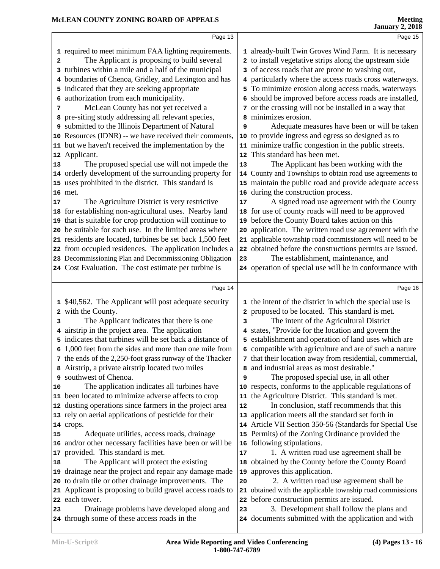| Page 13                                                                                                                                                                                                                                                                                                                                                                                                                                                                                                                                                                                                                                                                                                                                                                                                                                                                                                                                                                                                                                                                                                                                                                                                      | Page 15                                                                                                                                                                                                                                                                                                                                                                                                                                                                                                                                                                                                                                                                                                                                                                                                                                                                                                                                                                                                                                                                                                                                                                                                                                                                                    |
|--------------------------------------------------------------------------------------------------------------------------------------------------------------------------------------------------------------------------------------------------------------------------------------------------------------------------------------------------------------------------------------------------------------------------------------------------------------------------------------------------------------------------------------------------------------------------------------------------------------------------------------------------------------------------------------------------------------------------------------------------------------------------------------------------------------------------------------------------------------------------------------------------------------------------------------------------------------------------------------------------------------------------------------------------------------------------------------------------------------------------------------------------------------------------------------------------------------|--------------------------------------------------------------------------------------------------------------------------------------------------------------------------------------------------------------------------------------------------------------------------------------------------------------------------------------------------------------------------------------------------------------------------------------------------------------------------------------------------------------------------------------------------------------------------------------------------------------------------------------------------------------------------------------------------------------------------------------------------------------------------------------------------------------------------------------------------------------------------------------------------------------------------------------------------------------------------------------------------------------------------------------------------------------------------------------------------------------------------------------------------------------------------------------------------------------------------------------------------------------------------------------------|
| 1 required to meet minimum FAA lighting requirements.<br>The Applicant is proposing to build several<br>2<br>3 turbines within a mile and a half of the municipal<br>4 boundaries of Chenoa, Gridley, and Lexington and has<br>5 indicated that they are seeking appropriate<br>6 authorization from each municipality.<br>McLean County has not yet received a<br>7<br>8 pre-siting study addressing all relevant species,<br>9 submitted to the Illinois Department of Natural<br>10 Resources (IDNR) -- we have received their comments,<br>11 but we haven't received the implementation by the<br>12 Applicant.<br>The proposed special use will not impede the<br>13<br>14 orderly development of the surrounding property for                                                                                                                                                                                                                                                                                                                                                                                                                                                                         | 1 already-built Twin Groves Wind Farm. It is necessary<br>2 to install vegetative strips along the upstream side<br>3 of access roads that are prone to washing out,<br>4 particularly where the access roads cross waterways.<br>5 To minimize erosion along access roads, waterways<br>6 should be improved before access roads are installed,<br>7 or the crossing will not be installed in a way that<br>minimizes erosion.<br>Adequate measures have been or will be taken<br>9<br>to provide ingress and egress so designed as to<br>10<br>11 minimize traffic congestion in the public streets.<br>12 This standard has been met.<br>The Applicant has been working with the<br>13<br>14 County and Townships to obtain road use agreements to                                                                                                                                                                                                                                                                                                                                                                                                                                                                                                                                      |
| 15 uses prohibited in the district. This standard is<br>16 met.<br>The Agriculture District is very restrictive<br>17<br>18 for establishing non-agricultural uses. Nearby land                                                                                                                                                                                                                                                                                                                                                                                                                                                                                                                                                                                                                                                                                                                                                                                                                                                                                                                                                                                                                              | 15 maintain the public road and provide adequate access<br>16 during the construction process.<br>A signed road use agreement with the County<br>17<br>18 for use of county roads will need to be approved                                                                                                                                                                                                                                                                                                                                                                                                                                                                                                                                                                                                                                                                                                                                                                                                                                                                                                                                                                                                                                                                                 |
| 19 that is suitable for crop production will continue to<br>20 be suitable for such use. In the limited areas where<br>21 residents are located, turbines be set back 1,500 feet<br>22 from occupied residences. The application includes a<br>23 Decommissioning Plan and Decommissioning Obligation                                                                                                                                                                                                                                                                                                                                                                                                                                                                                                                                                                                                                                                                                                                                                                                                                                                                                                        | before the County Board takes action on this<br>19<br>application. The written road use agreement with the<br>20<br>21 applicable township road commissioners will need to be<br>22 obtained before the constructions permits are issued.<br>The establishment, maintenance, and<br>23                                                                                                                                                                                                                                                                                                                                                                                                                                                                                                                                                                                                                                                                                                                                                                                                                                                                                                                                                                                                     |
| 24 Cost Evaluation. The cost estimate per turbine is                                                                                                                                                                                                                                                                                                                                                                                                                                                                                                                                                                                                                                                                                                                                                                                                                                                                                                                                                                                                                                                                                                                                                         | 24 operation of special use will be in conformance with                                                                                                                                                                                                                                                                                                                                                                                                                                                                                                                                                                                                                                                                                                                                                                                                                                                                                                                                                                                                                                                                                                                                                                                                                                    |
| Page 14                                                                                                                                                                                                                                                                                                                                                                                                                                                                                                                                                                                                                                                                                                                                                                                                                                                                                                                                                                                                                                                                                                                                                                                                      | Page 16                                                                                                                                                                                                                                                                                                                                                                                                                                                                                                                                                                                                                                                                                                                                                                                                                                                                                                                                                                                                                                                                                                                                                                                                                                                                                    |
| 1 \$40,562. The Applicant will post adequate security<br>2 with the County.<br>The Applicant indicates that there is one<br>3<br>4 airstrip in the project area. The application<br>5 indicates that turbines will be set back a distance of<br>6 1,000 feet from the sides and more than one mile from<br>7 the ends of the 2,250-foot grass runway of the Thacker<br>8 Airstrip, a private airstrip located two miles<br>9 southwest of Chenoa.<br>The application indicates all turbines have<br>10<br>11 been located to minimize adverse affects to crop<br>12 dusting operations since farmers in the project area<br>13 rely on aerial applications of pesticide for their<br>14 crops.<br>Adequate utilities, access roads, drainage<br>15<br>16 and/or other necessary facilities have been or will be<br>17 provided. This standard is met.<br>The Applicant will protect the existing<br>18<br>19 drainage near the project and repair any damage made<br>20 to drain tile or other drainage improvements. The<br>21 Applicant is proposing to build gravel access roads to<br>22 each tower.<br>Drainage problems have developed along and<br>23<br>24 through some of these access roads in the | 1 the intent of the district in which the special use is<br>2 proposed to be located. This standard is met.<br>The intent of the Agricultural District<br>3<br>4 states, "Provide for the location and govern the<br>5 establishment and operation of land uses which are<br>6 compatible with agriculture and are of such a nature<br>7 that their location away from residential, commercial,<br>and industrial areas as most desirable."<br>The proposed special use, in all other<br>9<br>10 respects, conforms to the applicable regulations of<br>11 the Agriculture District. This standard is met.<br>In conclusion, staff recommends that this<br>12<br>application meets all the standard set forth in<br>13<br>14 Article VII Section 350-56 (Standards for Special Use<br>15 Permits) of the Zoning Ordinance provided the<br>16 following stipulations.<br>1. A written road use agreement shall be<br>17<br>obtained by the County before the County Board<br>18<br>approves this application.<br>19<br>2. A written road use agreement shall be<br>20<br>21 obtained with the applicable township road commissions<br>22 before construction permits are issued.<br>3. Development shall follow the plans and<br>23<br>24 documents submitted with the application and with |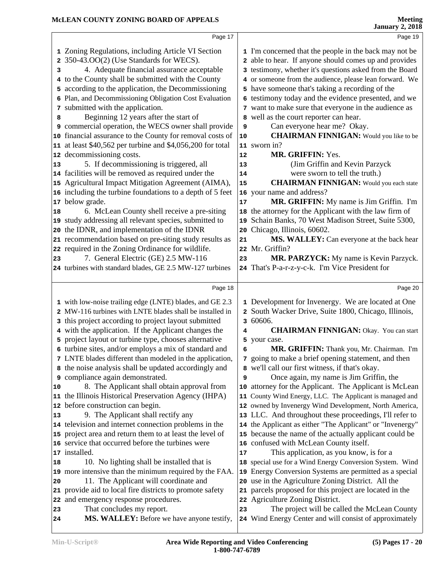|          | Page 17                                                                                                              |    | Page 19                                                                                                 |
|----------|----------------------------------------------------------------------------------------------------------------------|----|---------------------------------------------------------------------------------------------------------|
|          | 1 Zoning Regulations, including Article VI Section                                                                   |    | 1 I'm concerned that the people in the back may not be                                                  |
|          | 350-43.00(2) (Use Standards for WECS).                                                                               |    | 2 able to hear. If anyone should comes up and provides                                                  |
| з        | 4. Adequate financial assurance acceptable                                                                           |    | 3 testimony, whether it's questions asked from the Board                                                |
|          | 4 to the County shall be submitted with the County                                                                   |    | 4 or someone from the audience, please lean forward. We                                                 |
|          | 5 according to the application, the Decommissioning                                                                  |    | 5 have someone that's taking a recording of the                                                         |
|          | 6 Plan, and Decommissioning Obligation Cost Evaluation                                                               |    | 6 testimony today and the evidence presented, and we                                                    |
|          | 7 submitted with the application.                                                                                    |    | 7 want to make sure that everyone in the audience as                                                    |
| 8        | Beginning 12 years after the start of                                                                                |    | 8 well as the court reporter can hear.                                                                  |
|          | 9 commercial operation, the WECS owner shall provide                                                                 | 9  | Can everyone hear me? Okay.                                                                             |
|          | 10 financial assurance to the County for removal costs of                                                            | 10 | <b>CHAIRMAN FINNIGAN:</b> Would you like to be                                                          |
|          | 11 at least \$40,562 per turbine and \$4,056,200 for total                                                           |    | 11 sworn in?                                                                                            |
|          | 12 decommissioning costs.                                                                                            | 12 | MR. GRIFFIN: Yes.                                                                                       |
| 13       | 5. If decommissioning is triggered, all                                                                              | 13 | (Jim Griffin and Kevin Parzyck                                                                          |
|          | 14 facilities will be removed as required under the                                                                  | 14 | were sworn to tell the truth.)                                                                          |
|          | 15 Agricultural Impact Mitigation Agreement (AIMA),                                                                  | 15 | <b>CHAIRMAN FINNIGAN:</b> Would you each state                                                          |
|          | 16 including the turbine foundations to a depth of 5 feet                                                            |    | 16 your name and address?                                                                               |
|          | 17 below grade.                                                                                                      | 17 | MR. GRIFFIN: My name is Jim Griffin. I'm                                                                |
| 18       | 6. McLean County shell receive a pre-siting                                                                          |    | 18 the attorney for the Applicant with the law firm of                                                  |
|          | 19 study addressing all relevant species, submitted to                                                               |    | 19 Schain Banks, 70 West Madison Street, Suite 5300,                                                    |
|          | 20 the IDNR, and implementation of the IDNR                                                                          | 20 | Chicago, Illinois, 60602.                                                                               |
|          | 21 recommendation based on pre-siting study results as                                                               | 21 | MS. WALLEY: Can everyone at the back hear                                                               |
|          | 22 required in the Zoning Ordinance for wildlife.                                                                    |    | 22 Mr. Griffin?                                                                                         |
| 23       | 7. General Electric (GE) 2.5 MW-116                                                                                  | 23 | MR. PARZYCK: My name is Kevin Parzyck.                                                                  |
|          | 24 turbines with standard blades, GE 2.5 MW-127 turbines                                                             |    | 24 That's P-a-r-z-y-c-k. I'm Vice President for                                                         |
|          |                                                                                                                      |    |                                                                                                         |
|          | Page 18                                                                                                              |    | Page 20                                                                                                 |
|          |                                                                                                                      |    |                                                                                                         |
|          | 1 with low-noise trailing edge (LNTE) blades, and GE 2.3<br>2 MW-116 turbines with LNTE blades shall be installed in |    | 1 Development for Invenergy. We are located at One                                                      |
|          |                                                                                                                      |    | 2 South Wacker Drive, Suite 1800, Chicago, Illinois,<br>3 60606.                                        |
|          | 3 this project according to project layout submitted                                                                 |    | <b>CHAIRMAN FINNIGAN: Okay.</b> You can start                                                           |
|          | 4 with the application. If the Applicant changes the                                                                 | 4  |                                                                                                         |
|          |                                                                                                                      |    |                                                                                                         |
| 5        | project layout or turbine type, chooses alternative                                                                  |    | 5 your case.                                                                                            |
|          | 6 turbine sites, and/or employs a mix of standard and                                                                | 6  | MR. GRIFFIN: Thank you, Mr. Chairman. I'm                                                               |
|          | 7 LNTE blades different than modeled in the application,                                                             |    | 7 going to make a brief opening statement, and then                                                     |
|          | 8 the noise analysis shall be updated accordingly and                                                                |    | 8 we'll call our first witness, if that's okay.                                                         |
|          | 9 compliance again demonstrated.                                                                                     | 9  | Once again, my name is Jim Griffin, the                                                                 |
| 10       | 8. The Applicant shall obtain approval from                                                                          |    | 10 attorney for the Applicant. The Applicant is McLean                                                  |
|          | 11 the Illinois Historical Preservation Agency (IHPA)                                                                |    | 11 County Wind Energy, LLC. The Applicant is managed and                                                |
|          | 12 before construction can begin.                                                                                    |    | 12 owned by Invenergy Wind Development, North America,                                                  |
| 13       | 9. The Applicant shall rectify any                                                                                   |    | 13 LLC. And throughout these proceedings, I'll refer to                                                 |
|          | 14 television and internet connection problems in the                                                                |    | 14 the Applicant as either "The Applicant" or "Invenergy"                                               |
|          | 15 project area and return them to at least the level of                                                             |    | 15 because the name of the actually applicant could be                                                  |
|          | 16 service that occurred before the turbines were                                                                    |    | 16 confused with McLean County itself.                                                                  |
|          | 17 installed.                                                                                                        | 17 | This application, as you know, is for a                                                                 |
| 18       | 10. No lighting shall be installed that is                                                                           |    | 18 special use for a Wind Energy Conversion System. Wind                                                |
|          | 19 more intensive than the minimum required by the FAA.                                                              |    | 19 Energy Conversion Systems are permitted as a special                                                 |
| 20       | 11. The Applicant will coordinate and                                                                                |    | 20 use in the Agriculture Zoning District. All the                                                      |
|          | 21 provide aid to local fire districts to promote safety                                                             |    | 21 parcels proposed for this project are located in the                                                 |
|          | 22 and emergency response procedures.                                                                                |    | 22 Agriculture Zoning District.                                                                         |
| 23<br>24 | That concludes my report.<br>MS. WALLEY: Before we have anyone testify,                                              | 23 | The project will be called the McLean County<br>24 Wind Energy Center and will consist of approximately |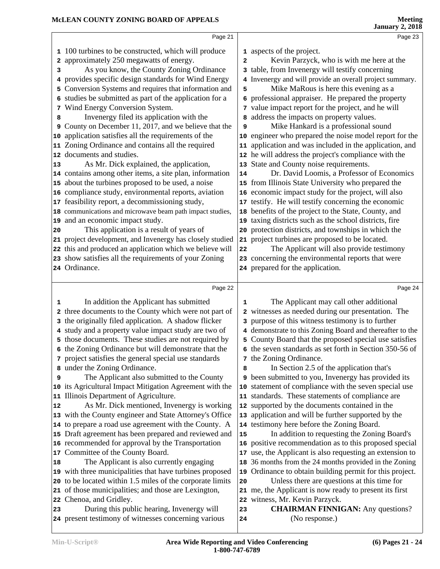|                                          | Page 21                                                                                                                                                                                                                                                                                                                                                                                                                                                                                                                                                                                                                                                                                                                                                                                                                                                                                                                                                                                                                                                                                                                                                                                                                                                           |                                                                             | Page 23                                                                                                                                                                                                                                                                                                                                                                                                                                                                                                                                                                                                                                                                                                                                                                                                                                                                                                                                                                                                                                                                                                                                                                                                                        |  |
|------------------------------------------|-------------------------------------------------------------------------------------------------------------------------------------------------------------------------------------------------------------------------------------------------------------------------------------------------------------------------------------------------------------------------------------------------------------------------------------------------------------------------------------------------------------------------------------------------------------------------------------------------------------------------------------------------------------------------------------------------------------------------------------------------------------------------------------------------------------------------------------------------------------------------------------------------------------------------------------------------------------------------------------------------------------------------------------------------------------------------------------------------------------------------------------------------------------------------------------------------------------------------------------------------------------------|-----------------------------------------------------------------------------|--------------------------------------------------------------------------------------------------------------------------------------------------------------------------------------------------------------------------------------------------------------------------------------------------------------------------------------------------------------------------------------------------------------------------------------------------------------------------------------------------------------------------------------------------------------------------------------------------------------------------------------------------------------------------------------------------------------------------------------------------------------------------------------------------------------------------------------------------------------------------------------------------------------------------------------------------------------------------------------------------------------------------------------------------------------------------------------------------------------------------------------------------------------------------------------------------------------------------------|--|
| з<br>8<br>9<br>13<br>20<br>24 Ordinance. | 1 100 turbines to be constructed, which will produce<br>2 approximately 250 megawatts of energy.<br>As you know, the County Zoning Ordinance<br>4 provides specific design standards for Wind Energy<br>5 Conversion Systems and requires that information and<br>6 studies be submitted as part of the application for a<br>7 Wind Energy Conversion System.<br>Invenergy filed its application with the<br>County on December 11, 2017, and we believe that the<br>10 application satisfies all the requirements of the<br>11 Zoning Ordinance and contains all the required<br>12 documents and studies.<br>As Mr. Dick explained, the application,<br>14 contains among other items, a site plan, information<br>15 about the turbines proposed to be used, a noise<br>16 compliance study, environmental reports, aviation<br>17 feasibility report, a decommissioning study,<br>18 communications and microwave beam path impact studies,<br>19 and an economic impact study.<br>This application is a result of years of<br>21 project development, and Invenergy has closely studied<br>22 this and produced an application which we believe will<br>23 show satisfies all the requirements of your Zoning                                                | $\overline{\mathbf{2}}$<br>5<br>9<br>10<br>11<br>13<br>14<br>17<br>20<br>22 | 1 aspects of the project.<br>Kevin Parzyck, who is with me here at the<br>3 table, from Invenergy will testify concerning<br>4 Invenergy and will provide an overall project summary.<br>Mike MaRous is here this evening as a<br>6 professional appraiser. He prepared the property<br>7 value impact report for the project, and he will<br>a address the impacts on property values.<br>Mike Hankard is a professional sound<br>engineer who prepared the noise model report for the<br>application and was included in the application, and<br>12 he will address the project's compliance with the<br>State and County noise requirements.<br>Dr. David Loomis, a Professor of Economics<br>15 from Illinois State University who prepared the<br>16 economic impact study for the project, will also<br>testify. He will testify concerning the economic<br>18 benefits of the project to the State, County, and<br>19 taxing districts such as the school districts, fire<br>protection districts, and townships in which the<br>21 project turbines are proposed to be located.<br>The Applicant will also provide testimony<br>23 concerning the environmental reports that were<br>24 prepared for the application.  |  |
|                                          |                                                                                                                                                                                                                                                                                                                                                                                                                                                                                                                                                                                                                                                                                                                                                                                                                                                                                                                                                                                                                                                                                                                                                                                                                                                                   |                                                                             |                                                                                                                                                                                                                                                                                                                                                                                                                                                                                                                                                                                                                                                                                                                                                                                                                                                                                                                                                                                                                                                                                                                                                                                                                                |  |
|                                          | Page 22                                                                                                                                                                                                                                                                                                                                                                                                                                                                                                                                                                                                                                                                                                                                                                                                                                                                                                                                                                                                                                                                                                                                                                                                                                                           |                                                                             | Page 24                                                                                                                                                                                                                                                                                                                                                                                                                                                                                                                                                                                                                                                                                                                                                                                                                                                                                                                                                                                                                                                                                                                                                                                                                        |  |
| 1<br>2<br>9<br>12<br>18<br>23            | In addition the Applicant has submitted<br>three documents to the County which were not part of<br>3 the originally filed application. A shadow flicker<br>4 study and a property value impact study are two of<br>5 those documents. These studies are not required by<br>6 the Zoning Ordinance but will demonstrate that the<br>7 project satisfies the general special use standards<br>8 under the Zoning Ordinance.<br>The Applicant also submitted to the County<br>10 its Agricultural Impact Mitigation Agreement with the<br>11 Illinois Department of Agriculture.<br>As Mr. Dick mentioned, Invenergy is working<br>13 with the County engineer and State Attorney's Office<br>14 to prepare a road use agreement with the County. A<br>15 Draft agreement has been prepared and reviewed and<br>16 recommended for approval by the Transportation<br>17 Committee of the County Board.<br>The Applicant is also currently engaging<br>19 with three municipalities that have turbines proposed<br>20 to be located within 1.5 miles of the corporate limits<br>21 of those municipalities; and those are Lexington,<br>22 Chenoa, and Gridley.<br>During this public hearing, Invenergy will<br>24 present testimony of witnesses concerning various | 1<br>8<br>10<br>15<br>17<br>18<br>19<br>20<br>23<br>24                      | The Applicant may call other additional<br>2 witnesses as needed during our presentation. The<br>3 purpose of this witness testimony is to further<br>4 demonstrate to this Zoning Board and thereafter to the<br>5 County Board that the proposed special use satisfies<br>6 the seven standards as set forth in Section 350-56 of<br>7 the Zoning Ordinance.<br>In Section 2.5 of the application that's<br>9 been submitted to you, Invenergy has provided its<br>statement of compliance with the seven special use<br>11 standards. These statements of compliance are<br>12 supported by the documents contained in the<br>13 application and will be further supported by the<br>14 testimony here before the Zoning Board.<br>In addition to requesting the Zoning Board's<br>16 positive recommendation as to this proposed special<br>use, the Applicant is also requesting an extension to<br>36 months from the 24 months provided in the Zoning<br>Ordinance to obtain building permit for this project.<br>Unless there are questions at this time for<br>21 me, the Applicant is now ready to present its first<br>22 witness, Mr. Kevin Parzyck.<br><b>CHAIRMAN FINNIGAN:</b> Any questions?<br>(No response.) |  |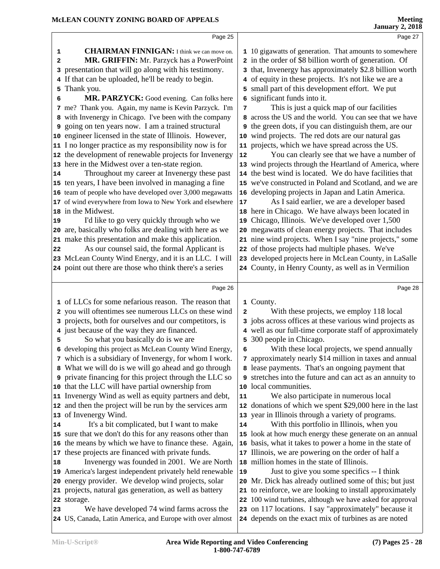|                                                                                  | Page 25                                                                                                                                                                                                                                                                                                                                                                                                                                                                                                                                                                                                                                                                                                                                                                                                                                                                                                                                                                                                                                                                                                                                                                                                                                                                            |                                             | Page 27                                                                                                                                                                                                                                                                                                                                                                                                                                                                                                                                                                                                                                                                                                                                                                                                                                                                                                                                                                                                                                                                                                                                                                                                                                                                                                                                      |
|----------------------------------------------------------------------------------|------------------------------------------------------------------------------------------------------------------------------------------------------------------------------------------------------------------------------------------------------------------------------------------------------------------------------------------------------------------------------------------------------------------------------------------------------------------------------------------------------------------------------------------------------------------------------------------------------------------------------------------------------------------------------------------------------------------------------------------------------------------------------------------------------------------------------------------------------------------------------------------------------------------------------------------------------------------------------------------------------------------------------------------------------------------------------------------------------------------------------------------------------------------------------------------------------------------------------------------------------------------------------------|---------------------------------------------|----------------------------------------------------------------------------------------------------------------------------------------------------------------------------------------------------------------------------------------------------------------------------------------------------------------------------------------------------------------------------------------------------------------------------------------------------------------------------------------------------------------------------------------------------------------------------------------------------------------------------------------------------------------------------------------------------------------------------------------------------------------------------------------------------------------------------------------------------------------------------------------------------------------------------------------------------------------------------------------------------------------------------------------------------------------------------------------------------------------------------------------------------------------------------------------------------------------------------------------------------------------------------------------------------------------------------------------------|
| 1<br>2<br>3<br>4<br>5<br>6<br>14<br>19<br>22                                     | <b>CHAIRMAN FINNIGAN:</b> I think we can move on.<br>MR. GRIFFIN: Mr. Parzyck has a PowerPoint<br>presentation that will go along with his testimony.<br>If that can be uploaded, he'll be ready to begin.<br>Thank you.<br>MR. PARZYCK: Good evening. Can folks here<br>7 me? Thank you. Again, my name is Kevin Parzyck. I'm<br>8 with Invenergy in Chicago. I've been with the company<br>9 going on ten years now. I am a trained structural<br>10 engineer licensed in the state of Illinois. However,<br>11 I no longer practice as my responsibility now is for<br>12 the development of renewable projects for Invenergy<br>13 here in the Midwest over a ten-state region.<br>Throughout my career at Invenergy these past<br>15 ten years, I have been involved in managing a fine<br>16 team of people who have developed over 3,000 megawatts<br>17 of wind everywhere from Iowa to New York and elsewhere<br>18 in the Midwest.<br>I'd like to go very quickly through who we<br>20 are, basically who folks are dealing with here as we<br>21 make this presentation and make this application.<br>As our counsel said, the formal Applicant is<br>23 McLean County Wind Energy, and it is an LLC. I will<br>24 point out there are those who think there's a series | 6<br>7<br>12<br>16 <sup>1</sup><br>17<br>19 | 1 10 gigawatts of generation. That amounts to somewhere<br>2 in the order of \$8 billion worth of generation. Of<br>3 that, Invenergy has approximately \$2.8 billion worth<br>4 of equity in these projects. It's not like we are a<br>5 small part of this development effort. We put<br>significant funds into it.<br>This is just a quick map of our facilities<br>8 across the US and the world. You can see that we have<br><b>9</b> the green dots, if you can distinguish them, are our<br>10 wind projects. The red dots are our natural gas<br>11 projects, which we have spread across the US.<br>You can clearly see that we have a number of<br>13 wind projects through the Heartland of America, where<br>14 the best wind is located. We do have facilities that<br>15 we've constructed in Poland and Scotland, and we are<br>developing projects in Japan and Latin America.<br>As I said earlier, we are a developer based<br>18 here in Chicago. We have always been located in<br>Chicago, Illinois. We've developed over 1,500<br>20 megawatts of clean energy projects. That includes<br>21 nine wind projects. When I say "nine projects," some<br>22 of those projects had multiple phases. We've<br>23 developed projects here in McLean County, in LaSalle<br>24 County, in Henry County, as well as in Vermilion |
|                                                                                  | Page 26                                                                                                                                                                                                                                                                                                                                                                                                                                                                                                                                                                                                                                                                                                                                                                                                                                                                                                                                                                                                                                                                                                                                                                                                                                                                            |                                             | Page 28                                                                                                                                                                                                                                                                                                                                                                                                                                                                                                                                                                                                                                                                                                                                                                                                                                                                                                                                                                                                                                                                                                                                                                                                                                                                                                                                      |
| 5<br>14<br>18<br>23<br>24 US, Canada, Latin America, and Europe with over almost | 1 of LLCs for some nefarious reason. The reason that<br>2 you will oftentimes see numerous LLCs on these wind<br>3 projects, both for ourselves and our competitors, is<br>4 just because of the way they are financed.<br>So what you basically do is we are<br>6 developing this project as McLean County Wind Energy,<br>7 which is a subsidiary of Invenergy, for whom I work.<br>8 What we will do is we will go ahead and go through<br><b>9</b> private financing for this project through the LLC so<br>10 that the LLC will have partial ownership from<br>11 Invenergy Wind as well as equity partners and debt,<br>12 and then the project will be run by the services arm<br>13 of Invenergy Wind.<br>It's a bit complicated, but I want to make<br>15 sure that we don't do this for any reasons other than<br>16 the means by which we have to finance these. Again,<br>17 these projects are financed with private funds.<br>Invenergy was founded in 2001. We are North<br>19 America's largest independent privately held renewable<br>20 energy provider. We develop wind projects, solar<br>21 projects, natural gas generation, as well as battery<br>22 storage.<br>We have developed 74 wind farms across the                                                | 2<br>5<br>6<br>11<br>14<br>19               | 1 County.<br>With these projects, we employ 118 local<br>3 jobs across offices at these various wind projects as<br>4 well as our full-time corporate staff of approximately<br>300 people in Chicago.<br>With these local projects, we spend annually<br>7 approximately nearly \$14 million in taxes and annual<br>8 lease payments. That's an ongoing payment that<br>9 stretches into the future and can act as an annuity to<br>10 local communities.<br>We also participate in numerous local<br>12 donations of which we spent \$29,000 here in the last<br>13 year in Illinois through a variety of programs.<br>With this portfolio in Illinois, when you<br>15 look at how much energy these generate on an annual<br>16 basis, what it takes to power a home in the state of<br>17 Illinois, we are powering on the order of half a<br>18 million homes in the state of Illinois.<br>Just to give you some specifics -- I think<br>20 Mr. Dick has already outlined some of this; but just<br>21 to reinforce, we are looking to install approximately<br>22 100 wind turbines, although we have asked for approval<br>23 on 117 locations. I say "approximately" because it                                                                                                                                                      |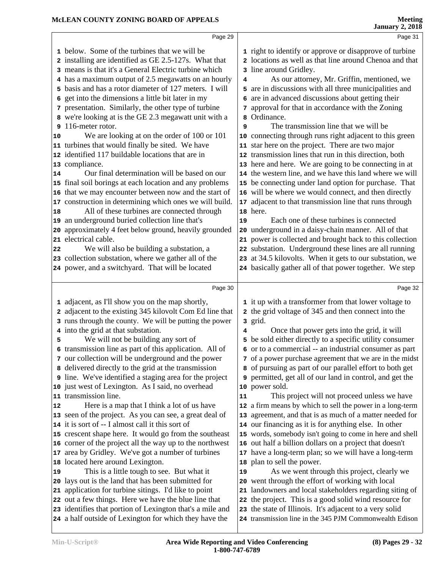|    | Page 29                                                                                                             |    | Page 31                                                                                                            |
|----|---------------------------------------------------------------------------------------------------------------------|----|--------------------------------------------------------------------------------------------------------------------|
|    | 1 below. Some of the turbines that we will be                                                                       |    | 1 right to identify or approve or disapprove of turbine                                                            |
|    | 2 installing are identified as GE 2.5-127s. What that                                                               |    | 2 locations as well as that line around Chenoa and that                                                            |
|    | 3 means is that it's a General Electric turbine which                                                               |    | 3 line around Gridley.                                                                                             |
|    | 4 has a maximum output of 2.5 megawatts on an hourly                                                                | 4  | As our attorney, Mr. Griffin, mentioned, we                                                                        |
|    | 5 basis and has a rotor diameter of 127 meters. I will                                                              |    | 5 are in discussions with all three municipalities and                                                             |
| 6  | get into the dimensions a little bit later in my                                                                    |    | 6 are in advanced discussions about getting their                                                                  |
|    | 7 presentation. Similarly, the other type of turbine                                                                |    | 7 approval for that in accordance with the Zoning                                                                  |
|    | 8 we're looking at is the GE 2.3 megawatt unit with a                                                               |    | 8 Ordinance.                                                                                                       |
| 9  | 116-meter rotor.                                                                                                    | 9  | The transmission line that we will be                                                                              |
| 10 | We are looking at on the order of 100 or 101                                                                        |    | 10 connecting through runs right adjacent to this green                                                            |
|    | 11 turbines that would finally be sited. We have                                                                    |    | 11 star here on the project. There are two major                                                                   |
|    | 12 identified 117 buildable locations that are in                                                                   |    | 12 transmission lines that run in this direction, both                                                             |
| 13 | compliance.                                                                                                         |    | 13 here and here. We are going to be connecting in at                                                              |
| 14 | Our final determination will be based on our                                                                        |    | 14 the western line, and we have this land where we will                                                           |
| 15 | final soil borings at each location and any problems                                                                |    | 15 be connecting under land option for purchase. That                                                              |
| 16 | that we may encounter between now and the start of                                                                  |    | 16 will be where we would connect, and then directly                                                               |
| 17 | construction in determining which ones we will build.                                                               |    | 17 adjacent to that transmission line that runs through                                                            |
| 18 | All of these turbines are connected through                                                                         |    | 18 here.                                                                                                           |
| 19 | an underground buried collection line that's                                                                        | 19 | Each one of these turbines is connected                                                                            |
| 20 | approximately 4 feet below ground, heavily grounded                                                                 |    | 20 underground in a daisy-chain manner. All of that                                                                |
| 21 | electrical cable.                                                                                                   |    | 21 power is collected and brought back to this collection                                                          |
| 22 | We will also be building a substation, a                                                                            |    | 22 substation. Underground these lines are all running                                                             |
|    | 23 collection substation, where we gather all of the                                                                |    | 23 at 34.5 kilovolts. When it gets to our substation, we                                                           |
|    | 24 power, and a switchyard. That will be located                                                                    |    | 24 basically gather all of that power together. We step                                                            |
|    |                                                                                                                     |    |                                                                                                                    |
|    |                                                                                                                     |    |                                                                                                                    |
|    | Page 30                                                                                                             |    | Page 32                                                                                                            |
|    | 1 adjacent, as I'll show you on the map shortly,                                                                    |    | 1 it up with a transformer from that lower voltage to                                                              |
|    | 2 adjacent to the existing 345 kilovolt Com Ed line that                                                            |    | 2 the grid voltage of 345 and then connect into the                                                                |
|    | 3 runs through the county. We will be putting the power                                                             |    | 3 grid.                                                                                                            |
|    | 4 into the grid at that substation.                                                                                 | 4  | Once that power gets into the grid, it will                                                                        |
| 5  | We will not be building any sort of                                                                                 |    | 5 be sold either directly to a specific utility consumer                                                           |
|    | 6 transmission line as part of this application. All of                                                             |    | 6 or to a commercial -- an industrial consumer as part                                                             |
|    | 7 our collection will be underground and the power                                                                  |    | 7 of a power purchase agreement that we are in the midst                                                           |
|    | 8 delivered directly to the grid at the transmission                                                                |    | 8 of pursuing as part of our parallel effort to both get                                                           |
|    | Ine. We've identified a staging area for the project                                                                |    | <b>9</b> permitted, get all of our land in control, and get the                                                    |
|    | 10 just west of Lexington. As I said, no overhead                                                                   |    | 10 power sold.                                                                                                     |
| 11 | transmission line.                                                                                                  | 11 | This project will not proceed unless we have                                                                       |
| 12 | Here is a map that I think a lot of us have                                                                         |    | 12 a firm means by which to sell the power in a long-term                                                          |
|    | 13 seen of the project. As you can see, a great deal of                                                             |    | 13 agreement, and that is as much of a matter needed for                                                           |
|    | 14 it is sort of -- I almost call it this sort of                                                                   |    | 14 our financing as it is for anything else. In other                                                              |
|    | 15 crescent shape here. It would go from the southeast                                                              |    | 15 words, somebody isn't going to come in here and shell                                                           |
|    | 16 corner of the project all the way up to the northwest                                                            |    | 16 out half a billion dollars on a project that doesn't                                                            |
| 17 | area by Gridley. We've got a number of turbines                                                                     |    | 17 have a long-term plan; so we will have a long-term                                                              |
| 18 | located here around Lexington.                                                                                      |    | 18 plan to sell the power.                                                                                         |
| 19 | This is a little tough to see. But what it                                                                          | 19 | As we went through this project, clearly we                                                                        |
| 20 | lays out is the land that has been submitted for                                                                    |    | 20 went through the effort of working with local                                                                   |
| 21 | application for turbine sitings. I'd like to point                                                                  |    | 21 landowners and local stakeholders regarding siting of                                                           |
|    | 22 out a few things. Here we have the blue line that                                                                |    | 22 the project. This is a good solid wind resource for                                                             |
|    | 23 identifies that portion of Lexington that's a mile and<br>24 a half outside of Lexington for which they have the |    | 23 the state of Illinois. It's adjacent to a very solid<br>24 transmission line in the 345 PJM Commonwealth Edison |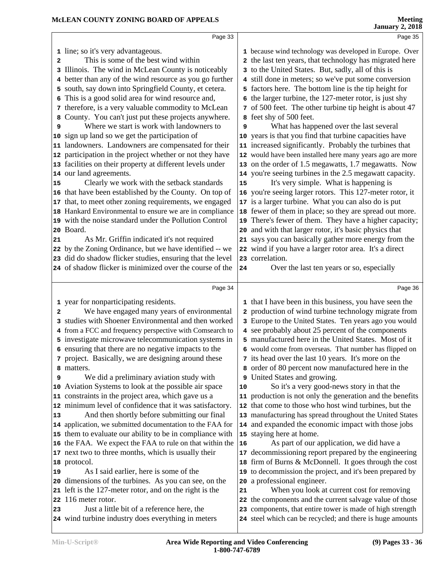|    | Page 33                                                                                          |    | Page 35                                                                                                                |
|----|--------------------------------------------------------------------------------------------------|----|------------------------------------------------------------------------------------------------------------------------|
|    | 1 line; so it's very advantageous.                                                               |    | 1 because wind technology was developed in Europe. Over                                                                |
| 2  | This is some of the best wind within                                                             |    | 2 the last ten years, that technology has migrated here                                                                |
| 3  | Illinois. The wind in McLean County is noticeably                                                |    | 3 to the United States. But, sadly, all of this is                                                                     |
|    | 4 better than any of the wind resource as you go further                                         |    | 4 still done in meters; so we've put some conversion                                                                   |
|    | 5 south, say down into Springfield County, et cetera.                                            |    | 5 factors here. The bottom line is the tip height for                                                                  |
| 6  | This is a good solid area for wind resource and,                                                 |    | 6 the larger turbine, the 127-meter rotor, is just shy                                                                 |
| 7  | therefore, is a very valuable commodity to McLean                                                |    | 7 of 500 feet. The other turbine tip height is about 47                                                                |
| 8  | County. You can't just put these projects anywhere.                                              |    | 8 feet shy of 500 feet.                                                                                                |
|    | Where we start is work with landowners to                                                        | 9  | What has happened over the last several                                                                                |
|    | 10 sign up land so we get the participation of                                                   |    | 10 years is that you find that turbine capacities have                                                                 |
| 11 | landowners. Landowners are compensated for their                                                 |    | 11 increased significantly. Probably the turbines that                                                                 |
|    | 12 participation in the project whether or not they have                                         |    | 12 would have been installed here many years ago are more                                                              |
|    | 13 facilities on their property at different levels under                                        |    | 13 on the order of 1.5 megawatts, 1.7 megawatts. Now                                                                   |
|    | 14 our land agreements.                                                                          |    | 14 you're seeing turbines in the 2.5 megawatt capacity.                                                                |
| 15 | Clearly we work with the setback standards                                                       | 15 | It's very simple. What is happening is                                                                                 |
|    | 16 that have been established by the County. On top of                                           |    | 16 you're seeing larger rotors. This 127-meter rotor, it                                                               |
|    | 17 that, to meet other zoning requirements, we engaged                                           |    | 17 is a larger turbine. What you can also do is put                                                                    |
|    | 18 Hankard Environmental to ensure we are in compliance                                          |    | 18 fewer of them in place; so they are spread out more.                                                                |
|    | 19 with the noise standard under the Pollution Control                                           |    | 19 There's fewer of them. They have a higher capacity;                                                                 |
|    | 20 Board.                                                                                        |    | 20 and with that larger rotor, it's basic physics that                                                                 |
| 21 | As Mr. Griffin indicated it's not required                                                       |    | 21 says you can basically gather more energy from the                                                                  |
|    | 22 by the Zoning Ordinance, but we have identified -- we                                         |    | 22 wind if you have a larger rotor area. It's a direct                                                                 |
|    | 23 did do shadow flicker studies, ensuring that the level                                        |    | 23 correlation.                                                                                                        |
|    | 24 of shadow flicker is minimized over the course of the                                         | 24 | Over the last ten years or so, especially                                                                              |
|    |                                                                                                  |    |                                                                                                                        |
|    | Page 34                                                                                          |    | Page 36                                                                                                                |
|    | 1 year for nonparticipating residents.                                                           |    | 1 that I have been in this business, you have seen the                                                                 |
| 2  | We have engaged many years of environmental                                                      |    | 2 production of wind turbine technology migrate from                                                                   |
|    | 3 studies with Shoener Environmental and then worked                                             |    | 3 Europe to the United States. Ten years ago you would                                                                 |
|    | 4 from a FCC and frequency perspective with Comsearch to                                         |    | 4 see probably about 25 percent of the components                                                                      |
|    | 5 investigate microwave telecommunication systems in                                             |    | 5 manufactured here in the United States. Most of it                                                                   |
|    | 6 ensuring that there are no negative impacts to the                                             |    | 6 would come from overseas. That number has flipped on                                                                 |
|    | 7 project. Basically, we are designing around these                                              |    | 7 its head over the last 10 years. It's more on the                                                                    |
|    | matters.                                                                                         |    | 8 order of 80 percent now manufactured here in the                                                                     |
| 9  | We did a preliminary aviation study with                                                         |    | 9 United States and growing.                                                                                           |
|    |                                                                                                  |    | So it's a very good-news story in that the                                                                             |
|    | 10 Aviation Systems to look at the possible air space                                            | 10 |                                                                                                                        |
|    | 11 constraints in the project area, which gave us a                                              |    | 11 production is not only the generation and the benefits                                                              |
|    | 12 minimum level of confidence that it was satisfactory.                                         |    | 12 that come to those who host wind turbines, but the                                                                  |
| 13 | And then shortly before submitting our final                                                     |    | 13 manufacturing has spread throughout the United States                                                               |
|    | 14 application, we submitted documentation to the FAA for                                        |    | 14 and expanded the economic impact with those jobs                                                                    |
|    | 15 them to evaluate our ability to be in compliance with                                         |    | 15 staying here at home.                                                                                               |
|    | 16 the FAA. We expect the FAA to rule on that within the                                         | 16 | As part of our application, we did have a                                                                              |
|    | 17 next two to three months, which is usually their                                              |    | 17 decommissioning report prepared by the engineering                                                                  |
|    | 18 protocol.                                                                                     |    | 18 firm of Burns & McDonnell. It goes through the cost                                                                 |
| 19 | As I said earlier, here is some of the                                                           |    | 19 to decommission the project, and it's been prepared by                                                              |
|    | 20 dimensions of the turbines. As you can see, on the                                            |    | 20 a professional engineer.                                                                                            |
|    | 21 left is the 127-meter rotor, and on the right is the                                          | 21 | When you look at current cost for removing                                                                             |
|    | 22 116 meter rotor.                                                                              |    | 22 the components and the current salvage value of those                                                               |
| 23 | Just a little bit of a reference here, the<br>24 wind turbine industry does everything in meters |    | 23 components, that entire tower is made of high strength<br>24 steel which can be recycled; and there is huge amounts |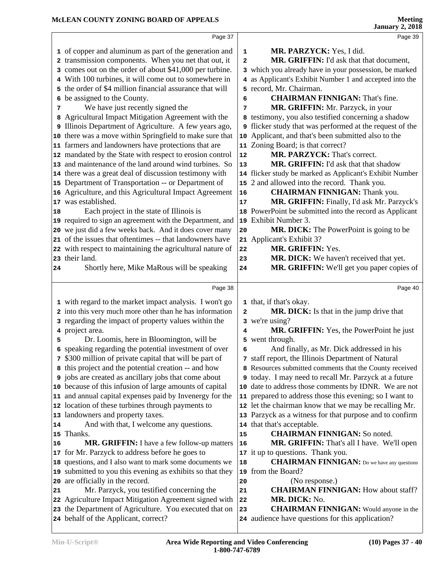|    | Page 37                                                                                                                |             | Page 39                                                                                                                |  |
|----|------------------------------------------------------------------------------------------------------------------------|-------------|------------------------------------------------------------------------------------------------------------------------|--|
|    | 1 of copper and aluminum as part of the generation and                                                                 |             | MR. PARZYCK: Yes, I did.                                                                                               |  |
|    | 2 transmission components. When you net that out, it                                                                   | $\mathbf 1$ | MR. GRIFFIN: I'd ask that that document,                                                                               |  |
|    | 3 comes out on the order of about \$41,000 per turbine.                                                                | 2           |                                                                                                                        |  |
|    |                                                                                                                        |             | 3 which you already have in your possession, be marked                                                                 |  |
|    | 4 With 100 turbines, it will come out to somewhere in<br>5 the order of \$4 million financial assurance that will      |             | 4 as Applicant's Exhibit Number 1 and accepted into the<br>5 record, Mr. Chairman.                                     |  |
| 6  | be assigned to the County.                                                                                             | 6           | <b>CHAIRMAN FINNIGAN: That's fine.</b>                                                                                 |  |
| 7  | We have just recently signed the                                                                                       | 7           | MR. GRIFFIN: Mr. Parzyck, in your                                                                                      |  |
|    |                                                                                                                        |             |                                                                                                                        |  |
|    | 8 Agricultural Impact Mitigation Agreement with the<br>Illinois Department of Agriculture. A few years ago,            |             | 8 testimony, you also testified concerning a shadow<br><b>9</b> flicker study that was performed at the request of the |  |
| 9  | 10 there was a move within Springfield to make sure that                                                               |             | 10 Applicant, and that's been submitted also to the                                                                    |  |
|    | 11 farmers and landowners have protections that are                                                                    |             | 11 Zoning Board; is that correct?                                                                                      |  |
|    | 12 mandated by the State with respect to erosion control                                                               | $12\,$      | MR. PARZYCK: That's correct.                                                                                           |  |
|    | 13 and maintenance of the land around wind turbines. So                                                                | 13          | <b>MR. GRIFFIN:</b> I'd ask that that shadow                                                                           |  |
|    | 14 there was a great deal of discussion testimony with                                                                 |             | 14 flicker study be marked as Applicant's Exhibit Number                                                               |  |
|    | 15 Department of Transportation -- or Department of                                                                    |             | 15 2 and allowed into the record. Thank you.                                                                           |  |
|    | 16 Agriculture, and this Agricultural Impact Agreement                                                                 | 16          | <b>CHAIRMAN FINNIGAN:</b> Thank you.                                                                                   |  |
|    | 17 was established.                                                                                                    | 17          | MR. GRIFFIN: Finally, I'd ask Mr. Parzyck's                                                                            |  |
| 18 | Each project in the state of Illinois is                                                                               |             | 18 PowerPoint be submitted into the record as Applicant                                                                |  |
|    | 19 required to sign an agreement with the Department, and                                                              |             | 19 Exhibit Number 3.                                                                                                   |  |
|    | 20 we just did a few weeks back. And it does cover many                                                                | 20          | MR. DICK: The PowerPoint is going to be                                                                                |  |
|    | 21 of the issues that oftentimes -- that landowners have                                                               |             | 21 Applicant's Exhibit 3?                                                                                              |  |
|    | 22 with respect to maintaining the agricultural nature of                                                              | 22          | MR. GRIFFIN: Yes.                                                                                                      |  |
|    | 23 their land.                                                                                                         | 23          | MR. DICK: We haven't received that yet.                                                                                |  |
| 24 | Shortly here, Mike MaRous will be speaking                                                                             | 24          | MR. GRIFFIN: We'll get you paper copies of                                                                             |  |
|    |                                                                                                                        |             |                                                                                                                        |  |
|    |                                                                                                                        |             |                                                                                                                        |  |
|    | Page 38                                                                                                                |             | Page 40                                                                                                                |  |
|    |                                                                                                                        |             |                                                                                                                        |  |
|    | 1 with regard to the market impact analysis. I won't go                                                                |             | 1 that, if that's okay.                                                                                                |  |
|    | 2 into this very much more other than he has information                                                               | 2           | MR. DICK: Is that in the jump drive that                                                                               |  |
|    | 3 regarding the impact of property values within the                                                                   |             | 3 we're using?                                                                                                         |  |
|    | 4 project area.                                                                                                        | 4           | MR. GRIFFIN: Yes, the PowerPoint he just                                                                               |  |
| 5  | Dr. Loomis, here in Bloomington, will be                                                                               | 5           | went through.                                                                                                          |  |
|    | 6 speaking regarding the potential investment of over                                                                  | 6           | And finally, as Mr. Dick addressed in his                                                                              |  |
|    | 7 \$300 million of private capital that will be part of                                                                |             | 7 staff report, the Illinois Department of Natural<br>8 Resources submitted comments that the County received          |  |
|    | 8 this project and the potential creation -- and how                                                                   |             | <b>9</b> today. I may need to recall Mr. Parzyck at a future                                                           |  |
|    | <b>9</b> jobs are created as ancillary jobs that come about<br>10 because of this infusion of large amounts of capital |             | 10 date to address those comments by IDNR. We are not                                                                  |  |
|    | 11 and annual capital expenses paid by Invenergy for the                                                               |             | 11 prepared to address those this evening; so I want to                                                                |  |
|    | 12 location of these turbines through payments to                                                                      |             | 12 let the chairman know that we may be recalling Mr.                                                                  |  |
|    | 13 landowners and property taxes.                                                                                      |             | 13 Parzyck as a witness for that purpose and to confirm                                                                |  |
| 14 | And with that, I welcome any questions.                                                                                |             | 14 that that's acceptable.                                                                                             |  |
|    | 15 Thanks.                                                                                                             | 15          | <b>CHAIRMAN FINNIGAN:</b> So noted.                                                                                    |  |
| 16 | MR. GRIFFIN: I have a few follow-up matters                                                                            | 16          | <b>MR. GRIFFIN:</b> That's all I have. We'll open                                                                      |  |
|    | 17 for Mr. Parzyck to address before he goes to                                                                        |             | 17 it up to questions. Thank you.                                                                                      |  |
|    | 18 questions, and I also want to mark some documents we                                                                | 18          | <b>CHAIRMAN FINNIGAN:</b> Do we have any questions                                                                     |  |
|    | 19 submitted to you this evening as exhibits so that they                                                              |             | 19 from the Board?                                                                                                     |  |
|    | 20 are officially in the record.                                                                                       | 20          | (No response.)                                                                                                         |  |
| 21 | Mr. Parzyck, you testified concerning the                                                                              | 21          | <b>CHAIRMAN FINNIGAN:</b> How about staff?                                                                             |  |
|    | 22 Agriculture Impact Mitigation Agreement signed with                                                                 | 22          | MR. DICK: No.                                                                                                          |  |
|    | 23 the Department of Agriculture. You executed that on<br>24 behalf of the Applicant, correct?                         | 23          | <b>CHAIRMAN FINNIGAN:</b> Would anyone in the<br>24 audience have questions for this application?                      |  |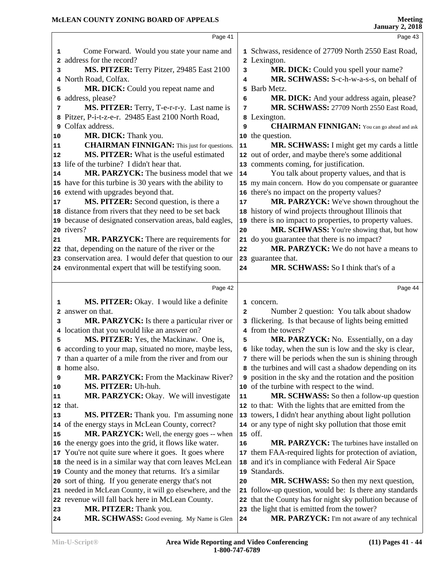Page 41

Page 43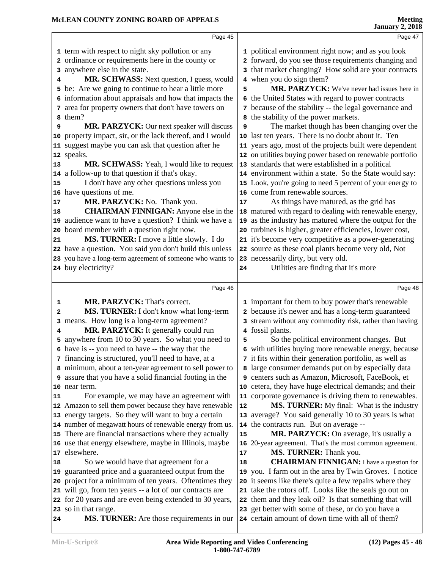|    | Page 45                                                                  |    | Page 47                                                                                                |
|----|--------------------------------------------------------------------------|----|--------------------------------------------------------------------------------------------------------|
|    | 1 term with respect to night sky pollution or any                        |    | 1 political environment right now; and as you look                                                     |
|    | 2 ordinance or requirements here in the county or                        |    | 2 forward, do you see those requirements changing and                                                  |
|    | 3 anywhere else in the state.                                            |    | 3 that market changing? How solid are your contracts                                                   |
| 4  | MR. SCHWASS: Next question, I guess, would                               |    | 4 when you do sign them?                                                                               |
|    | 5 be: Are we going to continue to hear a little more                     | 5  | MR. PARZYCK: We've never had issues here in                                                            |
|    | 6 information about appraisals and how that impacts the                  |    | 6 the United States with regard to power contracts                                                     |
|    | 7 area for property owners that don't have towers on                     |    | 7 because of the stability -- the legal governance and                                                 |
|    | 8 them?                                                                  |    | 8 the stability of the power markets.                                                                  |
| 9  | MR. PARZYCK: Our next speaker will discuss                               | 9  | The market though has been changing over the                                                           |
| 10 | property impact, sir, or the lack thereof, and I would                   |    | 10 last ten years. There is no doubt about it. Ten                                                     |
|    | 11 suggest maybe you can ask that question after he                      |    | 11 years ago, most of the projects built were dependent                                                |
|    | 12 speaks.                                                               |    | 12 on utilities buying power based on renewable portfolio                                              |
| 13 | MR. SCHWASS: Yeah, I would like to request                               |    | 13 standards that were established in a political                                                      |
|    | 14 a follow-up to that question if that's okay.                          |    | 14 environment within a state. So the State would say:                                                 |
| 15 | I don't have any other questions unless you                              |    | 15 Look, you're going to need 5 percent of your energy to                                              |
|    | 16 have questions of me.                                                 |    | 16 come from renewable sources.                                                                        |
| 17 | MR. PARZYCK: No. Thank you.                                              | 17 | As things have matured, as the grid has                                                                |
| 18 | <b>CHAIRMAN FINNIGAN:</b> Anyone else in the                             |    | 18 matured with regard to dealing with renewable energy,                                               |
|    | 19 audience want to have a question? I think we have a                   |    | 19 as the industry has matured where the output for the                                                |
| 20 | board member with a question right now.                                  |    | 20 turbines is higher, greater efficiencies, lower cost,                                               |
| 21 | MS. TURNER: I move a little slowly. I do                                 |    | 21 it's become very competitive as a power-generating                                                  |
|    | 22 have a question. You said you don't build this unless                 |    | 22 source as these coal plants become very old, Not                                                    |
|    | 23 you have a long-term agreement of someone who wants to                |    | 23 necessarily dirty, but very old.                                                                    |
|    | 24 buy electricity?                                                      | 24 | Utilities are finding that it's more                                                                   |
|    |                                                                          |    |                                                                                                        |
|    |                                                                          |    |                                                                                                        |
|    | Page 46                                                                  |    | Page 48                                                                                                |
| 1  | MR. PARZYCK: That's correct.                                             |    | 1 important for them to buy power that's renewable                                                     |
| 2  | MS. TURNER: I don't know what long-term                                  |    | 2 because it's newer and has a long-term guaranteed                                                    |
| 3  | means. How long is a long-term agreement?                                |    | 3 stream without any commodity risk, rather than having                                                |
| 4  | MR. PARZYCK: It generally could run                                      |    | 4 fossil plants.                                                                                       |
|    | 5 anywhere from 10 to 30 years. So what you need to                      | 5  | So the political environment changes. But                                                              |
|    | 6 have is -- you need to have -- the way that the                        |    | 6 with utilities buying more renewable energy, because                                                 |
|    | 7 financing is structured, you'll need to have, at a                     |    | 7 it fits within their generation portfolio, as well as                                                |
|    | 8 minimum, about a ten-year agreement to sell power to                   |    | 8 large consumer demands put on by especially data                                                     |
|    | 9 assure that you have a solid financial footing in the                  |    | 9 centers such as Amazon, Microsoft, FaceBook, et                                                      |
|    | 10 near term.                                                            |    | 10 cetera, they have huge electrical demands; and their                                                |
| 11 | For example, we may have an agreement with                               |    | 11 corporate governance is driving them to renewables.                                                 |
|    | 12 Amazon to sell them power because they have renewable                 | 12 | MS. TURNER: My final: What is the industry                                                             |
|    | 13 energy targets. So they will want to buy a certain                    |    | 13 average? You said generally 10 to 30 years is what                                                  |
|    | 14 number of megawatt hours of renewable energy from us.                 |    | 14 the contracts run. But on average --                                                                |
|    | 15 There are financial transactions where they actually                  | 15 | MR. PARZYCK: On average, it's usually a                                                                |
|    | 16 use that energy elsewhere, maybe in Illinois, maybe                   |    | 16 20-year agreement. That's the most common agreement.                                                |
|    | 17 elsewhere.                                                            | 17 | MS. TURNER: Thank you.                                                                                 |
| 18 | So we would have that agreement for a                                    | 18 | <b>CHAIRMAN FINNIGAN:</b> I have a question for                                                        |
| 19 | guaranteed price and a guaranteed output from the                        |    | 19 you. I farm out in the area by Twin Groves. I notice                                                |
| 20 | project for a minimum of ten years. Oftentimes they                      |    | 20 it seems like there's quite a few repairs where they                                                |
| 21 | will go, from ten years -- a lot of our contracts are                    |    | 21 take the rotors off. Looks like the seals go out on                                                 |
|    | 22 for 20 years and are even being extended to 30 years,                 |    | 22 them and they leak oil? Is that something that will                                                 |
|    | 23 so in that range.<br><b>MS. TURNER:</b> Are those requirements in our |    | 23 get better with some of these, or do you have a<br>24 certain amount of down time with all of them? |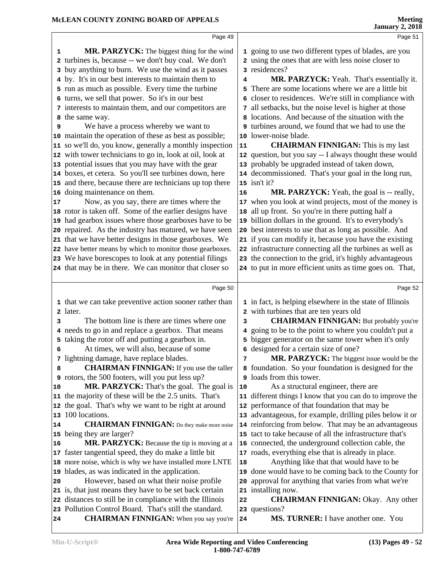|    |                                                           |              | <b>January 2, 2018</b>                                    |
|----|-----------------------------------------------------------|--------------|-----------------------------------------------------------|
|    | Page 49                                                   |              | Page 51                                                   |
| 1  | MR. PARZYCK: The biggest thing for the wind               |              | 1 going to use two different types of blades, are you     |
|    | 2 turbines is, because -- we don't buy coal. We don't     |              | 2 using the ones that are with less noise closer to       |
|    | 3 buy anything to burn. We use the wind as it passes      |              | 3 residences?                                             |
|    | 4 by. It's in our best interests to maintain them to      | 4            | MR. PARZYCK: Yeah. That's essentially it.                 |
|    | 5 run as much as possible. Every time the turbine         | 5            | There are some locations where we are a little bit        |
|    | 6 turns, we sell that power. So it's in our best          | 6            | closer to residences. We're still in compliance with      |
|    | 7 interests to maintain them, and our competitors are     | 7            | all setbacks, but the noise level is higher at those      |
| 8  | the same way.                                             | 8            | locations. And because of the situation with the          |
| 9  | We have a process whereby we want to                      | 9            | turbines around, we found that we had to use the          |
|    | 10 maintain the operation of these as best as possible;   |              | 10 lower-noise blade.                                     |
|    | 11 so we'll do, you know, generally a monthly inspection  | 11           | <b>CHAIRMAN FINNIGAN:</b> This is my last                 |
|    | 12 with tower technicians to go in, look at oil, look at  |              | 12 question, but you say -- I always thought these would  |
|    | 13 potential issues that you may have with the gear       |              | 13 probably be upgraded instead of taken down,            |
|    | 14 boxes, et cetera. So you'll see turbines down, here    |              | 14 decommissioned. That's your goal in the long run,      |
|    | 15 and there, because there are technicians up top there  |              | $15$ isn't it?                                            |
|    | 16 doing maintenance on them.                             | 16           | MR. PARZYCK: Yeah, the goal is -- really,                 |
| 17 | Now, as you say, there are times where the                |              | 17 when you look at wind projects, most of the money is   |
|    | 18 rotor is taken off. Some of the earlier designs have   | 18           | all up front. So you're in there putting half a           |
|    | 19 had gearbox issues where those gearboxes have to be    |              | 19 billion dollars in the ground. It's to everybody's     |
|    | 20 repaired. As the industry has matured, we have seen    |              | 20 best interests to use that as long as possible. And    |
|    | 21 that we have better designs in those gearboxes. We     |              | 21 if you can modify it, because you have the existing    |
|    | 22 have better means by which to monitor those gearboxes. |              | 22 infrastructure connecting all the turbines as well as  |
|    | 23 We have borescopes to look at any potential filings    |              | 23 the connection to the grid, it's highly advantageous   |
|    | 24 that may be in there. We can monitor that closer so    |              | 24 to put in more efficient units as time goes on. That,  |
|    | Page 50                                                   |              | Page 52                                                   |
|    |                                                           |              |                                                           |
|    | 1 that we can take preventive action sooner rather than   |              | 1 in fact, is helping elsewhere in the state of Illinois  |
|    | 2 later.                                                  | $\mathbf{2}$ | with turbines that are ten years old                      |
| 3  | The bottom line is there are times where one              | 3            | <b>CHAIRMAN FINNIGAN:</b> But probably you're             |
|    | 4 needs to go in and replace a gearbox. That means        | 4            | going to be to the point to where you couldn't put a      |
|    | 5 taking the rotor off and putting a gearbox in.          |              | 5 bigger generator on the same tower when it's only       |
| 6  | At times, we will also, because of some                   |              | 6 designed for a certain size of one?                     |
| 7  | lightning damage, have replace blades.                    | 7            | MR. PARZYCK: The biggest issue would be the               |
| 8  | <b>CHAIRMAN FINNIGAN:</b> If you use the taller           |              | 8 foundation. So your foundation is designed for the      |
|    | 9 rotors, the 500 footers, will you put less up?          | 9            | loads from this tower.                                    |
| 10 | MR. PARZYCK: That's the goal. The goal is                 | 10           | As a structural engineer, there are                       |
|    | 11 the majority of these will be the 2.5 units. That's    |              | 11 different things I know that you can do to improve the |
|    | 12 the goal. That's why we want to be right at around     |              | 12 performance of that foundation that may be             |
|    | 13 100 locations.                                         |              | 13 advantageous, for example, drilling piles below it or  |
| 14 | <b>CHAIRMAN FINNIGAN:</b> Do they make more noise         |              | 14 reinforcing from below. That may be an advantageous    |
| 15 | being they are larger?                                    |              | 15 tact to take because of all the infrastructure that's  |
| 16 | MR. PARZYCK: Because the tip is moving at a               |              | 16 connected, the underground collection cable, the       |
|    | 17 faster tangential speed, they do make a little bit     |              | 17 roads, everything else that is already in place.       |
|    | 18 more noise, which is why we have installed more LNTE   | 18           | Anything like that that would have to be                  |
|    | 19 blades, as was indicated in the application.           | 19           | done would have to be coming back to the County for       |
| 20 | However, based on what their noise profile                | 20           | approval for anything that varies from what we're         |
|    | 21 is, that just means they have to be set back certain   |              | 21 installing now.                                        |
|    | 22 distances to still be in compliance with the Illinois  | 22           | <b>CHAIRMAN FINNIGAN: Okay.</b> Any other                 |
|    | 23 Pollution Control Board. That's still the standard.    |              | 23 questions?                                             |

CHAIRMAN FINNIGAN: When you say you're 24

 **MS. TURNER:** I have another one. You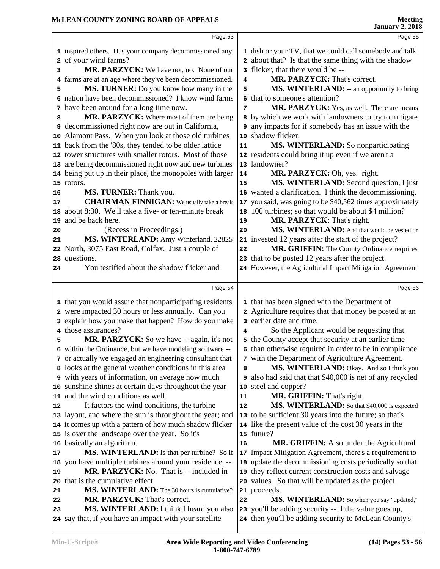|    | Page 53                                                                                            |    | Page 55                                                                                                       |  |
|----|----------------------------------------------------------------------------------------------------|----|---------------------------------------------------------------------------------------------------------------|--|
|    | 1 inspired others. Has your company decommissioned any                                             |    | 1 dish or your TV, that we could call somebody and talk                                                       |  |
|    | 2 of your wind farms?                                                                              |    | 2 about that? Is that the same thing with the shadow                                                          |  |
| з  | MR. PARZYCK: We have not, no. None of our                                                          |    | 3 flicker, that there would be --                                                                             |  |
|    | 4 farms are at an age where they've been decommissioned.                                           | 4  | MR. PARZYCK: That's correct.                                                                                  |  |
| 5  | MS. TURNER: Do you know how many in the                                                            | 5  | MS. WINTERLAND: -- an opportunity to bring                                                                    |  |
|    | 6 nation have been decommissioned? I know wind farms                                               |    | 6 that to someone's attention?                                                                                |  |
|    | 7 have been around for a long time now.                                                            | 7  | MR. PARZYCK: Yes, as well. There are means                                                                    |  |
| 8  | MR. PARZYCK: Where most of them are being                                                          |    | 8 by which we work with landowners to try to mitigate                                                         |  |
|    | 9 decommissioned right now are out in California,                                                  |    | <b>9</b> any impacts for if somebody has an issue with the                                                    |  |
|    | 10 Alamont Pass. When you look at those old turbines                                               |    | 10 shadow flicker.                                                                                            |  |
|    | 11 back from the '80s, they tended to be older lattice                                             | 11 | MS. WINTERLAND: So nonparticipating                                                                           |  |
|    | 12 tower structures with smaller rotors. Most of those                                             |    | 12 residents could bring it up even if we aren't a                                                            |  |
|    | 13 are being decommissioned right now and new turbines                                             |    | 13 landowner?                                                                                                 |  |
|    | 14 being put up in their place, the monopoles with larger                                          | 14 | MR. PARZYCK: Oh, yes. right.                                                                                  |  |
|    | 15 rotors.                                                                                         | 15 | MS. WINTERLAND: Second question, I just                                                                       |  |
| 16 | MS. TURNER: Thank you.                                                                             |    | 16 wanted a clarification. I think the decommissioning,                                                       |  |
| 17 | <b>CHAIRMAN FINNIGAN:</b> We usually take a break                                                  | 17 | you said, was going to be \$40,562 times approximately                                                        |  |
|    | 18 about 8:30. We'll take a five- or ten-minute break                                              |    | 18 100 turbines; so that would be about \$4 million?                                                          |  |
|    | 19 and be back here.                                                                               | 19 | MR. PARZYCK: That's right.                                                                                    |  |
| 20 | (Recess in Proceedings.)                                                                           | 20 | MS. WINTERLAND: And that would be vested or                                                                   |  |
| 21 | MS. WINTERLAND: Amy Winterland, 22825                                                              |    | 21 invested 12 years after the start of the project?                                                          |  |
|    | 22 North, 3075 East Road, Colfax. Just a couple of                                                 | 22 | MR. GRIFFIN: The County Ordinance requires                                                                    |  |
|    | 23 questions.                                                                                      |    | 23 that to be posted 12 years after the project.                                                              |  |
| 24 | You testified about the shadow flicker and                                                         |    | 24 However, the Agricultural Impact Mitigation Agreement                                                      |  |
|    |                                                                                                    |    |                                                                                                               |  |
|    | Page 54                                                                                            |    | Page 56                                                                                                       |  |
|    | 1 that you would assure that nonparticipating residents                                            |    | 1 that has been signed with the Department of                                                                 |  |
|    | 2 were impacted 30 hours or less annually. Can you                                                 |    | 2 Agriculture requires that that money be posted at an                                                        |  |
|    | 3 explain how you make that happen? How do you make                                                |    | 3 earlier date and time.                                                                                      |  |
|    | 4 those assurances?                                                                                | 4  | So the Applicant would be requesting that                                                                     |  |
| 5  | MR. PARZYCK: So we have -- again, it's not                                                         |    | 5 the County accept that security at an earlier time                                                          |  |
|    | 6 within the Ordinance, but we have modeling software --                                           |    | 6 than otherwise required in order to be in compliance                                                        |  |
|    | 7 or actually we engaged an engineering consultant that                                            |    | 7 with the Department of Agriculture Agreement.                                                               |  |
|    | 8 looks at the general weather conditions in this area                                             | 8  | MS. WINTERLAND: Okay. And so I think you                                                                      |  |
|    | <b>9</b> with years of information, on average how much                                            |    | also had said that that \$40,000 is net of any recycled                                                       |  |
|    | 10 sunshine shines at certain days throughout the year                                             | 10 | steel and copper?                                                                                             |  |
|    | 11 and the wind conditions as well.                                                                | 11 | <b>MR. GRIFFIN:</b> That's right.                                                                             |  |
| 12 | It factors the wind conditions, the turbine                                                        | 12 | MS. WINTERLAND: So that \$40,000 is expected                                                                  |  |
|    | 13 layout, and where the sun is throughout the year; and                                           |    | 13 to be sufficient 30 years into the future; so that's                                                       |  |
|    | 14 it comes up with a pattern of how much shadow flicker                                           |    | 14 like the present value of the cost 30 years in the                                                         |  |
|    | 15 is over the landscape over the year. So it's                                                    | 15 | future?                                                                                                       |  |
|    | 16 basically an algorithm.                                                                         | 16 | MR. GRIFFIN: Also under the Agricultural                                                                      |  |
| 17 | <b>MS. WINTERLAND:</b> Is that per turbine? So if                                                  |    | 17 Impact Mitigation Agreement, there's a requirement to                                                      |  |
|    | 18 you have multiple turbines around your residence, --                                            | 18 | update the decommissioning costs periodically so that                                                         |  |
| 19 | MR. PARZYCK: No. That is -- included in                                                            | 19 | they reflect current construction costs and salvage                                                           |  |
|    | 20 that is the cumulative effect.                                                                  | 20 | values. So that will be updated as the project                                                                |  |
| 21 | MS. WINTERLAND: The 30 hours is cumulative?                                                        |    | 21 proceeds.                                                                                                  |  |
|    |                                                                                                    |    |                                                                                                               |  |
| 22 | MR. PARZYCK: That's correct.                                                                       | 22 | MS. WINTERLAND: So when you say "updated,"                                                                    |  |
| 23 | MS. WINTERLAND: I think I heard you also<br>24 say that, if you have an impact with your satellite |    | 23 you'll be adding security -- if the value goes up,<br>24 then you'll be adding security to McLean County's |  |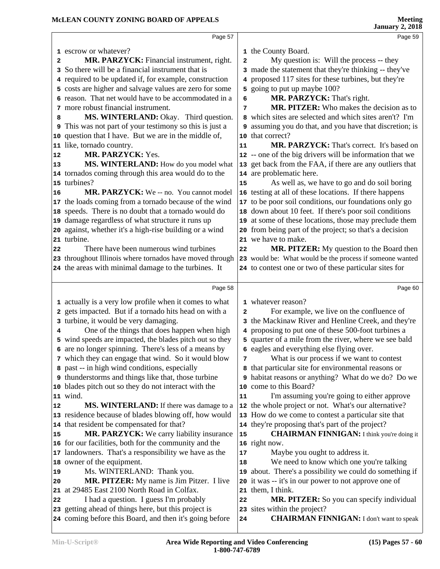|    |                                                                |              | January 2, 2010                                            |
|----|----------------------------------------------------------------|--------------|------------------------------------------------------------|
|    | Page 57                                                        |              | Page 59                                                    |
|    | 1 escrow or whatever?                                          |              | 1 the County Board.                                        |
| 2  | MR. PARZYCK: Financial instrument, right.                      | $\mathbf{2}$ | My question is: Will the process -- they                   |
|    | 3 So there will be a financial instrument that is              |              | 3 made the statement that they're thinking -- they've      |
|    | 4 required to be updated if, for example, construction         |              | 4 proposed 117 sites for these turbines, but they're       |
|    | 5 costs are higher and salvage values are zero for some        |              | 5 going to put up maybe 100?                               |
|    | 6 reason. That net would have to be accommodated in a          | 6            | MR. PARZYCK: That's right.                                 |
|    | 7 more robust financial instrument.                            | 7            | MR. PITZER: Who makes the decision as to                   |
| 8  | MS. WINTERLAND: Okay. Third question.                          |              | 8 which sites are selected and which sites aren't? I'm     |
|    | <b>9</b> This was not part of your testimony so this is just a |              | 9 assuming you do that, and you have that discretion; is   |
|    | 10 question that I have. But we are in the middle of,          |              | 10 that correct?                                           |
|    | 11 like, tornado country.                                      | 11           | MR. PARZYCK: That's correct. It's based on                 |
| 12 | MR. PARZYCK: Yes.                                              |              | 12 -- one of the big drivers will be information that we   |
| 13 | MS. WINTERLAND: How do you model what                          |              | 13 get back from the FAA, if there are any outliers that   |
|    | 14 tornados coming through this area would do to the           |              | 14 are problematic here.                                   |
|    | 15 turbines?                                                   | 15           | As well as, we have to go and do soil boring               |
| 16 | MR. PARZYCK: We -- no. You cannot model                        |              | 16 testing at all of these locations. If there happens     |
|    | 17 the loads coming from a tornado because of the wind         |              | 17 to be poor soil conditions, our foundations only go     |
|    | 18 speeds. There is no doubt that a tornado would do           |              | 18 down about 10 feet. If there's poor soil conditions     |
|    | 19 damage regardless of what structure it runs up              |              | 19 at some of these locations, those may preclude them     |
|    | 20 against, whether it's a high-rise building or a wind        |              | 20 from being part of the project; so that's a decision    |
|    | 21 turbine.                                                    |              | 21 we have to make.                                        |
| 22 | There have been numerous wind turbines                         | 22           | <b>MR. PITZER:</b> My question to the Board then           |
|    | 23 throughout Illinois where tornados have moved through       |              | 23 would be: What would be the process if someone wanted   |
|    | 24 the areas with minimal damage to the turbines. It           |              | 24 to contest one or two of these particular sites for     |
|    |                                                                |              |                                                            |
|    | Page 58                                                        |              | Page 60                                                    |
|    | 1 actually is a very low profile when it comes to what         |              | 1 whatever reason?                                         |
|    | 2 gets impacted. But if a tornado hits head on with a          | 2            | For example, we live on the confluence of                  |
|    | 3 turbine, it would be very damaging.                          |              | 3 the Mackinaw River and Henline Creek, and they're        |
| 4  | One of the things that does happen when high                   |              | 4 proposing to put one of these 500-foot turbines a        |
|    | 5 wind speeds are impacted, the blades pitch out so they       |              | 5 quarter of a mile from the river, where we see bald      |
| 6  | are no longer spinning. There's less of a means by             |              | 6 eagles and everything else flying over.                  |
|    | 7 which they can engage that wind. So it would blow            | 7            | What is our process if we want to contest                  |
|    | 8 past -- in high wind conditions, especially                  |              | 8 that particular site for environmental reasons or        |
|    | <b>9</b> thunderstorms and things like that, those turbine     |              | <b>9</b> habitat reasons or anything? What do we do? Do we |
|    | 10 blades pitch out so they do not interact with the           |              | 10 come to this Board?                                     |
|    | 11 wind.                                                       | 11           | I'm assuming you're going to either approve                |
| 12 | MS. WINTERLAND: If there was damage to a                       |              | 12 the whole project or not. What's our alternative?       |
|    | 13 residence because of blades blowing off, how would          |              | 13 How do we come to contest a particular site that        |
|    | 14 that resident be compensated for that?                      |              | 14 they're proposing that's part of the project?           |
| 15 | MR. PARZYCK: We carry liability insurance                      | 15           | <b>CHAIRMAN FINNIGAN:</b> I think you're doing it          |
|    | 16 for our facilities, both for the community and the          |              | 16 right now.                                              |
|    | 17 landowners. That's a responsibility we have as the          | 17           | Maybe you ought to address it.                             |
|    | 18 owner of the equipment.                                     | 18           | We need to know which one you're talking                   |
| 19 | Ms. WINTERLAND: Thank you.                                     |              | 19 about. There's a possibility we could do something if   |
| 20 | <b>MR. PITZER:</b> My name is Jim Pitzer. I live               |              | 20 it was -- it's in our power to not approve one of       |
|    | 21 at 29485 East 2100 North Road in Colfax.                    |              | 21 them, I think.                                          |
| 22 | I had a question. I guess I'm probably                         | 22           | MR. PITZER: So you can specify individual                  |
|    | 23 getting ahead of things here, but this project is           |              | 23 sites within the project?                               |
|    | 24 coming before this Board, and then it's going before        | 24           | <b>CHAIRMAN FINNIGAN:</b> I don't want to speak            |
|    |                                                                |              |                                                            |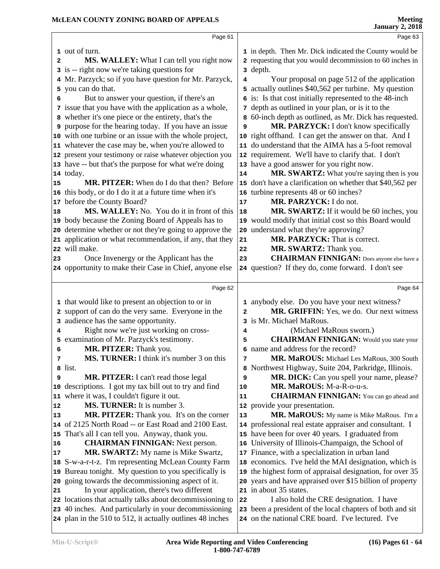|          | Page 61                                                                                            |      | Page 63                                                                                                     |  |
|----------|----------------------------------------------------------------------------------------------------|------|-------------------------------------------------------------------------------------------------------------|--|
|          | 1 out of turn.                                                                                     |      | 1 in depth. Then Mr. Dick indicated the County would be                                                     |  |
| 2        | MS. WALLEY: What I can tell you right now                                                          |      | 2 requesting that you would decommission to 60 inches in                                                    |  |
|          | 3 is -- right now we're taking questions for                                                       |      | 3 depth.                                                                                                    |  |
|          | 4 Mr. Parzyck; so if you have question for Mr. Parzyck,                                            | 4    | Your proposal on page 512 of the application                                                                |  |
|          | 5 you can do that.                                                                                 |      | 5 actually outlines \$40,562 per turbine. My question                                                       |  |
| 6        | But to answer your question, if there's an                                                         |      | 6 is: Is that cost initially represented to the 48-inch                                                     |  |
|          | 7 issue that you have with the application as a whole,                                             |      | 7 depth as outlined in your plan, or is it to the                                                           |  |
|          | 8 whether it's one piece or the entirety, that's the                                               | 8    | 60-inch depth as outlined, as Mr. Dick has requested.                                                       |  |
|          | <b>9</b> purpose for the hearing today. If you have an issue                                       | 9    | MR. PARZYCK: I don't know specifically                                                                      |  |
|          | 10 with one turbine or an issue with the whole project,                                            |      | 10 right offhand. I can get the answer on that. And I                                                       |  |
|          | 11 whatever the case may be, when you're allowed to                                                |      | 11 do understand that the AIMA has a 5-foot removal                                                         |  |
|          | 12 present your testimony or raise whatever objection you                                          |      | 12 requirement. We'll have to clarify that. I don't                                                         |  |
|          | 13 have -- but that's the purpose for what we're doing                                             |      | 13 have a good answer for you right now.                                                                    |  |
|          | 14 today.                                                                                          | 14   | MR. SWARTZ: What you're saying then is you                                                                  |  |
| 15       | MR. PITZER: When do I do that then? Before                                                         |      | 15 don't have a clarification on whether that \$40,562 per                                                  |  |
|          | 16 this body, or do I do it at a future time when it's                                             |      | 16 turbine represents 48 or 60 inches?                                                                      |  |
| 17       | before the County Board?                                                                           | $17$ | MR. PARZYCK: I do not.                                                                                      |  |
| 18       | <b>MS. WALLEY:</b> No. You do it in front of this                                                  | 18   | MR. SWARTZ: If it would be 60 inches, you                                                                   |  |
|          | 19 body because the Zoning Board of Appeals has to                                                 |      | 19 would modify that initial cost so this Board would                                                       |  |
|          | 20 determine whether or not they're going to approve the                                           |      | 20 understand what they're approving?                                                                       |  |
|          | 21 application or what recommendation, if any, that they                                           | 21   | MR. PARZYCK: That is correct.                                                                               |  |
|          | 22 will make.                                                                                      | 22   | MR. SWARTZ: Thank you.<br><b>CHAIRMAN FINNIGAN:</b> Does anyone else have a                                 |  |
| 23       | Once Invenergy or the Applicant has the<br>24 opportunity to make their Case in Chief, anyone else | 23   | 24 question? If they do, come forward. I don't see                                                          |  |
|          |                                                                                                    |      |                                                                                                             |  |
|          | Page 62                                                                                            |      | Page 64                                                                                                     |  |
|          | 1 that would like to present an objection to or in                                                 |      | 1 anybody else. Do you have your next witness?                                                              |  |
|          | 2 support of can do the very same. Everyone in the                                                 | 2    | MR. GRIFFIN: Yes, we do. Our next witness                                                                   |  |
|          | 3 audience has the same opportunity.                                                               |      | 3 is Mr. Michael MaRous.                                                                                    |  |
| 4        | Right now we're just working on cross-                                                             | 4    | (Michael MaRous sworn.)                                                                                     |  |
| 5        | examination of Mr. Parzyck's testimony.                                                            | 5    | <b>CHAIRMAN FINNIGAN:</b> Would you state your                                                              |  |
| 6        | MR. PITZER: Thank you.                                                                             |      | 6 name and address for the record?                                                                          |  |
| 7        | MS. TURNER: I think it's number 3 on this                                                          | 7    | MR. MaROUS: Michael Les MaRous, 300 South                                                                   |  |
|          | 8 list.                                                                                            | 8    | Northwest Highway, Suite 204, Parkridge, Illinois.                                                          |  |
| 9        | MR. PITZER: I can't read those legal                                                               | 9    | MR. DICK: Can you spell your name, please?                                                                  |  |
| 10       | descriptions. I got my tax bill out to try and find                                                | 10   | MR. MaROUS: M-a-R-o-u-s.                                                                                    |  |
|          | 11 where it was, I couldn't figure it out.                                                         | 11   | <b>CHAIRMAN FINNIGAN:</b> You can go ahead and                                                              |  |
| 12       | <b>MS. TURNER:</b> It is number 3.                                                                 |      | 12 provide your presentation.                                                                               |  |
| 13       | MR. PITZER: Thank you. It's on the corner                                                          | 13   | MR. MaROUS: My name is Mike MaRous. I'm a                                                                   |  |
|          | 14 of 2125 North Road -- or East Road and 2100 East.                                               |      | 14 professional real estate appraiser and consultant. I<br>15 have been for over 40 years. I graduated from |  |
|          | 15 That's all I can tell you. Anyway, thank you.<br><b>CHAIRMAN FINNIGAN:</b> Next person.         |      | University of Illinois-Champaign, the School of                                                             |  |
| 16<br>17 | <b>MR. SWARTZ:</b> My name is Mike Swartz,                                                         | 16   | 17 Finance, with a specialization in urban land                                                             |  |
|          | 18 S-w-a-r-t-z. I'm representing McLean County Farm                                                |      | 18 economics. I've held the MAI designation, which is                                                       |  |
|          | 19 Bureau tonight. My question to you specifically is                                              |      | 19 the highest form of appraisal designation, for over 35                                                   |  |
|          | 20 going towards the decommissioning aspect of it.                                                 |      | 20 years and have appraised over \$15 billion of property                                                   |  |
| 21       | In your application, there's two different                                                         |      | 21 in about 35 states.                                                                                      |  |
|          | 22 locations that actually talks about decommissioning to                                          | 22   | I also hold the CRE designation. I have                                                                     |  |
|          | 23 40 inches. And particularly in your decommissioning                                             |      | 23 been a president of the local chapters of both and sit                                                   |  |
|          | 24 plan in the 510 to 512, it actually outlines 48 inches                                          |      | 24 on the national CRE board. I've lectured. I've                                                           |  |
|          |                                                                                                    |      |                                                                                                             |  |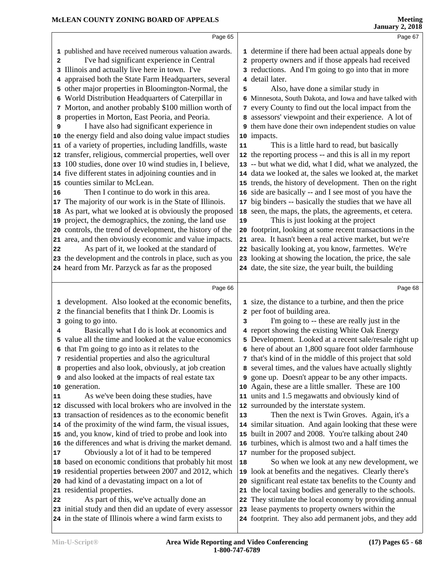|          |                                                                                                      |    | January 2, 2018                                                                                            |
|----------|------------------------------------------------------------------------------------------------------|----|------------------------------------------------------------------------------------------------------------|
|          | Page 65                                                                                              |    | Page 67                                                                                                    |
|          | 1 published and have received numerous valuation awards.                                             |    | 1 determine if there had been actual appeals done by                                                       |
| 2        | I've had significant experience in Central                                                           |    | 2 property owners and if those appeals had received                                                        |
|          | 3 Illinois and actually live here in town. I've                                                      |    | 3 reductions. And I'm going to go into that in more                                                        |
|          | 4 appraised both the State Farm Headquarters, several                                                |    | 4 detail later.                                                                                            |
|          | 5 other major properties in Bloomington-Normal, the                                                  | 5  | Also, have done a similar study in                                                                         |
|          | 6 World Distribution Headquarters of Caterpillar in                                                  |    | 6 Minnesota, South Dakota, and Iowa and have talked with                                                   |
|          | 7 Morton, and another probably \$100 million worth of                                                |    | 7 every County to find out the local impact from the                                                       |
|          | 8 properties in Morton, East Peoria, and Peoria.                                                     |    | 8 assessors' viewpoint and their experience. A lot of                                                      |
| 9        | I have also had significant experience in                                                            |    | 9 them have done their own independent studies on value                                                    |
|          | 10 the energy field and also doing value impact studies                                              |    | 10 impacts.                                                                                                |
|          | 11 of a variety of properties, including landfills, waste                                            | 11 | This is a little hard to read, but basically                                                               |
|          | 12 transfer, religious, commercial properties, well over                                             |    | 12 the reporting process -- and this is all in my report                                                   |
|          | 13 100 studies, done over 10 wind studies in, I believe,                                             |    | 13 -- but what we did, what I did, what we analyzed, the                                                   |
|          | 14 five different states in adjoining counties and in                                                |    | 14 data we looked at, the sales we looked at, the market                                                   |
|          | 15 counties similar to McLean.                                                                       |    | 15 trends, the history of development. Then on the right                                                   |
| 16       | Then I continue to do work in this area.                                                             |    | 16 side are basically -- and I see most of you have the                                                    |
| 17       | The majority of our work is in the State of Illinois.                                                |    | 17 big binders -- basically the studies that we have all                                                   |
| 18       | As part, what we looked at is obviously the proposed                                                 |    | 18 seen, the maps, the plats, the agreements, et cetera.                                                   |
|          | 19 project, the demographics, the zoning, the land use                                               | 19 | This is just looking at the project                                                                        |
|          | 20 controls, the trend of development, the history of the                                            |    | 20 footprint, looking at some recent transactions in the                                                   |
|          | 21 area, and then obviously economic and value impacts.                                              |    | 21 area. It hasn't been a real active market, but we're                                                    |
| 22       | As part of it, we looked at the standard of                                                          |    | 22 basically looking at, you know, farmettes. We're                                                        |
|          | 23 the development and the controls in place, such as you                                            |    | 23 looking at showing the location, the price, the sale                                                    |
|          | 24 heard from Mr. Parzyck as far as the proposed                                                     |    | 24 date, the site size, the year built, the building                                                       |
|          | Page 66                                                                                              |    | Page 68                                                                                                    |
|          | 1 development. Also looked at the economic benefits,                                                 |    | 1 size, the distance to a turbine, and then the price                                                      |
|          | 2 the financial benefits that I think Dr. Loomis is                                                  |    | 2 per foot of building area.                                                                               |
|          | 3 going to go into.                                                                                  | 3  | I'm going to -- these are really just in the                                                               |
| 4        | Basically what I do is look at economics and                                                         |    | 4 report showing the existing White Oak Energy                                                             |
|          | 5 value all the time and looked at the value economics                                               |    | 5 Development. Looked at a recent sale/resale right up                                                     |
|          | 6 that I'm going to go into as it relates to the                                                     |    | 6 here of about an 1,800 square foot older farmhouse                                                       |
|          | 7 residential properties and also the agricultural                                                   |    | 7 that's kind of in the middle of this project that sold                                                   |
|          | 8 properties and also look, obviously, at job creation                                               |    | 8 several times, and the values have actually slightly                                                     |
|          | <b>9</b> and also looked at the impacts of real estate tax                                           |    | <b>9</b> gone up. Doesn't appear to be any other impacts.                                                  |
|          | 10 generation.                                                                                       |    | 10 Again, these are a little smaller. These are 100                                                        |
| 11       | As we've been doing these studies, have                                                              |    | 11 units and 1.5 megawatts and obviously kind of                                                           |
|          | 12 discussed with local brokers who are involved in the                                              |    | 12 surrounded by the interstate system.                                                                    |
|          | 13 transaction of residences as to the economic benefit                                              | 13 | Then the next is Twin Groves. Again, it's a                                                                |
|          | 14 of the proximity of the wind farm, the visual issues,                                             |    | 14 similar situation. And again looking that these were                                                    |
|          |                                                                                                      |    | 15 built in 2007 and 2008. You're talking about 240                                                        |
|          |                                                                                                      |    |                                                                                                            |
|          | 15 and, you know, kind of tried to probe and look into                                               |    |                                                                                                            |
|          | the differences and what is driving the market demand.                                               |    | 16 turbines, which is almost two and a half times the                                                      |
| 16<br>17 | Obviously a lot of it had to be tempered                                                             |    | 17 number for the proposed subject.                                                                        |
|          | 18 based on economic conditions that probably hit most                                               | 18 |                                                                                                            |
|          | 19 residential properties between 2007 and 2012, which                                               |    | 19 look at benefits and the negatives. Clearly there's                                                     |
|          | 20 had kind of a devastating impact on a lot of                                                      |    | So when we look at any new development, we<br>20 significant real estate tax benefits to the County and    |
| 22       | 21 residential properties.                                                                           |    | 21 the local taxing bodies and generally to the schools.                                                   |
|          | As part of this, we've actually done an<br>23 initial study and then did an update of every assessor |    | 22 They stimulate the local economy by providing annual<br>23 lease payments to property owners within the |

in the state of Illinois where a wind farm exists to

footprint. They also add permanent jobs, and they add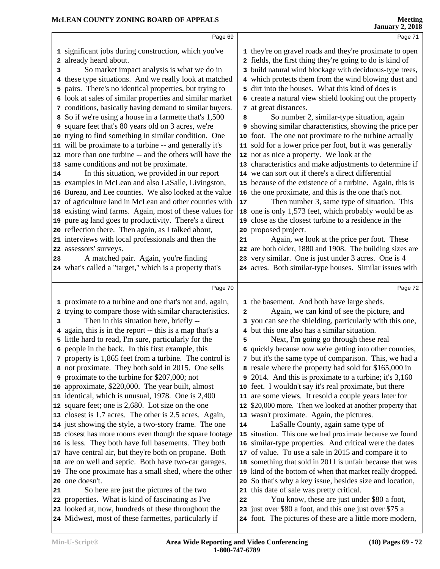|        | Page 69                                                                                                                                                                                                                                                                                                                                                                                                                                                                                                                                                                                                                                                                                       |                   | Page 71                                                                                                                                                                                                                                                                                                                                                                                                                                                                                                                                                                                                                                                                                  |
|--------|-----------------------------------------------------------------------------------------------------------------------------------------------------------------------------------------------------------------------------------------------------------------------------------------------------------------------------------------------------------------------------------------------------------------------------------------------------------------------------------------------------------------------------------------------------------------------------------------------------------------------------------------------------------------------------------------------|-------------------|------------------------------------------------------------------------------------------------------------------------------------------------------------------------------------------------------------------------------------------------------------------------------------------------------------------------------------------------------------------------------------------------------------------------------------------------------------------------------------------------------------------------------------------------------------------------------------------------------------------------------------------------------------------------------------------|
| 3      | 1 significant jobs during construction, which you've<br>2 already heard about.<br>So market impact analysis is what we do in<br>4 these type situations. And we really look at matched<br>5 pairs. There's no identical properties, but trying to<br>6 look at sales of similar properties and similar market<br>7 conditions, basically having demand to similar buyers.                                                                                                                                                                                                                                                                                                                     |                   | 1 they're on gravel roads and they're proximate to open<br>2 fields, the first thing they're going to do is kind of<br>3 build natural wind blockage with deciduous-type trees,<br>4 which protects them from the wind blowing dust and<br>5 dirt into the houses. What this kind of does is<br>6 create a natural view shield looking out the property<br>7 at great distances.                                                                                                                                                                                                                                                                                                         |
| 14     | 8 So if we're using a house in a farmette that's 1,500<br>9 square feet that's 80 years old on 3 acres, we're<br>10 trying to find something in similar condition. One<br>11 will be proximate to a turbine -- and generally it's<br>12 more than one turbine -- and the others will have the<br>13 same conditions and not be proximate.<br>In this situation, we provided in our report<br>15 examples in McLean and also LaSalle, Livingston,<br>16 Bureau, and Lee counties. We also looked at the value<br>17 of agriculture land in McLean and other counties with<br>18 existing wind farms. Again, most of these values for<br>19 pure ag land goes to productivity. There's a direct | 8<br>$17\,$       | So number 2, similar-type situation, again<br><b>9</b> showing similar characteristics, showing the price per<br>10 foot. The one not proximate to the turbine actually<br>11 sold for a lower price per foot, but it was generally<br>12 not as nice a property. We look at the<br>13 characteristics and make adjustments to determine if<br>14 we can sort out if there's a direct differential<br>15 because of the existence of a turbine. Again, this is<br>16 the one proximate, and this is the one that's not.<br>Then number 3, same type of situation. This<br>18 one is only 1,573 feet, which probably would be as<br>19 close as the closest turbine to a residence in the |
| 23     | 20 reflection there. Then again, as I talked about,<br>21 interviews with local professionals and then the<br>22 assessors' surveys.<br>A matched pair. Again, you're finding<br>24 what's called a "target," which is a property that's                                                                                                                                                                                                                                                                                                                                                                                                                                                      | 21                | 20 proposed project.<br>Again, we look at the price per foot. These<br>22 are both older, 1880 and 1908. The building sizes are<br>23 very similar. One is just under 3 acres. One is 4<br>24 acres. Both similar-type houses. Similar issues with                                                                                                                                                                                                                                                                                                                                                                                                                                       |
|        |                                                                                                                                                                                                                                                                                                                                                                                                                                                                                                                                                                                                                                                                                               |                   |                                                                                                                                                                                                                                                                                                                                                                                                                                                                                                                                                                                                                                                                                          |
|        |                                                                                                                                                                                                                                                                                                                                                                                                                                                                                                                                                                                                                                                                                               |                   |                                                                                                                                                                                                                                                                                                                                                                                                                                                                                                                                                                                                                                                                                          |
| з<br>4 | Page 70<br>1 proximate to a turbine and one that's not and, again,<br>2 trying to compare those with similar characteristics.<br>Then in this situation here, briefly --<br>again, this is in the report -- this is a map that's a<br>5 little hard to read, I'm sure, particularly for the<br>6 people in the back. In this first example, this<br>7 property is 1,865 feet from a turbine. The control is                                                                                                                                                                                                                                                                                   | $\mathbf{2}$<br>5 | Page 72<br>1 the basement. And both have large sheds.<br>Again, we can kind of see the picture, and<br>3 you can see the shielding, particularly with this one,<br>4 but this one also has a similar situation.<br>Next, I'm going go through these real<br>6 quickly because now we're getting into other counties,<br>7 but it's the same type of comparison. This, we had a                                                                                                                                                                                                                                                                                                           |
|        | 8 not proximate. They both sold in 2015. One sells<br><b>9</b> proximate to the turbine for \$207,000; not<br>10 approximate, \$220,000. The year built, almost<br>11 identical, which is unusual, 1978. One is 2,400<br>12 square feet; one is 2,680. Lot size on the one<br>13 closest is 1.7 acres. The other is 2.5 acres. Again,                                                                                                                                                                                                                                                                                                                                                         |                   | 8 resale where the property had sold for \$165,000 in<br>2014. And this is proximate to a turbine; it's 3,160<br>10 feet. I wouldn't say it's real proximate, but there<br>11 are some views. It resold a couple years later for<br>12 \$20,000 more. Then we looked at another property that<br>13 wasn't proximate. Again, the pictures.                                                                                                                                                                                                                                                                                                                                               |
| 21     | 14 just showing the style, a two-story frame. The one<br>15 closest has more rooms even though the square footage<br>16 is less. They both have full basements. They both<br>17 have central air, but they're both on propane. Both<br>18 are on well and septic. Both have two-car garages.<br>19 The one proximate has a small shed, where the other<br>20 one doesn't.<br>So here are just the pictures of the two<br>22 properties. What is kind of fascinating as I've<br>23 looked at, now, hundreds of these throughout the                                                                                                                                                            | 14<br>22          | LaSalle County, again same type of<br>15 situation. This one we had proximate because we found<br>16 similar-type properties. And critical were the dates<br>17 of value. To use a sale in 2015 and compare it to<br>18 something that sold in 2011 is unfair because that was<br>19 kind of the bottom of when that market really dropped.<br>20 So that's why a key issue, besides size and location,<br>21 this date of sale was pretty critical.<br>You know, these are just under \$80 a foot,<br>23 just over \$80 a foot, and this one just over \$75 a                                                                                                                           |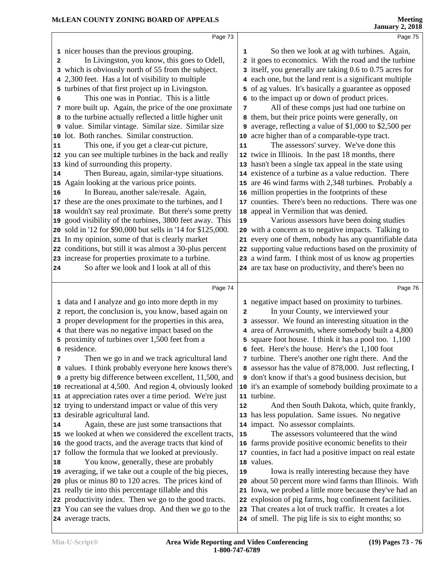|              | Page 73                                                                     |    | Page 75                                                                                                          |  |
|--------------|-----------------------------------------------------------------------------|----|------------------------------------------------------------------------------------------------------------------|--|
|              | 1 nicer houses than the previous grouping.                                  | 1  | So then we look at ag with turbines. Again,                                                                      |  |
| $\mathbf{2}$ | In Livingston, you know, this goes to Odell,                                |    | 2 it goes to economics. With the road and the turbine                                                            |  |
|              | 3 which is obviously north of 55 from the subject.                          |    | 3 itself, you generally are taking 0.6 to 0.75 acres for                                                         |  |
|              | 4 2,300 feet. Has a lot of visibility to multiple                           |    | 4 each one, but the land rent is a significant multiple                                                          |  |
|              | 5 turbines of that first project up in Livingston.                          |    | 5 of ag values. It's basically a guarantee as opposed                                                            |  |
| 6            | This one was in Pontiac. This is a little                                   |    | 6 to the impact up or down of product prices.                                                                    |  |
|              | 7 more built up. Again, the price of the one proximate                      | 7  | All of these comps just had one turbine on                                                                       |  |
|              | 8 to the turbine actually reflected a little higher unit                    |    | 8 them, but their price points were generally, on                                                                |  |
|              | 9 value. Similar vintage. Similar size. Similar size                        |    | 9 average, reflecting a value of \$1,000 to \$2,500 per                                                          |  |
|              | 10 lot. Both ranches. Similar construction.                                 |    | 10 acre higher than of a comparable-type tract.                                                                  |  |
| 11           | This one, if you get a clear-cut picture,                                   | 11 | The assessors' survey. We've done this                                                                           |  |
|              | 12 you can see multiple turbines in the back and really                     |    | 12 twice in Illinois. In the past 18 months, there                                                               |  |
|              | 13 kind of surrounding this property.                                       |    | 13 hasn't been a single tax appeal in the state using                                                            |  |
| 14           | Then Bureau, again, similar-type situations.                                |    | 14 existence of a turbine as a value reduction. There                                                            |  |
|              | 15 Again looking at the various price points.                               |    | 15 are 46 wind farms with 2,348 turbines. Probably a                                                             |  |
| 16           | In Bureau, another sale/resale. Again,                                      |    | 16 million properties in the footprints of these                                                                 |  |
|              | 17 these are the ones proximate to the turbines, and I                      |    | 17 counties. There's been no reductions. There was one                                                           |  |
| 18           | wouldn't say real proximate. But there's some pretty                        | 18 | appeal in Vermilion that was denied.                                                                             |  |
|              | 19 good visibility of the turbines, 3800 feet away. This                    | 19 | Various assessors have been doing studies                                                                        |  |
|              | 20 sold in '12 for \$90,000 but sells in '14 for \$125,000.                 |    | 20 with a concern as to negative impacts. Talking to                                                             |  |
|              | 21 In my opinion, some of that is clearly market                            |    | 21 every one of them, nobody has any quantifiable data                                                           |  |
|              | 22 conditions, but still it was almost a 30-plus percent                    |    | 22 supporting value reductions based on the proximity of                                                         |  |
|              | 23 increase for properties proximate to a turbine.                          |    | 23 a wind farm. I think most of us know ag properties                                                            |  |
| 24           | So after we look and I look at all of this                                  |    | 24 are tax base on productivity, and there's been no                                                             |  |
|              |                                                                             |    |                                                                                                                  |  |
|              | Page 74                                                                     |    | Page 76                                                                                                          |  |
|              | 1 data and I analyze and go into more depth in my                           |    | 1 negative impact based on proximity to turbines.                                                                |  |
|              | 2 report, the conclusion is, you know, based again on                       | 2  | In your County, we interviewed your                                                                              |  |
|              | 3 proper development for the properties in this area,                       |    | 3 assessor. We found an interesting situation in the                                                             |  |
|              | 4 that there was no negative impact based on the                            |    | 4 area of Arrowsmith, where somebody built a 4,800                                                               |  |
|              | 5 proximity of turbines over 1,500 feet from a                              |    | 5 square foot house. I think it has a pool too. 1,100                                                            |  |
|              | 6 residence.                                                                |    | 6 feet. Here's the house. Here's the 1,100 foot                                                                  |  |
| 7            | Then we go in and we track agricultural land                                |    | 7 turbine. There's another one right there. And the                                                              |  |
|              | 8 values. I think probably everyone here knows there's                      |    | 8 assessor has the value of 878,000. Just reflecting, I                                                          |  |
|              | 9 a pretty big difference between excellent, 11,500, and                    |    | <b>9</b> don't know if that's a good business decision, but                                                      |  |
|              | 10 recreational at 4,500. And region 4, obviously looked                    |    | 10 it's an example of somebody building proximate to a                                                           |  |
| 11           | at appreciation rates over a time period. We're just                        |    | 11 turbine.                                                                                                      |  |
|              | 12 trying to understand impact or value of this very                        | 12 | And then South Dakota, which, quite frankly,                                                                     |  |
|              | 13 desirable agricultural land.                                             |    | 13 has less population. Same issues. No negative                                                                 |  |
| 14           | Again, these are just some transactions that                                |    | 14 impact. No assessor complaints.                                                                               |  |
|              | 15 we looked at when we considered the excellent tracts,                    | 15 | The assessors volunteered that the wind                                                                          |  |
|              | 16 the good tracts, and the average tracts that kind of                     |    | 16 farms provide positive economic benefits to their                                                             |  |
| 17           | follow the formula that we looked at previously.                            |    | 17 counties, in fact had a positive impact on real estate                                                        |  |
|              |                                                                             |    | 18 values.                                                                                                       |  |
| 18           | You know, generally, these are probably                                     |    |                                                                                                                  |  |
|              | 19 averaging, if we take out a couple of the big pieces,                    | 19 | Iowa is really interesting because they have                                                                     |  |
|              | 20 plus or minus 80 to 120 acres. The prices kind of                        | 20 | about 50 percent more wind farms than Illinois. With                                                             |  |
|              | 21 really tie into this percentage tillable and this                        |    | 21 Iowa, we probed a little more because they've had an                                                          |  |
|              | 22 productivity index. Then we go to the good tracts.                       |    | 22 explosion of pig farms, hog confinement facilities.                                                           |  |
|              | 23 You can see the values drop. And then we go to the<br>24 average tracts. |    | 23 That creates a lot of truck traffic. It creates a lot<br>24 of smell. The pig life is six to eight months; so |  |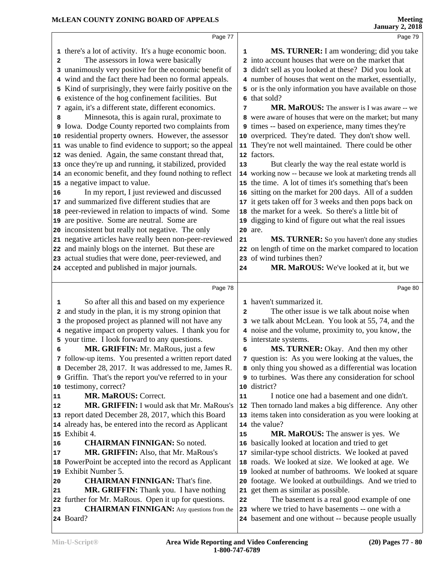|    | Page 77                                                       |              | Page 79                                                                                                    |  |
|----|---------------------------------------------------------------|--------------|------------------------------------------------------------------------------------------------------------|--|
|    | 1 there's a lot of activity. It's a huge economic boon.       | 1            | MS. TURNER: I am wondering; did you take                                                                   |  |
| 2  | The assessors in Iowa were basically                          |              | 2 into account houses that were on the market that                                                         |  |
| 3  | unanimously very positive for the economic benefit of         |              | 3 didn't sell as you looked at these? Did you look at                                                      |  |
|    | 4 wind and the fact there had been no formal appeals.         |              | 4 number of houses that went on the market, essentially,                                                   |  |
|    | 5 Kind of surprisingly, they were fairly positive on the      |              | 5 or is the only information you have available on those                                                   |  |
|    | 6 existence of the hog confinement facilities. But            |              | 6 that sold?                                                                                               |  |
| 7  | again, it's a different state, different economics.           | 7            | <b>MR. MaROUS:</b> The answer is I was aware -- we                                                         |  |
| 8  | Minnesota, this is again rural, proximate to                  |              | 8 were aware of houses that were on the market; but many                                                   |  |
|    | Iowa. Dodge County reported two complaints from               |              | 9 times -- based on experience, many times they're                                                         |  |
|    | 10 residential property owners. However, the assessor         | 10           | overpriced. They're dated. They don't show well.                                                           |  |
|    | 11 was unable to find evidence to support; so the appeal      | 11           | They're not well maintained. There could be other                                                          |  |
|    | 12 was denied. Again, the same constant thread that,          |              | 12 factors.                                                                                                |  |
|    | 13 once they're up and running, it stabilized, provided       | 13           | But clearly the way the real estate world is                                                               |  |
|    | 14 an economic benefit, and they found nothing to reflect     |              | 14 working now -- because we look at marketing trends all                                                  |  |
|    | 15 a negative impact to value.                                |              | 15 the time. A lot of times it's something that's been                                                     |  |
| 16 | In my report, I just reviewed and discussed                   |              | 16 sitting on the market for 200 days. All of a sudden                                                     |  |
|    | 17 and summarized five different studies that are             |              | 17 it gets taken off for 3 weeks and then pops back on                                                     |  |
|    | 18 peer-reviewed in relation to impacts of wind. Some         |              | 18 the market for a week. So there's a little bit of                                                       |  |
|    | 19 are positive. Some are neutral. Some are                   |              | 19 digging to kind of figure out what the real issues                                                      |  |
|    | 20 inconsistent but really not negative. The only             |              | 20 are.                                                                                                    |  |
|    | 21 negative articles have really been non-peer-reviewed       | 21           | MS. TURNER: So you haven't done any studies                                                                |  |
|    | 22 and mainly blogs on the internet. But these are            |              | 22 on length of time on the market compared to location                                                    |  |
|    | 23 actual studies that were done, peer-reviewed, and          |              | 23 of wind turbines then?                                                                                  |  |
|    | 24 accepted and published in major journals.                  | 24           | MR. MaROUS: We've looked at it, but we                                                                     |  |
|    |                                                               |              |                                                                                                            |  |
|    |                                                               |              |                                                                                                            |  |
|    | Page 78                                                       |              | Page 80                                                                                                    |  |
| 1  | So after all this and based on my experience                  |              | 1 haven't summarized it.                                                                                   |  |
|    | 2 and study in the plan, it is my strong opinion that         | $\mathbf{2}$ | The other issue is we talk about noise when                                                                |  |
|    | 3 the proposed project as planned will not have any           |              | 3 we talk about McLean. You look at 55, 74, and the                                                        |  |
|    | 4 negative impact on property values. I thank you for         |              | 4 noise and the volume, proximity to, you know, the                                                        |  |
|    | 5 your time. I look forward to any questions.                 |              | 5 interstate systems.                                                                                      |  |
| 6  | MR. GRIFFIN: Mr. MaRous, just a few                           | 6            | MS. TURNER: Okay. And then my other                                                                        |  |
|    | 7 follow-up items. You presented a written report dated       |              | 7 question is: As you were looking at the values, the                                                      |  |
|    | 8 December 28, 2017. It was addressed to me, James R.         |              | 8 only thing you showed as a differential was location                                                     |  |
|    | 9 Griffin. That's the report you've referred to in your       |              | <b>9</b> to turbines. Was there any consideration for school                                               |  |
|    | 10 testimony, correct?                                        | 10           | district?                                                                                                  |  |
| 11 | <b>MR. MaROUS: Correct.</b>                                   | 11           | I notice one had a basement and one didn't.                                                                |  |
| 12 | MR. GRIFFIN: I would ask that Mr. MaRous's                    |              | 12 Then tornado land makes a big difference. Any other                                                     |  |
|    | 13 report dated December 28, 2017, which this Board           |              | 13 items taken into consideration as you were looking at                                                   |  |
|    | 14 already has, be entered into the record as Applicant       |              | 14 the value?                                                                                              |  |
|    | 15 Exhibit 4.                                                 | 15           | <b>MR. MaROUS:</b> The answer is yes. We                                                                   |  |
| 16 | <b>CHAIRMAN FINNIGAN: So noted.</b>                           | 16           | basically looked at location and tried to get                                                              |  |
| 17 | MR. GRIFFIN: Also, that Mr. MaRous's                          |              | 17 similar-type school districts. We looked at paved                                                       |  |
|    | 18 PowerPoint be accepted into the record as Applicant        |              | 18 roads. We looked at size. We looked at age. We                                                          |  |
| 19 | Exhibit Number 5.                                             |              | 19 looked at number of bathrooms. We looked at square                                                      |  |
| 20 | <b>CHAIRMAN FINNIGAN: That's fine.</b>                        |              | 20 footage. We looked at outbuildings. And we tried to                                                     |  |
| 21 | MR. GRIFFIN: Thank you. I have nothing                        |              | 21 get them as similar as possible.                                                                        |  |
|    | 22 further for Mr. MaRous. Open it up for questions.          | 22           | The basement is a real good example of one                                                                 |  |
| 23 | <b>CHAIRMAN FINNIGAN:</b> Any questions from the<br>24 Board? |              | 23 where we tried to have basements -- one with a<br>24 basement and one without -- because people usually |  |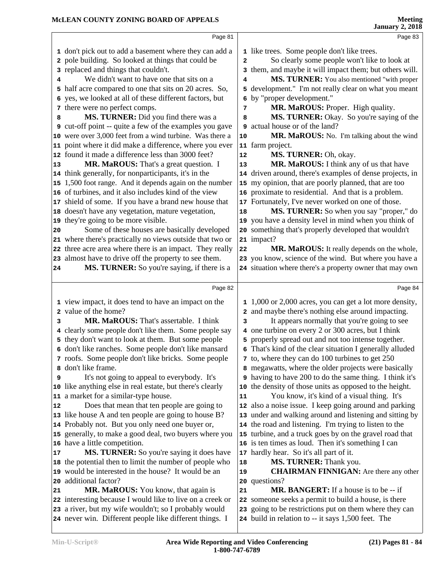|    | Page 81                                                                                                          |              | Page 83                                                                                                      |  |
|----|------------------------------------------------------------------------------------------------------------------|--------------|--------------------------------------------------------------------------------------------------------------|--|
|    | 1 don't pick out to add a basement where they can add a                                                          |              | 1 like trees. Some people don't like trees.                                                                  |  |
|    | 2 pole building. So looked at things that could be                                                               | $\mathbf{2}$ | So clearly some people won't like to look at                                                                 |  |
|    | 3 replaced and things that couldn't.                                                                             |              | 3 them, and maybe it will impact them; but others will.                                                      |  |
| 4  | We didn't want to have one that sits on a                                                                        | 4            | MS. TURNER: You also mentioned "with proper                                                                  |  |
|    | 5 half acre compared to one that sits on 20 acres. So,                                                           |              | 5 development." I'm not really clear on what you meant                                                       |  |
| 6  | yes, we looked at all of these different factors, but                                                            | 6            | by "proper development."                                                                                     |  |
|    | 7 there were no perfect comps.                                                                                   | 7            | MR. MaROUS: Proper. High quality.                                                                            |  |
| 8  | MS. TURNER: Did you find there was a                                                                             | 8            | MS. TURNER: Okay. So you're saying of the                                                                    |  |
|    | <b>9</b> cut-off point -- quite a few of the examples you gave                                                   |              | 9 actual house or of the land?                                                                               |  |
|    | 10 were over 3,000 feet from a wind turbine. Was there a                                                         | 10           | MR. MaROUS: No. I'm talking about the wind                                                                   |  |
|    | 11 point where it did make a difference, where you ever                                                          |              | 11 farm project.                                                                                             |  |
| 12 | found it made a difference less than 3000 feet?                                                                  | ${\bf 12}$   | MS. TURNER: Oh, okay.                                                                                        |  |
|    | MR. MaROUS: That's a great question. I                                                                           | 13           | MR. MaROUS: I think any of us that have                                                                      |  |
| 13 |                                                                                                                  |              | 14 driven around, there's examples of dense projects, in                                                     |  |
|    | 14 think generally, for nonparticipants, it's in the                                                             |              |                                                                                                              |  |
|    | 15 1,500 foot range. And it depends again on the number                                                          |              | 15 my opinion, that are poorly planned, that are too                                                         |  |
|    | 16 of turbines, and it also includes kind of the view                                                            |              | 16 proximate to residential. And that is a problem.                                                          |  |
| 17 | shield of some. If you have a brand new house that                                                               |              | 17 Fortunately, I've never worked on one of those.                                                           |  |
|    | 18 doesn't have any vegetation, mature vegetation,                                                               | 18           | MS. TURNER: So when you say "proper," do                                                                     |  |
|    | 19 they're going to be more visible.                                                                             |              | 19 you have a density level in mind when you think of                                                        |  |
| 20 | Some of these houses are basically developed                                                                     |              | 20 something that's properly developed that wouldn't                                                         |  |
| 21 | where there's practically no views outside that two or                                                           |              | 21 impact?                                                                                                   |  |
|    | 22 three acre area where there is an impact. They really                                                         | 22           | MR. MaROUS: It really depends on the whole,                                                                  |  |
|    | 23 almost have to drive off the property to see them.                                                            |              | 23 you know, science of the wind. But where you have a                                                       |  |
| 24 | MS. TURNER: So you're saying, if there is a                                                                      |              | 24 situation where there's a property owner that may own                                                     |  |
|    |                                                                                                                  |              |                                                                                                              |  |
|    | Page 82                                                                                                          |              | Page 84                                                                                                      |  |
|    |                                                                                                                  |              |                                                                                                              |  |
|    | 1 view impact, it does tend to have an impact on the                                                             |              | 1 1,000 or 2,000 acres, you can get a lot more density,                                                      |  |
|    | 2 value of the home?                                                                                             |              | 2 and maybe there's nothing else around impacting.                                                           |  |
| 3  | MR. MaROUS: That's assertable. I think                                                                           | 3            | It appears normally that you're going to see                                                                 |  |
|    | 4 clearly some people don't like them. Some people say                                                           |              | 4 one turbine on every 2 or 300 acres, but I think                                                           |  |
|    | 5 they don't want to look at them. But some people                                                               |              | 5 properly spread out and not too intense together.                                                          |  |
|    | 6 don't like ranches. Some people don't like mansard                                                             |              | 6 That's kind of the clear situation I generally alluded                                                     |  |
|    | 7 roofs. Some people don't like bricks. Some people                                                              |              | 7 to, where they can do 100 turbines to get 250                                                              |  |
|    | 8 don't like frame.                                                                                              |              | 8 megawatts, where the older projects were basically                                                         |  |
| 9  | It's not going to appeal to everybody. It's                                                                      |              | I think it's having to have 200 to do the same thing. I think it's                                           |  |
|    | 10 like anything else in real estate, but there's clearly                                                        |              | 10 the density of those units as opposed to the height.                                                      |  |
| 11 | a market for a similar-type house.                                                                               | 11           | You know, it's kind of a visual thing. It's                                                                  |  |
| 12 | Does that mean that ten people are going to                                                                      |              | 12 also a noise issue. I keep going around and parking                                                       |  |
|    | 13 like house A and ten people are going to house B?                                                             |              | 13 under and walking around and listening and sitting by                                                     |  |
|    | 14 Probably not. But you only need one buyer or,                                                                 |              | 14 the road and listening. I'm trying to listen to the                                                       |  |
|    | 15 generally, to make a good deal, two buyers where you                                                          |              | 15 turbine, and a truck goes by on the gravel road that                                                      |  |
|    | 16 have a little competition.                                                                                    |              | 16 is ten times as loud. Then it's something I can                                                           |  |
| 17 | MS. TURNER: So you're saying it does have                                                                        |              | 17 hardly hear. So it's all part of it.                                                                      |  |
|    | 18 the potential then to limit the number of people who                                                          | 18           | MS. TURNER: Thank you.                                                                                       |  |
|    | 19 would be interested in the house? It would be an                                                              | 19           | <b>CHAIRMAN FINNIGAN:</b> Are there any other                                                                |  |
| 20 | additional factor?                                                                                               |              | 20 questions?                                                                                                |  |
| 21 | MR. MaROUS: You know, that again is                                                                              | 21           | <b>MR. BANGERT:</b> If a house is to be -- if                                                                |  |
|    | 22 interesting because I would like to live on a creek or                                                        | 22           | someone seeks a permit to build a house, is there                                                            |  |
|    | 23 a river, but my wife wouldn't; so I probably would<br>24 never win. Different people like different things. I |              | 23 going to be restrictions put on them where they can<br>24 build in relation to -- it says 1,500 feet. The |  |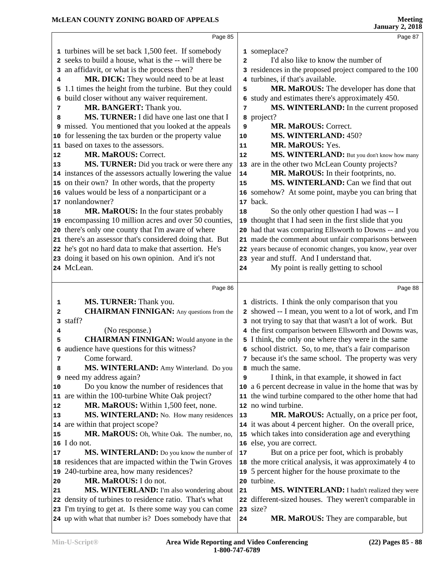|    | Page 85                                                                                                            |              | Page 87                                                   |
|----|--------------------------------------------------------------------------------------------------------------------|--------------|-----------------------------------------------------------|
|    | 1 turbines will be set back 1,500 feet. If somebody                                                                |              | 1 someplace?                                              |
|    | 2 seeks to build a house, what is the -- will there be                                                             | $\mathbf{2}$ | I'd also like to know the number of                       |
|    | 3 an affidavit, or what is the process then?                                                                       |              | 3 residences in the proposed project compared to the 100  |
| 4  | MR. DICK: They would need to be at least                                                                           |              | 4 turbines, if that's available.                          |
|    | 5 1.1 times the height from the turbine. But they could                                                            | 5            | MR. MaROUS: The developer has done that                   |
|    | 6 build closer without any waiver requirement.                                                                     |              | 6 study and estimates there's approximately 450.          |
| 7  | MR. BANGERT: Thank you.                                                                                            | 7            | MS. WINTERLAND: In the current proposed                   |
| 8  | MS. TURNER: I did have one last one that I                                                                         |              | 8 project?                                                |
|    | 9 missed. You mentioned that you looked at the appeals                                                             | 9            | <b>MR. MaROUS: Correct.</b>                               |
|    | 10 for lessening the tax burden or the property value                                                              | 10           | MS. WINTERLAND: 450?                                      |
|    | 11 based on taxes to the assessors.                                                                                | 11           | MR. MaROUS: Yes.                                          |
| 12 | <b>MR. MaROUS: Correct.</b>                                                                                        | 12           | MS. WINTERLAND: But you don't know how many               |
|    |                                                                                                                    |              |                                                           |
| 13 | MS. TURNER: Did you track or were there any                                                                        |              | 13 are in the other two McLean County projects?           |
|    | 14 instances of the assessors actually lowering the value                                                          | 14           | MR. MaROUS: In their footprints, no.                      |
|    | 15 on their own? In other words, that the property                                                                 | 15           | MS. WINTERLAND: Can we find that out                      |
|    | 16 values would be less of a nonparticipant or a                                                                   |              | 16 somehow? At some point, maybe you can bring that       |
|    | 17 nonlandowner?                                                                                                   |              | 17 back.                                                  |
| 18 | MR. MaROUS: In the four states probably                                                                            | 18           | So the only other question I had was -- I                 |
|    | 19 encompassing 10 million acres and over 50 counties,                                                             |              | 19 thought that I had seen in the first slide that you    |
|    | 20 there's only one county that I'm aware of where                                                                 |              | 20 had that was comparing Ellsworth to Downs -- and you   |
|    | 21 there's an assessor that's considered doing that. But                                                           |              | 21 made the comment about unfair comparisons between      |
|    | 22 he's got no hard data to make that assertion. He's                                                              |              | 22 years because of economic changes, you know, year over |
|    | 23 doing it based on his own opinion. And it's not                                                                 |              | 23 year and stuff. And I understand that.                 |
|    | 24 McLean.                                                                                                         | 24           | My point is really getting to school                      |
|    |                                                                                                                    |              |                                                           |
|    | Page 86                                                                                                            |              | Page 88                                                   |
| 1  | MS. TURNER: Thank you.                                                                                             |              | 1 districts. I think the only comparison that you         |
| 2  | <b>CHAIRMAN FINNIGAN:</b> Any questions from the                                                                   |              | 2 showed -- I mean, you went to a lot of work, and I'm    |
|    | 3 staff?                                                                                                           |              |                                                           |
|    |                                                                                                                    |              | 3 not trying to say that that wasn't a lot of work. But   |
| 4  | (No response.)                                                                                                     |              | 4 the first comparison between Ellsworth and Downs was,   |
| 5  | <b>CHAIRMAN FINNIGAN:</b> Would anyone in the                                                                      |              | 5 I think, the only one where they were in the same       |
|    | 6 audience have questions for this witness?                                                                        |              | 6 school district. So, to me, that's a fair comparison    |
| 7  | Come forward.                                                                                                      |              | 7 because it's the same school. The property was very     |
| 8  | MS. WINTERLAND: Amy Winterland. Do you                                                                             |              | 8 much the same.                                          |
|    | 9 need my address again?                                                                                           | 9            | I think, in that example, it showed in fact               |
| 10 | Do you know the number of residences that                                                                          |              | 10 a 6 percent decrease in value in the home that was by  |
|    | 11 are within the 100-turbine White Oak project?                                                                   |              | 11 the wind turbine compared to the other home that had   |
| 12 | MR. MaROUS: Within 1,500 feet, none.                                                                               |              | 12 no wind turbine.                                       |
| 13 | MS. WINTERLAND: No. How many residences                                                                            | 13           | MR. MaROUS: Actually, on a price per foot,                |
|    | 14 are within that project scope?                                                                                  |              | 14 it was about 4 percent higher. On the overall price,   |
| 15 | MR. MaROUS: Oh, White Oak. The number, no,                                                                         |              | 15 which takes into consideration age and everything      |
|    | $\vert$ 16 I do not.                                                                                               |              | 16 else, you are correct.                                 |
| 17 | MS. WINTERLAND: Do you know the number of                                                                          | 17           | But on a price per foot, which is probably                |
|    | 18 residences that are impacted within the Twin Groves                                                             |              | 18 the more critical analysis, it was approximately 4 to  |
|    | 19 240-turbine area, how many residences?                                                                          |              | 19 5 percent higher for the house proximate to the        |
| 20 | MR. MaROUS: I do not.                                                                                              |              | 20 turbine.                                               |
| 21 |                                                                                                                    | 21           | MS. WINTERLAND: I hadn't realized they were               |
|    | MS. WINTERLAND: I'm also wondering about                                                                           |              | 22 different-sized houses. They weren't comparable in     |
|    | 22 density of turbines to residence ratio. That's what                                                             |              | 23 size?                                                  |
|    | 23 I'm trying to get at. Is there some way you can come<br>24 up with what that number is? Does somebody have that | 24           | MR. MaROUS: They are comparable, but                      |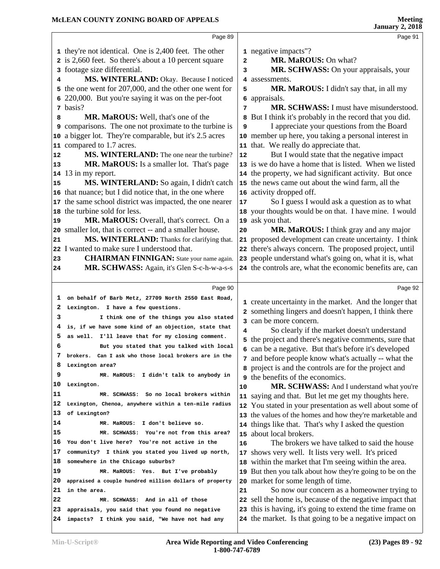|          | Page 89                                                                                            |                | Page 91                                                                                                           |  |
|----------|----------------------------------------------------------------------------------------------------|----------------|-------------------------------------------------------------------------------------------------------------------|--|
|          | 1 they're not identical. One is 2,400 feet. The other                                              |                | 1 negative impacts"?                                                                                              |  |
|          | 2 is 2,660 feet. So there's about a 10 percent square                                              | $\overline{a}$ | MR. MaROUS: On what?                                                                                              |  |
|          | 3 footage size differential.                                                                       | 3              | MR. SCHWASS: On your appraisals, your                                                                             |  |
| 4        | MS. WINTERLAND: Okay. Because I noticed                                                            |                | 4 assessments.                                                                                                    |  |
|          | 5 the one went for 207,000, and the other one went for                                             | 5              | MR. MaROUS: I didn't say that, in all my                                                                          |  |
|          | 6 220,000. But you're saying it was on the per-foot                                                |                | 6 appraisals.                                                                                                     |  |
|          | 7 basis?                                                                                           | 7              | MR. SCHWASS: I must have misunderstood.                                                                           |  |
| 8        | MR. MaROUS: Well, that's one of the                                                                |                | 8 But I think it's probably in the record that you did.                                                           |  |
|          | 9 comparisons. The one not proximate to the turbine is                                             | 9              | I appreciate your questions from the Board                                                                        |  |
|          | 10 a bigger lot. They're comparable, but it's 2.5 acres                                            |                | 10 member up here, you taking a personal interest in                                                              |  |
|          | 11 compared to 1.7 acres.                                                                          |                | 11 that. We really do appreciate that.                                                                            |  |
| 12       | <b>MS. WINTERLAND:</b> The one near the turbine?                                                   | 12             | But I would state that the negative impact                                                                        |  |
| 13       | MR. MaROUS: Is a smaller lot. That's page                                                          |                | 13 is we do have a home that is listed. When we listed                                                            |  |
|          | 14 13 in my report.                                                                                |                | 14 the property, we had significant activity. But once                                                            |  |
| 15       | MS. WINTERLAND: So again, I didn't catch                                                           |                | 15 the news came out about the wind farm, all the                                                                 |  |
|          | 16 that nuance; but I did notice that, in the one where                                            |                | 16 activity dropped off.                                                                                          |  |
|          | 17 the same school district was impacted, the one nearer                                           | 17             | So I guess I would ask a question as to what                                                                      |  |
|          | 18 the turbine sold for less.                                                                      |                | 18 your thoughts would be on that. I have mine. I would                                                           |  |
| 19       | MR. MaROUS: Overall, that's correct. On a                                                          |                | 19 ask you that.                                                                                                  |  |
|          | 20 smaller lot, that is correct -- and a smaller house.                                            | 20             | MR. MaROUS: I think gray and any major                                                                            |  |
| 21       | MS. WINTERLAND: Thanks for clarifying that.                                                        |                | 21 proposed development can create uncertainty. I think                                                           |  |
|          | 22 I wanted to make sure I understood that.                                                        |                | 22 there's always concern. The proposed project, until                                                            |  |
| 23       | <b>CHAIRMAN FINNIGAN:</b> State your name again.                                                   |                | 23 people understand what's going on, what it is, what                                                            |  |
| 24       | MR. SCHWASS: Again, it's Glen S-c-h-w-a-s-s                                                        |                | 24 the controls are, what the economic benefits are, can                                                          |  |
|          |                                                                                                    |                |                                                                                                                   |  |
|          |                                                                                                    |                |                                                                                                                   |  |
|          | Page 90                                                                                            |                | Page 92                                                                                                           |  |
| ı        | on behalf of Barb Metz, 27709 North 2550 East Road,                                                |                | 1 create uncertainty in the market. And the longer that                                                           |  |
| 2        | Lexington. I have a few questions.                                                                 |                | 2 something lingers and doesn't happen, I think there                                                             |  |
| 3        | I think one of the things you also stated                                                          |                | 3 can be more concern.                                                                                            |  |
| 4        | is, if we have some kind of an objection, state that                                               | 4              | So clearly if the market doesn't understand                                                                       |  |
| 5        | as well. I'll leave that for my closing comment.                                                   |                | 5 the project and there's negative comments, sure that                                                            |  |
| 6        | But you stated that you talked with local                                                          |                | 6 can be a negative. But that's before it's developed                                                             |  |
|          | brokers. Can I ask who those local brokers are in the                                              |                | 7 and before people know what's actually -- what the                                                              |  |
| 8        | Lexington area?                                                                                    |                | 8 project is and the controls are for the project and                                                             |  |
| 9        | MR. MaROUS: I didn't talk to anybody in                                                            | 9              | the benefits of the economics.                                                                                    |  |
| 10       | Lexington.                                                                                         | 10             | MR. SCHWASS: And I understand what you're                                                                         |  |
| 11       | MR. SCHWASS: So no local brokers within                                                            | 11             | saying and that. But let me get my thoughts here.                                                                 |  |
| 12       | Lexington, Chenoa, anywhere within a ten-mile radius                                               | 12             | You stated in your presentation as well about some of                                                             |  |
| 13       | of Lexington?                                                                                      | 13             | the values of the homes and how they're marketable and                                                            |  |
| 14       | MR. MaROUS: I don't believe so.                                                                    |                | 14 things like that. That's why I asked the question                                                              |  |
| 15       | MR. SCHWASS: You're not from this area?                                                            | 15             | about local brokers.                                                                                              |  |
| 16       | You don't live here? You're not active in the                                                      | 16             | The brokers we have talked to said the house                                                                      |  |
| 17       | community? I think you stated you lived up north,                                                  | 17             | shows very well. It lists very well. It's priced                                                                  |  |
| 18       | somewhere in the Chicago suburbs?                                                                  | 18             | within the market that I'm seeing within the area.                                                                |  |
| 19       | MR. MaROUS: Yes. But I've probably                                                                 | 19             | But then you talk about how they're going to be on the                                                            |  |
| 20       | appraised a couple hundred million dollars of property                                             | 20             | market for some length of time.                                                                                   |  |
| 21       | in the area.                                                                                       | 21             | So now our concern as a homeowner trying to                                                                       |  |
| 22       | MR. SCHWASS: And in all of those                                                                   | 22             | sell the home is, because of the negative impact that                                                             |  |
| 23<br>24 | appraisals, you said that you found no negative<br>impacts? I think you said, "We have not had any | 23             | this is having, it's going to extend the time frame on<br>24 the market. Is that going to be a negative impact on |  |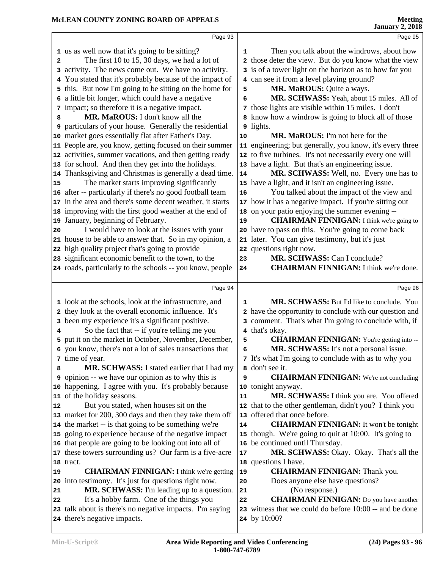|    | Page 93                                                                                                            |              | Page 95                                                                                              |  |
|----|--------------------------------------------------------------------------------------------------------------------|--------------|------------------------------------------------------------------------------------------------------|--|
|    | 1 us as well now that it's going to be sitting?                                                                    | 1            | Then you talk about the windrows, about how                                                          |  |
| 2  | The first 10 to 15, 30 days, we had a lot of                                                                       |              | 2 those deter the view. But do you know what the view                                                |  |
| 3  | activity. The news come out. We have no activity.                                                                  |              | 3 is of a tower light on the horizon as to how far you                                               |  |
|    | You stated that it's probably because of the impact of                                                             |              | 4 can see it from a level playing ground?                                                            |  |
|    | 5 this. But now I'm going to be sitting on the home for                                                            | 5            | MR. MaROUS: Quite a ways.                                                                            |  |
| 6  | a little bit longer, which could have a negative                                                                   | 6            | MR. SCHWASS: Yeah, about 15 miles. All of                                                            |  |
|    | 7 impact; so therefore it is a negative impact.                                                                    |              | 7 those lights are visible within 15 miles. I don't                                                  |  |
| 8  | MR. MaROUS: I don't know all the                                                                                   | 8            | know how a windrow is going to block all of those                                                    |  |
|    | 9 particulars of your house. Generally the residential                                                             | 9            | lights.                                                                                              |  |
|    | 10 market goes essentially flat after Father's Day.                                                                | ${\bf 10}$   | MR. MaROUS: I'm not here for the                                                                     |  |
|    | 11 People are, you know, getting focused on their summer                                                           |              | 11 engineering; but generally, you know, it's every three                                            |  |
|    | 12 activities, summer vacations, and then getting ready                                                            |              | 12 to five turbines. It's not necessarily every one will                                             |  |
|    | 13 for school. And then they get into the holidays.                                                                |              | 13 have a light. But that's an engineering issue.                                                    |  |
|    | 14 Thanksgiving and Christmas is generally a dead time.                                                            | 14           | MR. SCHWASS: Well, no. Every one has to                                                              |  |
| 15 | The market starts improving significantly                                                                          |              | 15 have a light, and it isn't an engineering issue.                                                  |  |
|    | 16 after -- particularly if there's no good football team                                                          | 16           | You talked about the impact of the view and                                                          |  |
|    | 17 in the area and there's some decent weather, it starts                                                          |              | 17 how it has a negative impact. If you're sitting out                                               |  |
|    | 18 improving with the first good weather at the end of                                                             |              | 18 on your patio enjoying the summer evening --                                                      |  |
|    | 19 January, beginning of February.                                                                                 | 19           | <b>CHAIRMAN FINNIGAN:</b> I think we're going to                                                     |  |
| 20 | I would have to look at the issues with your                                                                       |              | 20 have to pass on this. You're going to come back                                                   |  |
|    | 21 house to be able to answer that. So in my opinion, a                                                            |              | 21 later. You can give testimony, but it's just                                                      |  |
|    | 22 high quality project that's going to provide                                                                    |              | 22 questions right now.                                                                              |  |
|    | 23 significant economic benefit to the town, to the                                                                | 23           | MR. SCHWASS: Can I conclude?                                                                         |  |
|    | 24 roads, particularly to the schools -- you know, people                                                          | 24           | <b>CHAIRMAN FINNIGAN: I think we're done.</b>                                                        |  |
|    |                                                                                                                    |              |                                                                                                      |  |
|    | Page 94                                                                                                            |              | Page 96                                                                                              |  |
|    | 1 look at the schools, look at the infrastructure, and                                                             | 1            | MR. SCHWASS: But I'd like to conclude. You                                                           |  |
| 2  | they look at the overall economic influence. It's                                                                  | $\mathbf{z}$ | have the opportunity to conclude with our question and                                               |  |
|    | 3 been my experience it's a significant positive.                                                                  |              | 3 comment. That's what I'm going to conclude with, if                                                |  |
| 4  | So the fact that -- if you're telling me you                                                                       |              | 4 that's okay.                                                                                       |  |
|    | 5 put it on the market in October, November, December,                                                             | 5            | <b>CHAIRMAN FINNIGAN:</b> You're getting into --                                                     |  |
|    | 6 you know, there's not a lot of sales transactions that                                                           | 6            | MR. SCHWASS: It's not a personal issue.                                                              |  |
|    | 7 time of year.                                                                                                    |              | 7 It's what I'm going to conclude with as to why you                                                 |  |
| 8  | MR. SCHWASS: I stated earlier that I had my                                                                        |              | 8 don't see it.                                                                                      |  |
|    | <b>9</b> opinion -- we have our opinion as to why this is<br>10 happening. I agree with you. It's probably because | 9            | <b>CHAIRMAN FINNIGAN:</b> We're not concluding                                                       |  |
|    |                                                                                                                    | 10           | tonight anyway.                                                                                      |  |
|    | 11 of the holiday seasons.<br>But you stated, when houses sit on the                                               | 11           | MR. SCHWASS: I think you are. You offered<br>12 that to the other gentleman, didn't you? I think you |  |
| 12 | 13 market for 200, 300 days and then they take them off                                                            |              | 13 offered that once before.                                                                         |  |
|    | 14 the market -- is that going to be something we're                                                               | 14           | <b>CHAIRMAN FINNIGAN:</b> It won't be tonight                                                        |  |
|    | 15 going to experience because of the negative impact                                                              |              | 15 though. We're going to quit at 10:00. It's going to                                               |  |
|    | 16 that people are going to be looking out into all of                                                             |              | 16 be continued until Thursday.                                                                      |  |
|    | 17 these towers surrounding us? Our farm is a five-acre                                                            | 17           | MR. SCHWASS: Okay. Okay. That's all the                                                              |  |
|    | 18 tract.                                                                                                          |              | 18 questions I have.                                                                                 |  |
| 19 | <b>CHAIRMAN FINNIGAN:</b> I think we're getting                                                                    | 19           | <b>CHAIRMAN FINNIGAN:</b> Thank you.                                                                 |  |
| 20 | into testimony. It's just for questions right now.                                                                 | 20           | Does anyone else have questions?                                                                     |  |
| 21 | MR. SCHWASS: I'm leading up to a question.                                                                         | 21           | (No response.)                                                                                       |  |
| 22 | It's a hobby farm. One of the things you                                                                           | 22           | <b>CHAIRMAN FINNIGAN:</b> Do you have another                                                        |  |
|    |                                                                                                                    |              |                                                                                                      |  |
|    |                                                                                                                    | 23           |                                                                                                      |  |
|    | 23 talk about is there's no negative impacts. I'm saying<br>24 there's negative impacts.                           |              | witness that we could do before 10:00 -- and be done<br><b>24</b> by 10:00?                          |  |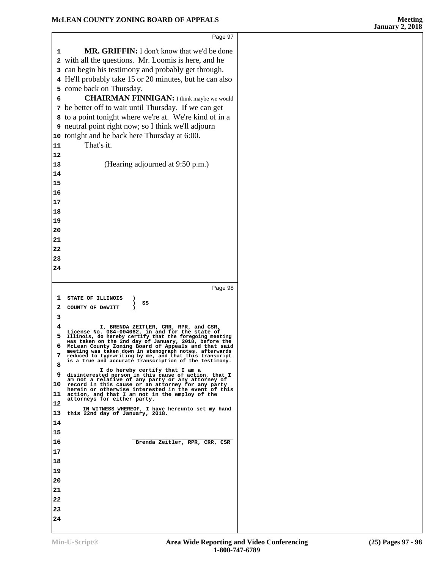|          | Page 97                                                                                                                                                          |
|----------|------------------------------------------------------------------------------------------------------------------------------------------------------------------|
| 1        | <b>MR. GRIFFIN:</b> I don't know that we'd be done                                                                                                               |
|          | 2 with all the questions. Mr. Loomis is here, and he                                                                                                             |
|          | 3 can begin his testimony and probably get through.                                                                                                              |
|          | 4 He'll probably take 15 or 20 minutes, but he can also                                                                                                          |
|          | 5 come back on Thursday.                                                                                                                                         |
| 6        | <b>CHAIRMAN FINNIGAN:</b> I think maybe we would                                                                                                                 |
| 7        | be better off to wait until Thursday. If we can get                                                                                                              |
| 8        | to a point tonight where we're at. We're kind of in a                                                                                                            |
| 9        | neutral point right now; so I think we'll adjourn                                                                                                                |
| 10       | tonight and be back here Thursday at 6:00.                                                                                                                       |
| 11       | That's it.                                                                                                                                                       |
| 12       |                                                                                                                                                                  |
| 13       | (Hearing adjourned at 9:50 p.m.)                                                                                                                                 |
| 14       |                                                                                                                                                                  |
| 15<br>16 |                                                                                                                                                                  |
| 17       |                                                                                                                                                                  |
| 18       |                                                                                                                                                                  |
| 19       |                                                                                                                                                                  |
| 20       |                                                                                                                                                                  |
| 21       |                                                                                                                                                                  |
| 22       |                                                                                                                                                                  |
| 23       |                                                                                                                                                                  |
| 24       |                                                                                                                                                                  |
|          |                                                                                                                                                                  |
|          |                                                                                                                                                                  |
|          | Page 98                                                                                                                                                          |
| 1        | <b>STATE OF ILLINOIS</b><br>)<br>SS                                                                                                                              |
| 2        | COUNTY OF DeWITT                                                                                                                                                 |
| 3        |                                                                                                                                                                  |
| 4        | I, BRENDA ZEITLER, CRR, RPR, and CSR,<br>License No. 084-004062, in and for the state of                                                                         |
| 5        | Illinois, do hereby certify that the foregoing meeting                                                                                                           |
| 6        | was taken on the 2nd day of January, 2018, before the McLean County Zoning Board of Appeals and that said meeting was taken down in stenograph notes, afterwards |
|          | reduced to typewriting by me, and that this transcript<br>is a true and accurate transcription of the testimony.                                                 |
| 8        | I do hereby certify that I am a                                                                                                                                  |
| 9        | disinterested person in this cause of action, that I<br>am not a relative of any party or any attorney of                                                        |
| 10       | record in this cause or an attorney for any party<br>herein or otherwise interested in the event of this                                                         |
| 11       | action, and that I am not in the employ of the<br>attorneys for either party.                                                                                    |
| 12<br>13 | IN WITNESS WHEREOF, I have hereunto set my hand                                                                                                                  |
| 14       | this 22nd day of January, 2018.                                                                                                                                  |
| 15       |                                                                                                                                                                  |
| 16       | Brenda Zeitler, RPR, CRR, CSR                                                                                                                                    |
| 17       |                                                                                                                                                                  |
| 18       |                                                                                                                                                                  |
| 19       |                                                                                                                                                                  |
| 20       |                                                                                                                                                                  |
| 21       |                                                                                                                                                                  |
| 22       |                                                                                                                                                                  |
| 23       |                                                                                                                                                                  |
| 24       |                                                                                                                                                                  |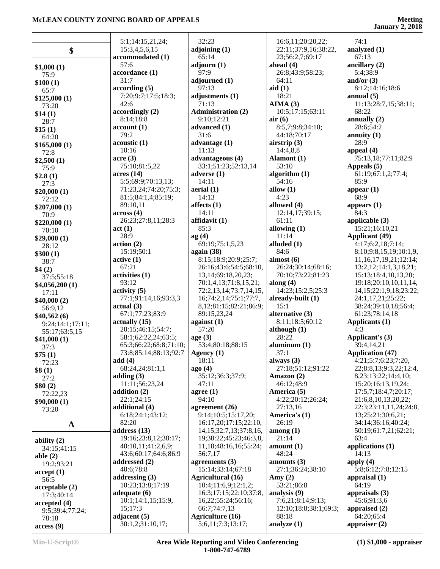|                  | 5:1;14:15,21,24;                  | 32:23                                                 | 16:6,11;20:20,22;              | 74:1                                      |
|------------------|-----------------------------------|-------------------------------------------------------|--------------------------------|-------------------------------------------|
| \$               | 15:3,4,5,6,15                     | adjoining (1)                                         | 22:11;37:9,16;38:22,           | analyzed (1)                              |
|                  | accommodated (1)                  | 65:14                                                 | 23;56:2,7;69:17                | 67:13                                     |
| \$1,000(1)       | 57:6                              | adjourn $(1)$<br>97:9                                 | ahead $(4)$                    | ancillary (2)                             |
| 75:9             | accordance (1)<br>31:7            | adjourned (1)                                         | 26:8;43:9;58:23;<br>64:11      | 5:4:38:9<br>and/or $(3)$                  |
| \$100(1)         | according(5)                      | 97:13                                                 | aid(1)                         | 8:12;14:16;18:6                           |
| 65:7             | 7:20;9:7;17:5;18:3;               | adjustments (1)                                       | 18:21                          | annual $(5)$                              |
| \$125,000(1)     | 42:6                              | 71:13                                                 | AIMA(3)                        | 11:13;28:7,15;38:11;                      |
| 73:20            | accordingly(2)                    | <b>Administration (2)</b>                             | 10:5;17:15;63:11               | 68:22                                     |
| \$14(1)          | 8:14;18:8                         | 9:10;12:21                                            | air(6)                         | annually $(2)$                            |
| 28:7             | account(1)                        | advanced (1)                                          | 8:5,7;9:8;34:10;               | 28:6:54:2                                 |
| \$15(1)<br>64:20 | 79:2                              | 31:6                                                  | 44:18;70:17                    | annuity $(1)$                             |
| \$165,000(1)     | acoustic(1)                       | advantage $(1)$                                       | airstrip $(3)$                 | 28:9                                      |
| 72:8             | 10:16                             | 11:13                                                 | 14:4,8,8                       | appeal $(4)$                              |
| \$2,500(1)       | $\arccos(3)$                      | advantageous (4)                                      | Alamont (1)                    | 75:13,18;77:11;82:9                       |
| 75:9             | 75:10;81:5,22                     | 33:1;51:23;52:13,14                                   | 53:10                          | Appeals (5)                               |
| \$2.8(1)         | acres(14)                         | adverse $(1)$                                         | algorithm $(1)$                | 61:19;67:1,2;77:4;                        |
| 27:3             | 5:5;69:9;70:13,13;                | 14:11                                                 | 54:16                          | 85:9                                      |
| \$20,000(1)      | 71:23,24;74:20;75:3;              | aerial (1)                                            | allow $(1)$                    | appear $(1)$                              |
| 72:12            | 81:5;84:1,4;85:19;                | 14:13                                                 | 4:23                           | 68:9                                      |
| \$207,000(1)     | 89:10,11                          | affects $(1)$                                         | allowed (4)                    | appears $(1)$                             |
| 70:9             | across(4)                         | 14:11                                                 | 12:14,17;39:15;                | 84:3                                      |
| \$220,000(1)     | 26:23;27:8,11;28:3                | affidavit (1)                                         | 61:11                          | applicable $(3)$                          |
| 70:10            | act(1)                            | 85:3                                                  | allowing $(1)$                 | 15:21;16:10,21                            |
| \$29,000(1)      | 28:9                              | ag(4)                                                 | 11:14                          | <b>Applicant</b> (49)                     |
| 28:12            | action(2)                         | 69:19;75:1,5,23                                       | alluded (1)                    | 4:17;6:2,18;7:14;                         |
| \$300(1)         | 15:19;50:1                        | again (38)                                            | 84:6                           | 8:10;9:8,15,19;10:1,9,                    |
| 38:7             | active(1)                         | 8:15;18:9;20:9;25:7;                                  | almost $(6)$                   | 11, 16, 17, 19, 21; 12: 14;               |
| \$4(2)           | 67:21                             | 26:16;43:6;54:5;68:10,                                | 26:24;30:14;68:16;             | 13:2,12;14:1,3,18,21;                     |
| 37:5;55:18       | activities (1)                    | 13, 14; 69: 18, 20, 23;                               | 70:10;73:22;81:23              | 15:13;18:4,10,13,20;                      |
| \$4,056,200(1)   | 93:12                             | 70:1,4,13;71:8,15,21;                                 | along $(4)$                    | 19:18;20:10,10,11,14,                     |
| 17:11            | $\text{activity} (5)$             | 72:2,13,14;73:7,14,15,                                | 14:23;15:2,5;25:3              | 14, 15; 22: 1, 9, 18; 23: 22;             |
| \$40,000(2)      | 77:1;91:14,16;93:3,3<br>actual(3) | 16;74:2,14;75:1;77:7,<br>8, 12; 81:15; 82: 21; 86: 9; | already-built (1)<br>15:1      | 24:1,17,21;25:22;<br>38:24;39:10,18;56:4; |
| 56:9,12          | 67:1;77:23;83:9                   | 89:15,23,24                                           | alternative (3)                | 61:23;78:14,18                            |
| \$40,562(6)      | actually(15)                      | against $(1)$                                         | 8:11;18:5;60:12                | Applicants (1)                            |
| 9:24;14:1;17:11; | 20:15;46:15;54:7;                 | 57:20                                                 | although $(1)$                 | 4:3                                       |
| 55:17;63:5,15    | 58:1;62:22,24;63:5;               | age(3)                                                | 28:22                          | Applicant's (3)                           |
| \$41,000(1)      | 65:3;66:22;68:8;71:10;            | 53:4;80:18;88:15                                      | aluminum <sub>(1)</sub>        | 39:4,14,21                                |
| 37:3             | 73:8;85:14;88:13;92:7             | Agency (1)                                            | 37:1                           | <b>Application (47)</b>                   |
| \$75(1)<br>72:23 | add $(4)$                         | 18:11                                                 | always (3)                     | 4:21;5:7;6:23;7:20,                       |
| \$8(1)           | 68:24,24;81:1,1                   | ago(4)                                                | 27:18;51:12;91:22              | 22;8:8,13;9:3,22;12:4,                    |
| 27:2             | adding $(3)$                      | 35:12;36:3;37:9;                                      | Amazon $(2)$                   | 8,23;13:22;14:4,10;                       |
| \$80(2)          | 11:11:56:23.24                    | 47:11                                                 | 46:12;48:9                     | 15:20;16:13,19,24;                        |
| 72:22,23         | addition $(2)$                    | agree $(1)$                                           | America (5)                    | 17:5,7;18:4,7;20:17;                      |
| \$90,000(1)      | 22:1;24:15                        | 94:10                                                 | 4:22;20:12;26:24;              | 21:6,8,10,13,20,22;                       |
| 73:20            | additional (4)                    | agreement (26)                                        | 27:13,16                       | 22:3;23:11,11,24;24:8,                    |
|                  | 6:18;24:1;43:12;                  | 9:14;10:5;15:17,20;                                   | America's (1)                  | 13;25:21;30:6,21;                         |
| $\mathbf A$      | 82:20                             | 16:17,20;17:15;22:10,                                 | 26:19                          | 34:14;36:16;40:24;                        |
|                  | address $(13)$                    | 14, 15; 32: 7, 13; 37: 8, 16,                         | $\mathbf{among}\left(1\right)$ | 50:19;61:7,21;62:21;                      |
| ability $(2)$    | 19:16;23:8,12;38:17;              | 19;38:22;45:23;46:3,8,                                | 21:14                          | 63:4                                      |
| 34:15;41:15      | 40:10,11;41:2,6,9;                | 11,18;48:16,16;55:24;                                 | amount $(1)$                   | applications (1)                          |
| able $(2)$       | 43:6;60:17;64:6;86:9              | 56:7,17                                               | 48:24                          | 14:13                                     |
| 19:2;93:21       | addressed (2)                     | agreements $(3)$                                      | amounts $(3)$                  | apply $(4)$                               |
| accept(1)        | 40:6;78:8                         | 15:14;33:14;67:18                                     | 27:1;36:24;38:10               | 5:8;6:12;7:8;12:15                        |
| 56:5             | addressing $(3)$                  | <b>Agricultural</b> (16)                              | Amy $(2)$                      | appraisal $(1)$                           |
| acceptable (2)   | 10:23;13:8;17:19                  | 10:4;11:6,9;12:1,2;                                   | 53:21;86:8                     | 64:19                                     |
| 17:3;40:14       | adequate $(6)$                    | 16:3;17:15;22:10;37:8,                                | analysis (9)                   | appraisals $(3)$                          |
| accepted(4)      | 10:1;14:1,15;15:9,                | 16,22;55:24;56:16;                                    | 7:6,21;8:14;9:13;              | 45:6;91:3,6                               |
| 9:5;39:4;77:24;  | 15;17:3<br>adjacent $(5)$         | 66:7;74:7,13<br><b>Agriculture (16)</b>               | 12:10;18:8;38:1;69:3;<br>88:18 | appraised (2)<br>64:20;65:4               |
| 78:18            | 30:1,2;31:10,17;                  | 5:6,11;7:3;13:17;                                     |                                | appraiser $(2)$                           |
| access(9)        |                                   |                                                       | analyze $(1)$                  |                                           |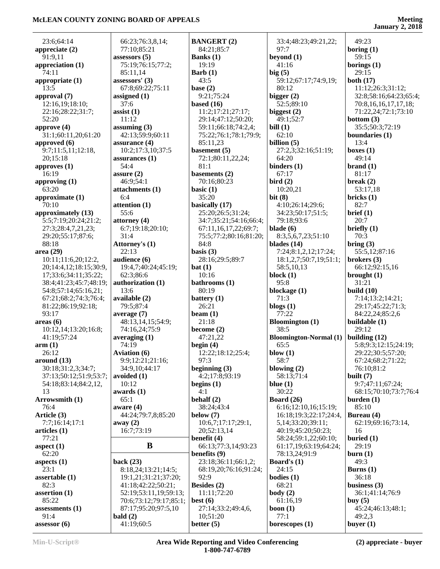| 23:6;64:14             | 66:23;76:3,8,14;                   | <b>BANGERT (2)</b>     | 33:4;48:23;49:21,22;          | 49:23                     |
|------------------------|------------------------------------|------------------------|-------------------------------|---------------------------|
| appreciate $(2)$       | 77:10;85:21                        | 84:21:85:7             | 97:7                          | boring $(1)$              |
| 91:9,11                | assessors $(5)$                    | Banks $(1)$            | beyond $(1)$                  | 59:15                     |
| appreciation $(1)$     | 75:19;76:15;77:2;                  | 19:19                  | 41:16                         | borings $(1)$             |
| 74:11                  | 85:11,14                           | Barb $(1)$             | big(5)                        | 29:15                     |
| appropriate (1)        | assessors' (3)                     | 43:5                   | 59:12;67:17;74:9,19;          | both $(17)$               |
| 13:5                   | 67:8;69:22;75:11                   | base $(2)$             | 80:12                         | 11:12;26:3;31:12;         |
| approval (7)           | assigned $(1)$                     | 9:21;75:24             | bigger $(2)$                  | 32:8;58:16;64:23;65:4;    |
| 12:16,19;18:10;        | 37:6                               | based $(16)$           | 52:5;89:10                    | 70:8, 16, 16, 17, 17, 18; |
| 22:16;28:22;31:7;      | $\text{ assist}(1)$                | 11:2;17:21;27:17;      | biggest $(2)$                 | 71:22,24;72:1;73:10       |
| 52:20                  | 11:12                              | 29:14;47:12;50:20;     | 49:1;52:7                     | bottom $(3)$              |
| approve $(4)$          | assuming $(3)$                     | 59:11;66:18;74:2,4;    | bill $(1)$                    | 35:5;50:3;72:19           |
| 31:1;60:11,20;61:20    | 42:13;59:9;60:11                   | 75:22;76:1;78:1;79:9;  | 62:10                         | boundaries (1)            |
| approved (6)           | assurance (4)                      | 85:11,23               | billion $(5)$                 | 13:4                      |
| 9:7;11:5,11;12:18,     | 10:2;17:3,10;37:5                  | basement $(5)$         | 27:2,3;32:16;51:19;           | boxes $(1)$               |
| 20;15:18               | assurances $(1)$                   | 72:1;80:11,22,24;      | 64:20                         | 49:14                     |
| approves $(1)$         | 54:4                               | 81:1                   | binders $(1)$                 | brand(1)                  |
| 16:19                  | assure $(2)$                       | basements (2)          | 67:17                         | 81:17                     |
| approving $(1)$        | 46:9;54:1                          | 70:16;80:23            | bird $(2)$                    | break $(2)$               |
| 63:20                  | attachments (1)                    | basic $(1)$            | 10:20,21                      | 53:17,18                  |
| approximate (1)        | 6:4                                | 35:20                  | bit(8)                        | bricks(1)                 |
| 70:10                  | attention (1)                      | basically (17)         | 4:10;26:14;29:6;              | 82:7                      |
| approximately (13)     | 55:6                               | 25:20;26:5;31:24;      | 34:23;50:17;51:5;             | brief(1)                  |
| 5:5;7:19;20:24;21:2;   |                                    |                        | 79:18;93:6                    | 20:7                      |
|                        | attorney $(4)$<br>6:7;19:18;20:10; | 34:7;35:21;54:16;66:4; | blade $(6)$                   | briefly $(1)$             |
| 27:3;28:4,7,21,23;     |                                    | 67:11,16,17,22;69:7;   |                               |                           |
| 29:20;55:17;87:6;      | 31:4                               | 75:5;77:2;80:16;81:20; | 8:3,5,6,7,23;51:10            | 70:3                      |
| 88:18                  | Attorney's (1)                     | 84:8                   | blades $(14)$                 | bring (3)                 |
| area (29)              | 22:13                              | basis $(3)$            | 7:24;8:1,2,12;17:24;          | 55:5,12;87:16             |
| 10:11;11:6,20;12:2,    | audience (6)                       | 28:16;29:5;89:7        | 18:1,2,7;50:7,19;51:1;        | brokers $(3)$             |
| 20;14:4,12;18:15;30:9, | 19:4,7;40:24;45:19;                | bat(1)                 | 58:5,10,13                    | 66:12;92:15,16            |
| 17;33:6;34:11;35:22;   | 62:3;86:6                          | 10:16                  | block $(1)$                   | brought $(1)$             |
| 38:4;41:23;45:7;48:19; | authorization (1)                  | bathrooms (1)          | 95:8                          | 31:21                     |
| 54:8;57:14;65:16,21;   | 13:6                               | 80:19                  | blockage (1)                  | build $(10)$              |
| 67:21;68:2;74:3;76:4;  | available (2)                      | battery $(1)$          | 71:3                          | 7:14;13:2;14:21;          |
| 81:22;86:19;92:18;     | 79:5;87:4                          | 26:21                  | blogs $(1)$                   | 29:17;45:22;71:3;         |
| 93:17                  | average $(7)$                      | beam $(1)$             | 77:22                         | 84:22,24;85:2,6           |
| area <sub>6</sub>      | 48:13,14,15;54:9;                  | 21:18                  | <b>Bloomington</b> (1)        | buildable (1)             |
| 10:12,14;13:20;16:8;   | 74:16,24;75:9                      | become $(2)$           | 38:5                          | 29:12                     |
| 41:19;57:24            | averaging $(1)$                    | 47:21,22               | <b>Bloomington-Normal</b> (1) | building $(12)$           |
| arm(1)                 | 74:19                              | begin $(4)$            | 65:5                          | 5:8;9:3;12:15;24:19;      |
| 26:12                  | <b>Aviation</b> (6)                | 12:22;18:12;25:4;      | blow $(1)$                    | 29:22;30:5;57:20;         |
| around (13)            | 9:9;12:21;21:16;                   | 97:3                   | 58:7                          | 67:24;68:2;71:22;         |
| 30:18;31:2,3;34:7;     | 34:9,10;44:17                      | beginning $(3)$        | blowing $(2)$                 | 76:10:81:2                |
| 37:13;50:12;51:9;53:7; | avoided $(1)$                      | 4:2;17:8;93:19         | 58:13;71:4                    | built $(7)$               |
| 54:18;83:14;84:2,12,   | 10:12                              | begins $(1)$           | blue $(1)$                    | 9:7;47:11;67:24;          |
| 13                     | awards $(1)$                       | 4:1                    | 30:22                         | 68:15;70:10;73:7;76:4     |
| Arrowsmith (1)         | 65:1                               | behalf $(2)$           | Board $(26)$                  | burden $(1)$              |
| 76:4                   | aware $(4)$                        | 38:24;43:4             | 6:16;12:10,16;15:19;          | 85:10                     |
| Article (3)            | 44:24;79:7,8;85:20                 | below $(7)$            | 16:18:19:3:22:17:24:4,        | Bureau (4)                |
| 7:7;16:14;17:1         | away $(2)$                         | 10:6,7;17:17;29:1,     | 5, 14; 33: 20; 39: 11;        | 62:19;69:16;73:14,        |
| articles (1)           | 16:7;73:19                         | 20;52:13,14            | 40:19:45:20:50:23;            | 16                        |
| 77:21                  |                                    | benefit $(4)$          | 58:24;59:1,22;60:10;          | buried $(1)$              |
| aspect $(1)$           | B                                  | 66:13;77:3,14;93:23    | 61:17,19;63:19;64:24;         | 29:19                     |
| 62:20                  |                                    | benefits (9)           | 78:13,24;91:9                 | burn(1)                   |
|                        | back $(23)$                        | 23:18;36:11;66:1,2;    | Board's $(1)$                 | 49:3                      |
| aspects $(1)$<br>23:1  |                                    |                        | 24:15                         |                           |
|                        | 8:18,24;13:21;14:5;                | 68:19,20;76:16;91:24;  |                               | Burns $(1)$               |
| assertable $(1)$       | 19:1,21;31:21;37:20;               | 92:9                   | bodies $(1)$                  | 36:18                     |
| 82:3                   | 41:18;42:22;50:21;                 | Besides (2)            | 68:21                         | business $(3)$            |
| assertion $(1)$        | 52:19;53:11,19;59:13;              | 11:11;72:20            | body(2)                       | 36:1;41:14;76:9           |
| 85:22                  | 70:6;73:12;79:17;85:1;             | best $(6)$             | 61:16,19                      | buy $(5)$                 |
| assessments $(1)$      | 87:17;95:20;97:5,10                | 27:14;33:2;49:4,6,     | boon $(1)$                    | 45:24;46:13;48:1;         |
| 91:4                   | bald $(2)$                         | 10;51:20               | 77:1                          | 49:2,3                    |
| assessor (6)           | 41:19;60:5                         | better $(5)$           | borescopes $(1)$              | buyer $(1)$               |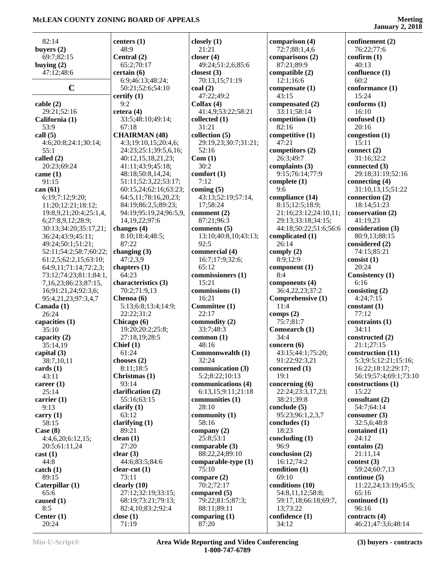**January 2, 2018**

| 82:14                                  | centers $(1)$                  |
|----------------------------------------|--------------------------------|
| buyers (2)                             | 48:9                           |
| 69:7;82:15                             | Central (2)                    |
| buying $(2)$                           | 65:2;70:17                     |
| 47:12;48:6                             | certain (6)                    |
|                                        | 6:9;46:13;48:24;               |
| C                                      | 50:21;52:6;54:10               |
|                                        | certify (1)                    |
| cable (2)                              | 9:2                            |
| 29:21;52:16                            | cetera (4)                     |
| California (1)<br>53:9                 | 33:5;48:10;49:14;<br>67:18     |
| call (5)                               | <b>CHAIRMAN (48)</b>           |
| 4:6;20:8;24:1;30:14;                   | 4:3;19:10,15;20:4,6;           |
| 55:1                                   | 24:23;25:1;39:5,6,16;          |
| called (2)                             | 40:12,15,18,21,23;             |
| 20:23;69:24                            | 41:11;43:9;45:18;              |
| came (1)                               | 48:18;50:8,14,24;              |
| 91:15                                  | 51:11;52:3,22;53:17;           |
| can (61)                               | 60:15,24;62:16;63:23;          |
| 6:19;7:12;9:20;                        | 64:5,11;78:16,20,23;           |
| 11:20;12:21;18:12;                     | 84:19;86:2,5;89:23;            |
| 19:8,9,21;20:4;25:1,4,                 | 94:19;95:19,24;96:5,9,         |
| 6;27:8,9,12;28:9;                      | 14, 19, 22; 97: 6              |
| 30:13;34:20;35:17,21;                  | changes (4)<br>8:10;18:4;48:5; |
| 36:24;43:9;45:11;<br>49:24;50:1;51:21; | 87:22                          |
| 52:11;54:2;58:7;60:22;                 | changing (3)                   |
| 61:2,5;62:2,15;63:10;                  | 47:2,3,9                       |
| 64:9,11;71:14;72:2,3;                  | chapters (1)                   |
| 73:12;74:23;81:1;84:1,                 | 64:23                          |
| 7,16,23;86:23;87:15,                   | characteristics (3)            |
| 16;91:21,24;92:3,6;                    | 70:2;71:9,13                   |
| 95:4,21,23;97:3,4,7                    | Chenoa (6)                     |
| Canada (1)                             | 5:13;6:8;13:4;14:9;            |
| 26:24                                  | 22:22;31:2                     |
| capacities (1)                         | Chicago (6)                    |
| 35:10                                  | 19:20;20:2;25:8;               |
| capacity (2)<br>35:14,19               | 27:18,19;28:5<br>Chief $(1)$   |
| capital (3)                            | 61:24                          |
| 38:7,10,11                             | chooses $(2)$                  |
| cards (1)                              | 8:11;18:5                      |
| 43:11                                  | Christmas (1)                  |
| career (1)                             | 93:14                          |
| 25:14                                  | clarification (2)              |
| carrier (1)                            | 55:16;63:15                    |
| 9:13                                   | clarify $(1)$                  |
| carry $(1)$                            | 63:12                          |
| 58:15                                  | clarifying $(1)$               |
| Case (8)<br>4:4,6,20;6:12,15;          | 89:21                          |
| 20:5;61:11,24                          | clean(1)<br>27:20              |
| cast(1)                                | clear $(3)$                    |
| 44:8                                   | 44:6;83:5;84:6                 |
| catch (1)                              | clear-cut $(1)$                |
| 89:15                                  | 73:11                          |
| Caterpillar (1)                        | clearly (10)                   |
| 65:6                                   | 27:12;32:19;33:15;             |
| caused (1)                             | 68:19;73:21;79:13;             |
| 8:5                                    | 82:4,10;83:2;92:4              |
| Center $(1)$                           | close $(1)$                    |
| 20:24                                  | 71:19                          |

 $9:5,6,16;$  $2:53:17;$ 6;63:23;  $5,20,23;$  $4;96:5,9,$ **closely (1)** 21:21 **closer (4)** 49:24;51:2,6;85:6 **closest (3)** 70:13,15;71:19 **coal (2)** 47:22;49:2 **Colfax (4)** 41:4,9;53:22;58:21 **collected (1)** 31:21 **collection (5)** 29:19,23;30:7;31:21; 52:16 **Com (1)** 30:2 **comfort (1)** 7:12 **coming (5)** 43:13;52:19;57:14, 17;58:24 **comment (2)** 87:21;96:3 **comments (5)** 13:10;40:8,10;43:13; 92:5 **commercial (4)** 16:7;17:9;32:6; 65:12 **commissioners (1)** 15:21 **commissions (1)** 16:21 **Committee (1)** 22:17 **commodity (2)** 33:7;48:3 **common (1)** 48:16 **Commonwealth (1)** 32:24 **communication (3)** 5:2;8:22;10:13 **communications (4)** 6:13,15;9:11;21:18 **communities (1)** 28:10 **community (1)** 58:16 **company (2)** 25:8;53:1 **comparable (3)** 88:22,24;89:10 **comparable-type (1)** 75:10 **compare (2)** 70:2;72:17 **compared (5)** 79:22;81:5;87:3; 88:11;89:11 **comparing (1)** 87:20

**comparison (4)** 72:7;88:1,4,6 **comparisons (2)** 87:21;89:9 **compatible (2)** 12:1;16:6 **compensate (1)** 43:15 **compensated (2)** 33:11;58:14 **competition (1)** 82:16 **competitive (1)** 47:21 **competitors (2)** 26:3;49:7 **complaints (3)** 9:15;76:14;77:9 **complete (1)** 9:6 **compliance (14)** 8:15;12:5;18:9; 21:16;23:12;24:10,11; 29:13;33:18;34:15; 44:18;50:22;51:6;56:6 **complicated (1)** 26:14 **comply (2)** 8:9;12:9 **component (1)** 8:4 **components (4)** 36:4,22,23;37:2 **Comprehensive (1)** 11:4 **comps (2)** 75:7;81:7 **Comsearch (1)** 34:4 **concern (6)** 43:15;44:1;75:20; 91:22;92:3,21 **concerned (1)** 19:1 **concerning (6)** 22:24;23:3,17,23; 38:21;39:8 **conclude (5)** 95:23;96:1,2,3,7 **concludes (1)** 18:23 **concluding (1)** 96:9 **conclusion (2)** 16:12;74:2 **condition (1)** 69:10 **conditions (10)** 54:8,11,12;58:8; 59:17,18;66:18;69:7, 13;73:22 **confidence (1)** 34:12

**confinement (2)** 76:22;77:6 **confirm (1)** 40:13 **confluence (1)** 60:2 **conformance (1)** 15:24 **conforms (1)** 16:10 **confused (1)** 20:16 **congestion (1)** 15:11 **connect (2)** 31:16;32:2 **connected (3)** 29:18;31:19;52:16 **connecting (4)** 31:10,13,15;51:22 **connection (2)** 18:14;51:23 **conservation (2)** 41:19,23 **consideration (3)** 80:9,13;88:15 **considered (2)** 74:15;85:21 **consist (1)** 20:24 **Consistency (1)** 6:16 **consisting (2)** 4:24;7:15 **constant (1)** 77:12 **constraints (1)** 34:11 **constructed (2)** 21:1;27:15 **construction (11)** 5:3;9:5;12:21;15:16; 16:22;18:12;29:17; 56:19;57:4;69:1;73:10 **constructions (1)** 15:22 **consultant (2)** 54:7;64:14 **consumer (3)** 32:5,6;48:8 **contained (1)** 24:12 **contains (2)** 21:11,14 **contest (3)** 59:24;60:7,13 **continue (5)** 11:22,24;13:19;45:5; 65:16 **continued (1)** 96:16 **contracts (4)** 46:21;47:3,6;48:14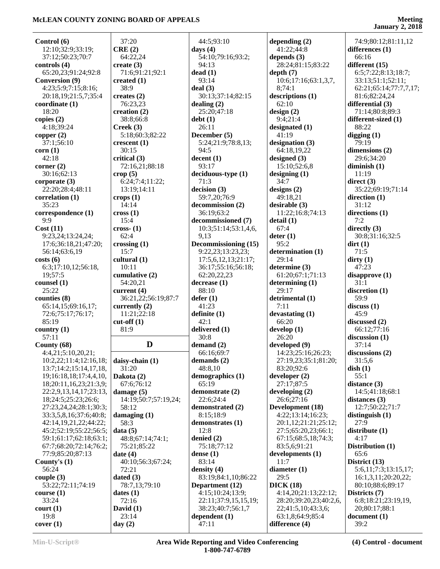### **January 2, 2018**

| Control (6)                                      | 37:20                           | 44:5;93:10                   | depending $(2)$                     |             |
|--------------------------------------------------|---------------------------------|------------------------------|-------------------------------------|-------------|
| 12:10;32:9;33:19;                                | CRE(2)                          | days $(4)$                   | 41:22;44:8                          | d           |
| 37:12;50:23;70:7                                 | 64:22,24                        | 54:10;79:16;93:2;            | depends $(3)$                       |             |
| controls (4)                                     | create $(3)$                    | 94:13                        | 28:24;81:15;83:22                   | $\mathbf d$ |
| 65:20,23;91:24;92:8                              | 71:6;91:21;92:1                 | dead(1)                      | depth(7)                            |             |
| <b>Conversion (9)</b>                            | created $(1)$                   | 93:14                        | 10:6;17:16;63:1,3,7,                |             |
| 4:23;5:9;7:15;8:16;                              | 38:9                            | deal(3)                      | 8;74:1                              |             |
| 20:18,19;21:5,7;35:4                             | creates $(2)$                   | 30:13;37:14;82:15            | descriptions (1)                    |             |
| coordinate (1)                                   | 76:23,23                        | dealing $(2)$                | 62:10                               | d           |
| 18:20                                            | creation $(2)$                  | 25:20;47:18                  | design(2)                           |             |
| copies $(2)$                                     | 38:8;66:8                       | debt(1)                      | 9:4:21:4                            | $\mathbf d$ |
| 4:18;39:24                                       | Creek(3)                        | 26:11                        | designated $(1)$                    |             |
| copper $(2)$                                     | 5:18;60:3;82:22                 | December (5)                 | 41:19                               | d           |
| 37:1;56:10                                       | crescent(1)                     | 5:24;21:9;78:8,13;           | designation $(3)$                   |             |
| corr(1)                                          | 30:15                           | 94:5                         | 64:18,19,22                         | d           |
| 42:18                                            | critical (3)                    | decent(1)                    | designed $(3)$                      |             |
| corner $(2)$                                     | 72:16,21;88:18                  | 93:17                        | 15:10;52:6,8                        | d           |
| 30:16;62:13                                      | $\text{crop}(5)$                | deciduous-type (1)           | designing $(1)$                     |             |
| corporate $(3)$<br>22:20:28:4:48:11              | 6:24;7:4;11:22;<br>13:19;14:11  | 71:3                         | 34:7                                | $\mathbf d$ |
| correlation (1)                                  |                                 | decision (3)<br>59:7,20;76:9 | designs $(2)$<br>49:18,21           | d           |
| 35:23                                            | crops(1)<br>14:14               | decommission (2)             | desirable (3)                       |             |
| correspondence (1)                               | $\csc(1)$                       | 36:19;63:2                   | 11:22;16:8;74:13                    | d           |
| 9:9                                              | 15:4                            | decommissioned (7)           | detail (1)                          |             |
| Cost(11)                                         | $\csc(1)$                       | 10:3;51:14;53:1,4,6,         | 67:4                                | $\mathbf d$ |
| 9:23,24;13:24,24;                                | 62:4                            | 9,13                         | $\text{deter} (1)$                  |             |
| 17:6;36:18,21;47:20;                             | crossing $(1)$                  | Decommissioning (15)         | 95:2                                | $\mathbf d$ |
| 56:14;63:6,19                                    | 15:7                            | 9:22,23;13:23,23;            | determination (1)                   |             |
| costs(6)                                         | cultural (1)                    | 17:5,6,12,13;21:17;          | 29:14                               | d           |
| 6:3;17:10,12;56:18,                              | 10:11                           | 36:17;55:16;56:18;           | determine (3)                       |             |
| 19;57:5                                          | cumulative (2)                  | 62:20,22,23                  | 61:20;67:1;71:13                    | d           |
| counsel $(1)$                                    | 54:20,21                        | decrease (1)                 | determining $(1)$                   |             |
| 25:22                                            | current (4)                     | 88:10                        | 29:17                               | d           |
| counties (8)                                     | 36:21,22;56:19;87:7             | defer(1)                     | detrimental (1)                     |             |
| 65:14,15;69:16,17;                               | currently $(2)$                 | 41:23                        | 7:11                                | d           |
| 72:6;75:17;76:17;                                | 11:21;22:18                     | definite(1)                  | devastating $(1)$                   |             |
| 85:19                                            | $cut-off(1)$                    | 42:1                         | 66:20                               | $\mathbf d$ |
| country $(1)$                                    | 81:9                            | delivered (1)                | $d$ evelop $(1)$                    |             |
| 57:11                                            |                                 | 30:8                         | 26:20                               | d           |
| County $(68)$                                    | D                               | demand $(2)$                 | developed (9)                       |             |
| 4:4,21;5:10,20,21;                               |                                 | 66:16;69:7                   | 14:23;25:16;26:23;                  | d           |
| 10:2,22;11:4;12:16,18;                           | daisy-chain $(1)$               | demands $(2)$                | 27:19,23;35:1;81:20;                |             |
| 13:7;14:2;15:14,17,18,<br>19;16:18,18;17:4,4,10, | 31:20<br>Dakota (2)             | 48:8,10<br>demographics (1)  | 83:20;92:6<br>developer $(2)$       | d           |
| 18;20:11,16,23;21:3,9;                           | 67:6;76:12                      | 65:19                        | 27:17:87:5                          | d           |
| 22:2,9,13,14,17;23:13,                           | damage $(5)$                    | demonstrate (2)              | developing $(2)$                    |             |
| 18;24:5;25:23;26:6;                              | 14:19;50:7;57:19,24;            | 22:6;24:4                    | 26:6;27:16                          | d           |
| 27:23,24,24;28:1;30:3;                           | 58:12                           | demonstrated (2)             | Development (18)                    |             |
| 33:3,5,8,16;37:6;40:8;                           | damaging $(1)$                  | 8:15;18:9                    | 4:22;13:14;16:23;                   | d           |
| 42:14,19,21,22;44:22;                            |                                 | demonstrates (1)             | 20:1,12;21:21;25:12;                |             |
| 45:2;52:19;55:22;56:5;                           |                                 |                              |                                     |             |
|                                                  | 58:3                            |                              |                                     | d           |
|                                                  | data(5)                         | 12:8                         | 27:5;65:20,23;66:1;                 |             |
| 59:1;61:17;62:18;63:1;<br>67:7;68:20;72:14;76:2; | 48:8;67:14;74:1;<br>75:21;85:22 | denied $(2)$<br>75:18;77:12  | 67:15;68:5,18;74:3;<br>83:5,6;91:21 | D           |
| 77:9;85:20;87:13                                 | date $(4)$                      | dense $(1)$                  | developments (1)                    |             |
| County's $(1)$                                   | 40:10;56:3;67:24;               | 83:14                        | 11:7                                | D           |
| 56:24                                            | 72:21                           | density $(4)$                | diameter $(1)$                      |             |
| couple $(3)$                                     | dated $(3)$                     | 83:19;84:1,10;86:22          | 29:5                                |             |
| 53:22;72:11;74:19                                | 78:7,13;79:10                   | Department (12)              | DICK(18)                            |             |
| course(1)                                        | dates(1)                        | 4:15;10:24;13:9;             | 4:14,20;21:13;22:12;                | $\bf{D}$    |
| 33:24                                            | 72:16                           | 22:11;37:9,15,15,19;         | 28:20;39:20,23;40:2,6,              |             |
| $\text{court} (1)$                               | David $(1)$                     | 38:23;40:7;56:1,7            | 22;41:5,10;43:3,6;                  |             |
| 19:8<br>cover(1)                                 | 23:14<br>day $(2)$              | dependent $(1)$<br>47:11     | 63:1,8;64:9;85:4<br>difference (4)  | d           |

 74:9;80:12;81:11,12 **differences (1)** 66:16 **different (15)** 6:5;7:22;8:13;18:7; 33:13;51:1;52:11; 62:21;65:14;77:7,7,17; 81:6;82:24,24 **differential (3)** 71:14;80:8;89:3 **different-sized (1)** 88:22 **digging (1)** 79:19 **dimensions (2)** 29:6;34:20 **diminish (1)** 11:19 **direct (3)** 35:22;69:19;71:14 **direction (1)** 31:12 **directions (1)** 7:2 **directly (3)** 30:8;31:16;32:5 **dirt (1)** 71:5 **dirty (1)** 47:23 **disapprove (1)** 31:1 **discretion (1)** 59:9 **discuss (1)** 45:9 **discussed (2)** 66:12;77:16 **discussion (1)** 37:14 **discussions (2)** 31:5,6 **dish (1)** 55:1 **distance (3)** 14:5;41:18;68:1 **distances (3)** 12:7;50:22;71:7 **distinguish (1)** 27:9 **distribute (1)** 4:17 **Distribution (1)** 65:6 **District (13)** 5:6,11;7:3;13:15,17; 16:1,3,11;20:20,22; 80:10;88:6;89:17 **Districts (7)** 6:8;18:21;23:19,19, 20;80:17;88:1 **document (1)** 39:2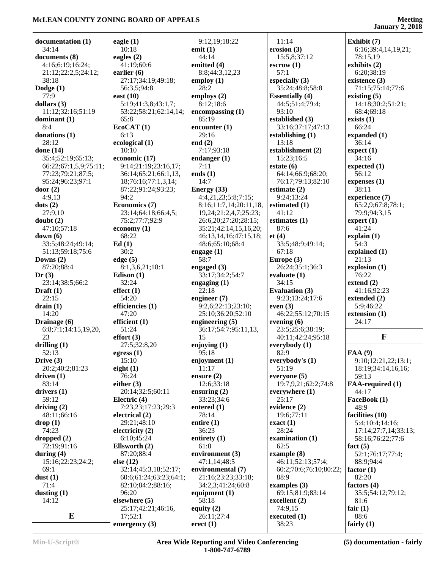**January 2, 2018**

| documentation (1)     | eagle $(1)$            | 9:12,19;18:22          | 11:14                  | Exhibit (7)          |
|-----------------------|------------------------|------------------------|------------------------|----------------------|
| 34:14                 | 10:18                  | emit $(1)$             | erosion $(3)$          | 6:16;39:4,14,19,21;  |
| documents (8)         | eagles $(2)$           | 44:14                  | 15:5,8;37:12           | 78:15,19             |
| 4:16;6:19;16:24;      | 41:19;60:6             | emitted (4)            | $\text{escrow}(1)$     | exhibits (2)         |
| 21:12;22:2,5;24:12;   | earlier $(6)$          | 8:8;44:3,12,23         | 57:1                   | 6:20;38:19           |
| 38:18                 | 27:17;34:19;49:18;     | employ $(1)$           | especially (3)         | existence (3)        |
| Dodge $(1)$           | 56:3,5;94:8            | 28:2                   | 35:24;48:8;58:8        | 71:15;75:14;77:6     |
| 77:9                  | east $(10)$            | employs $(2)$          | <b>Essentially (4)</b> | existing $(5)$       |
| dollars $(3)$         | 5:19;41:3,8;43:1,7;    | 8:12;18:6              | 44:5;51:4;79:4;        | 14:18;30:2;51:21;    |
| 11:12;32:16;51:19     | 53:22;58:21;62:14,14;  | encompassing(1)        | 93:10                  | 68:4;69:18           |
| dominant (1)          | 65:8                   | 85:19                  | established (3)        | exists $(1)$         |
| 8:4                   | EcoCAT(1)              | encounter $(1)$        | 33:16;37:17;47:13      | 66:24                |
| donations (1)         | 6:13                   | 29:16                  | establishing $(1)$     | expanded $(1)$       |
| 28:12                 | ecological (1)         | end $(2)$              | 13:18                  | 36:14                |
| done (14)             | 10:10                  | 7:17;93:18             | establishment (2)      | expect(1)            |
| 35:4;52:19;65:13;     | economic (17)          | endanger $(1)$         | 15:23;16:5             | 34:16                |
| 66:22;67:1,5,9;75:11; | 9:14;21:19;23:16,17;   | 7:11                   | estate $(6)$           | expected $(1)$       |
| 77:23;79:21;87:5;     | 36:14;65:21;66:1,13,   | ends $(1)$             | 64:14;66:9;68:20;      | 56:12                |
| 95:24;96:23;97:1      | 18;76:16;77:1,3,14;    | 14:7                   | 76:17;79:13;82:10      | expenses (1)         |
| door $(2)$            | 87:22;91:24;93:23;     | Energy (33)            | estimate $(2)$         | 38:11                |
| 4:9,13                | 94:2                   | 4:4,21,23;5:8;7:15;    | 9:24;13:24             | experience (7)       |
| dots (2)              | Economics (7)          | 8:16;11:7,14;20:11,18, | estimated (1)          | 65:2,9;67:8;78:1;    |
| 27:9,10               | 23:14;64:18;66:4,5;    | 19,24;21:2,4,7;25:23;  | 41:12                  | 79:9:94:3.15         |
| doubt(2)              | 75:2;77:7;92:9         | 26:6,20;27:20;28:15;   | estimates (1)          | expert $(1)$         |
| 47:10;57:18           | economy $(1)$          | 35:21;42:14,15,16,20;  | 87:6                   | 41:24                |
| down(6)               | 68:22                  | 46:13,14,16;47:15,18;  | et(4)                  | explain(1)           |
| 33:5;48:24;49:14;     | Ed(1)                  | 48:6;65:10;68:4        | 33:5;48:9;49:14;       | 54:3                 |
| 51:13;59:18;75:6      | 30:2                   | engage $(1)$           | 67:18                  | explained (1)        |
| Downs $(2)$           | edge(5)                | 58:7                   | Europe (3)             | 21:13                |
| 87:20;88:4            | 8:1,3,6,21;18:1        | engaged $(3)$          | 26:24;35:1;36:3        | explosion (1)        |
| Dr(3)                 | Edison $(1)$           | 33:17;34:2;54:7        | evaluate $(1)$         | 76:22                |
| 23:14;38:5;66:2       | 32:24                  | engaging $(1)$         | 34:15                  | extend $(2)$         |
| Draft $(1)$           | effect(1)              | 22:18                  | <b>Evaluation (3)</b>  | 41:16;92:23          |
| 22:15                 | 54:20                  | engineer $(7)$         | 9:23;13:24;17:6        | extended (2)         |
| drain(1)              | efficiencies (1)       | 9:2,6;22:13;23:10;     | even $(3)$             | 5:9;46:22            |
| 14:20                 | 47:20                  | 25:10;36:20;52:10      | 46:22;55:12;70:15      | extension (1)        |
| Drainage (6)          | efficient $(1)$        | engineering (5)        | evening $(6)$          | 24:17                |
| 6:8;7:1;14:15,19,20,  | 51:24                  | 36:17;54:7;95:11,13,   | 23:5;25:6;38:19;       |                      |
| 23                    | effort(3)              | 15                     | 40:11;42:24;95:18      | $\mathbf{F}$         |
| drilling $(1)$        | 27:5;32:8,20           | enjoying $(1)$         | everybody (1)          |                      |
| 52:13                 | egress $(1)$           | 95:18                  | 82:9                   | FAA (9)              |
| Drive $(3)$           | 15:10                  | enjoyment (1)          | everybody's $(1)$      | 9:10;12:21,22;13:1;  |
| 20:2;40:2;81:23       | eight $(1)$            | 11:17                  | 51:19                  | 18:19;34:14,16,16;   |
| driven(1)             | 76:24                  | ensure $(2)$           | everyone $(5)$         | 59:13                |
| 83:14                 | either $(3)$           | 12:6;33:18             | 19:7,9,21;62:2;74:8    | FAA-required (1)     |
| drivers $(1)$         | 20:14;32:5;60:11       | ensuring $(2)$         | everywhere (1)         | 44:17                |
| 59:12                 | Electric $(4)$         | 33:23;34:6             | 25:17                  | FaceBook (1)         |
| driving $(2)$         | 7:23,23;17:23;29:3     | entered $(1)$          | evidence (2)           | 48:9                 |
| 48:11;66:16           | electrical $(2)$       | 78:14                  | 19:6:77:11             | facilities (10)      |
| drop(1)               | 29:21;48:10            | entire $(1)$           | exact(1)               | 5:4;10:4;14:16;      |
| 74:23                 | electricity $(2)$      | 36:23                  | 28:24                  | 17:14;27:7,14;33:13; |
| dropped(2)            | 6:10;45:24             | entirety (1)           | examination (1)        | 58:16;76:22;77:6     |
| 72:19;91:16           | Ellsworth (2)          | 61:8                   | 62:5                   | fact $(5)$           |
| during $(4)$          | 87:20;88:4             | environment (3)        | example(8)             | 52:1;76:17;77:4;     |
| 15:16;22:23;24:2;     | else $(12)$            | 47:1,14;48:5           | 46:11;52:13;57:4;      | 88:9;94:4            |
| 69:1                  | 32:14;45:3,18;52:17;   | environmental (7)      | 60:2;70:6;76:10;80:22; | factor $(1)$         |
| dust $(1)$            | 60:6;61:24;63:23;64:1; | 21:16;23:23;33:18;     | 88:9                   | 82:20                |
| 71:4                  | 82:10;84:2;88:16;      | 34:2,3;41:24;60:8      | examples $(3)$         | factors $(4)$        |
| dusting $(1)$         | 96:20                  | equipment $(1)$        | 69:15;81:9;83:14       | 35:5;54:12;79:12;    |
| 14:12                 | elsewhere $(5)$        | 58:18                  | excellent $(2)$        | 81:6                 |
|                       | 25:17;42:21;46:16,     | equity $(2)$           | 74:9,15                | fair $(1)$           |
| $\bf{E}$              | 17;52:1                | 26:11;27:4             | executed (1)           | 88:6                 |
|                       | emergency $(3)$        | erect $(1)$            | 38:23                  | fairly $(1)$         |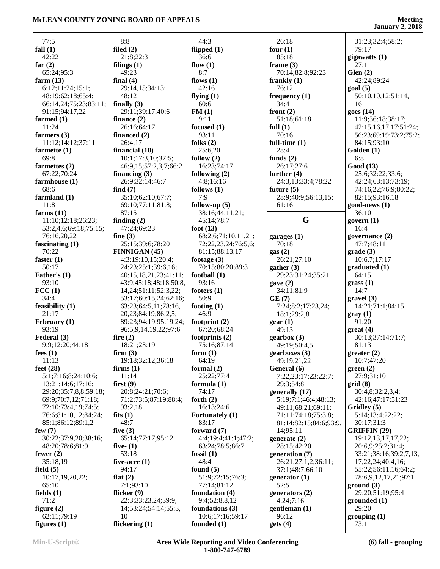|                              |                            |                                 |                                    | January $2,2010$        |
|------------------------------|----------------------------|---------------------------------|------------------------------------|-------------------------|
| 77:5                         | 8:8                        | 44:3                            | 26:18                              | 31:23;32:4;58:2;        |
| fall $(1)$                   | filed $(2)$                | flipped (1)                     | four $(1)$                         | 79:17                   |
| 42:22                        | 21:8;22:3                  | 36:6                            | 85:18                              |                         |
|                              |                            |                                 |                                    | gigawatts $(1)$<br>27:1 |
| far $(2)$                    | filings $(1)$              | flow $(1)$                      | frame $(3)$                        |                         |
| 65:24;95:3                   | 49:23                      | 8:7                             | 70:14;82:8;92:23                   | Glen(2)                 |
| farm $(13)$                  | final $(4)$                | flows $(1)$                     | frankly $(1)$                      | 42:24;89:24             |
| 6:12;11:24;15:1;             | 29:14,15;34:13;            | 42:16                           | 76:12                              | goal(5)                 |
| 48:19;62:18;65:4;            | 48:12                      | flying $(1)$                    | frequency $(1)$                    | 50:10,10,12;51:14,      |
| 66:14,24;75:23;83:11;        | finally $(3)$              | 60:6                            | 34:4                               | 16                      |
| 91:15;94:17,22               | 29:11;39:17;40:6           | FM(1)                           | front $(2)$                        | goes(14)                |
| farmed $(1)$                 | finance $(2)$              | 9:11                            | 51:18;61:18                        | 11:9;36:18;38:17;       |
| 11:24                        | 26:16;64:17                | focused $(1)$                   | full $(1)$                         | 42:15,16,17,17;51:24;   |
| farmers (3)                  | financed $(2)$             | 93:11                           | 70:16                              | 56:23;69:19;73:2;75:2;  |
| 11:12;14:12;37:11            | 26:4,17                    | folks $(2)$                     | full-time $(1)$                    | 84:15;93:10             |
| farmette $(1)$               | financial $(10)$           | 25:6,20                         | 28:4                               | Golden (1)              |
| 69:8                         | 10:1;17:3,10;37:5;         | follow $(2)$                    | funds $(2)$                        | 6:8                     |
| farmettes $(2)$              | 46:9,15;57:2,3,7;66:2      | 16:23;74:17                     | 26:17;27:6                         | Good (13)               |
| 67:22;70:24                  | financing $(3)$            | following (2)                   | further $(4)$                      | 25:6;32:22;33:6;        |
| farmhouse (1)                | 26:9;32:14;46:7            | 4:8;16:16                       | 24:3,13;33:4;78:22                 | 42:24;63:13;73:19;      |
| 68:6                         | find $(7)$                 | follows $(1)$                   | future $(5)$                       | 74:16,22;76:9;80:22;    |
| farmland $(1)$               | 35:10;62:10;67:7;          | 7:9                             | 28:9;40:9;56:13,15;                | 82:15;93:16,18          |
| 11:8                         | 69:10;77:11;81:8;          | follow-up $(5)$                 | 61:16                              | $good-news(1)$          |
| farms $(11)$                 | 87:15                      |                                 |                                    | 36:10                   |
|                              |                            | 38:16;44:11,21;                 | G                                  |                         |
| 11:10;12:18;26:23;           | finding $(2)$              | 45:14;78:7                      |                                    | govern $(1)$            |
| 53:2,4,6;69:18;75:15;        | 47:24;69:23                | foot $(13)$                     |                                    | 16:4                    |
| 76:16,20,22                  | fine $(3)$                 | 68:2,6;71:10,11,21;             | garages $(1)$                      | governance (2)          |
| fascinating $(1)$            | 25:15;39:6;78:20           | 72:22,23,24;76:5,6;             | 70:18                              | 47:7;48:11              |
| 70:22                        | <b>FINNIGAN (45)</b>       | 81:15;88:13,17                  | gas(2)                             | grade(3)                |
| faster $(1)$                 | 4:3;19:10,15;20:4;         | footage $(3)$                   | 26:21;27:10                        | 10:6,7;17:17            |
| 50:17                        | 24:23;25:1;39:6,16;        | 70:15;80:20;89:3                | gather (3)                         | graduated(1)            |
| Father's $(1)$               | 40:15,18,21,23;41:11;      | football $(1)$                  | 29:23;31:24;35:21                  | 64:15                   |
| 93:10                        | 43:9;45:18;48:18;50:8,     | 93:16                           | gave(2)                            | grass(1)                |
| $\text{FCC}$ (1)             | 14, 24; 51: 11; 52: 3, 22; | footers $(1)$                   | 34:11;81:9                         | 14:7                    |
| 34:4                         | 53:17;60:15,24;62:16;      | 50:9                            | GE(7)                              | gravel(3)               |
| feasibility $(1)$            | 63:23;64:5,11;78:16,       | footing $(1)$                   | 7:24;8:2;17:23,24;                 | 14:21;71:1;84:15        |
| 21:17                        | 20,23;84:19;86:2,5;        | 46:9                            | 18:1;29:2,8                        | gray(1)                 |
| February (1)                 | 89:23;94:19;95:19,24;      | footprint $(2)$                 | gen(1)                             | 91:20                   |
| 93:19                        | 96:5,9,14,19,22;97:6       | 67:20;68:24                     | 49:13                              | $gr(4)$                 |
| Federal (3)                  | fire $(2)$                 | footprints $(2)$                | $genbox (3)$                       | 30:13;37:14;71:7;       |
| 9:9;12:20;44:18              | 18:21;23:19                | 75:16;87:14                     | 49:19;50:4,5                       | 81:13                   |
| fees $(1)$                   | firm(3)                    | form $(1)$                      | gearboxes (3)                      | greater (2)             |
| 11:13                        | 19:18;32:12;36:18          | 64:19                           | 49:19,21,22                        | 10:7;47:20              |
| feet $(28)$                  |                            |                                 |                                    | green(2)                |
|                              | firms $(1)$                | formal $(2)$<br>25:22;77:4      | General (6)<br>7:22,23;17:23;22:7; |                         |
| 5:1;7:16;8:24;10:6;          | 11:14                      |                                 |                                    | 27:9;31:10              |
| 13:21;14:6;17:16;            | first(9)                   | formula $(1)$                   | 29:3;54:8                          | grid(8)                 |
| 29:20;35:7,8,8;59:18;        | 20:8;24:21;70:6;           | 74:17                           | generally (17)                     | 30:4,8;32:2,3,4;        |
| 69:9;70:7,12;71:18;          | 71:2;73:5;87:19;88:4;      | forth $(2)$                     | 5:19:7:1:46:4:48:13:               | 42:16;47:17;51:23       |
| 72:10;73:4,19;74:5;          | 93:2,18                    | 16:13;24:6                      | 49:11;68:21;69:11;                 | Gridley (5)             |
| 76:6;81:10,12;84:24;         | fits $(1)$                 | <b>Fortunately</b> (1)          | 71:11;74:18;75:3,8;                | 5:14;13:4;22:22;        |
| 85:1;86:12;89:1,2            | 48:7                       | 83:17                           | 81:14;82:15;84:6;93:9,             | 30:17;31:3              |
| few $(7)$                    | five $(3)$                 | forward $(7)$                   | 14;95:11                           | <b>GRIFFIN</b> (29)     |
| 30:22;37:9,20;38:16;         | 65:14;77:17;95:12          | 4:4;19:4;41:1;47:2;             | generate $(2)$                     | 19:12, 13, 17, 17, 22;  |
| 48:20;78:6;81:9              | five- $(1)$                | 63:24;78:5;86:7                 | 28:15;42:20                        | 20:6,9;25:2;31:4;       |
| fewer $(2)$                  | 53:18                      | fossil $(1)$                    | generation (7)                     | 33:21;38:16;39:2,7,13,  |
| 35:18,19                     | five-acre $(1)$            | 48:4                            | 26:21;27:1,2;36:11;                | 17,22,24;40:4,16;       |
| field $(5)$                  | 94:17                      | found $(5)$                     | 37:1;48:7;66:10                    | 55:22;56:11,16;64:2;    |
| 10:17,19,20,22;              | flat $(2)$                 | 51:9;72:15;76:3;                | generator $(1)$                    | 78:6,9,12,17,21;97:1    |
| 65:10                        | 7:1;93:10                  | 77:14;81:12                     | 52:5                               | ground(3)               |
| fields $(1)$                 | flicker $(9)$              | foundation (4)                  | generators $(2)$                   | 29:20;51:19;95:4        |
| 71:2                         | 22:3;33:23,24;39:9,        | 9:4;52:8,8,12                   | 4:24;7:16                          | grounded(1)             |
| figure $(2)$                 | 14;53:24;54:14;55:3,       | foundations $(3)$               | gentleman(1)                       | 29:20                   |
|                              |                            |                                 |                                    |                         |
|                              |                            |                                 |                                    |                         |
| 62:11;79:19<br>figures $(1)$ | 10<br>flickering (1)       | 10:6;17:16;59:17<br>founded (1) | 96:12<br>gets(4)                   | grouping(1)<br>73:1     |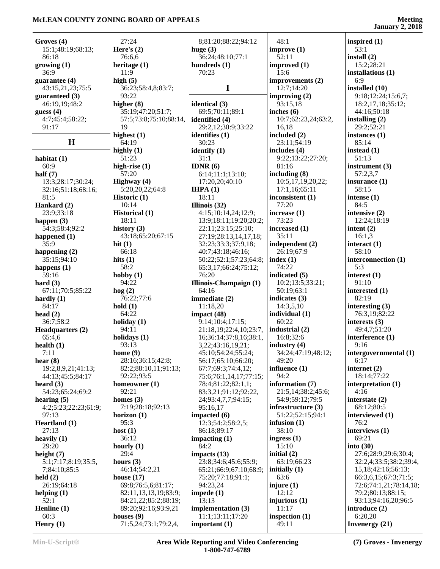|                      |                        |                        |                     | January 2, 2010         |
|----------------------|------------------------|------------------------|---------------------|-------------------------|
| Groves (4)           | 27:24                  | 8;81:20;88:22;94:12    | 48:1                | inspired $(1)$          |
| 15:1;48:19;68:13;    | Here's $(2)$           | huge $(3)$             | improve(1)          | 53:1                    |
| 86:18                | 76:6,6                 | 36:24;48:10;77:1       | 52:11               | install $(2)$           |
| growing (1)          | heritage $(1)$         | hundreds (1)           | improved (1)        | 15:2;28:21              |
| 36:9                 | 11:9                   | 70:23                  | 15:6                | installations (1)       |
| guarantee (4)        | high $(5)$             |                        | improvements (2)    | 6:9                     |
| 43:15,21,23;75:5     | 36:23;58:4,8;83:7;     | $\mathbf I$            | 12:7;14:20          | installed (10)          |
| guaranteed (3)       | 93:22                  |                        | improving $(2)$     | 9:18;12:24;15:6,7;      |
| 46:19,19;48:2        | higher $(8)$           | identical (3)          | 93:15,18            | 18:2,17,18;35:12;       |
| guess $(4)$          | 35:19;47:20;51:7;      | 69:5:70:11:89:1        | inches $(6)$        | 44:16;50:18             |
| 4:7;45:4;58:22;      | 57:5;73:8;75:10;88:14, | identified (4)         | 10:7;62:23,24;63:2, | installing $(2)$        |
| 91:17                | 19                     | 29:2,12;30:9;33:22     | 16,18               | 29:2:52:21              |
|                      |                        |                        |                     |                         |
| H                    | highest $(1)$<br>64:19 | identifies (1)         | included (2)        | instances $(1)$         |
|                      |                        | 30:23                  | 23:11;54:19         | 85:14                   |
|                      | highly $(1)$           | identify $(1)$         | includes (4)        | instead $(1)$           |
| habitat $(1)$        | 51:23                  | 31:1                   | 9:22;13:22;27:20;   | 51:13                   |
| 60:9                 | high-rise $(1)$        | IDNR $(6)$             | 81:16               | instrument $(3)$        |
| half $(7)$           | 57:20                  | 6:14;11:1;13:10;       | including $(8)$     | 57:2,3,7                |
| 13:3;28:17;30:24;    | Highway (4)            | 17:20,20;40:10         | 10:5,17,19,20,22;   | insurance $(1)$         |
| 32:16;51:18;68:16;   | 5:20,20,22;64:8        | IHPA(1)                | 17:1,16;65:11       | 58:15                   |
| 81:5                 | Historic (1)           | 18:11                  | inconsistent (1)    | intense $(1)$           |
| Hankard (2)          | 10:14                  | Illinois (32)          | 77:20               | 84:5                    |
| 23:9;33:18           | <b>Historical</b> (1)  | 4:15:10:14,24:12:9:    | increase $(1)$      | intensive $(2)$         |
| happen $(3)$         | 18:11                  | 13:9;18:11;19:20;20:2; | 73:23               | 12:24;18:19             |
| 54:3;58:4;92:2       | history $(3)$          | 22:11;23:15;25:10;     | increased (1)       | intent $(2)$            |
| happened (1)         | 43:18;65:20;67:15      | 27:19;28:13,14,17,18;  | 35:11               | 16:1,3                  |
| 35:9                 | hit $(1)$              | 32:23;33:3;37:9,18;    | independent (2)     | interact $(1)$          |
| happening $(2)$      | 66:18                  | 40:7;43:18;46:16;      | 26:19;67:9          | 58:10                   |
| 35:15;94:10          | hits $(1)$             | 50:22;52:1;57:23;64:8; | index $(1)$         | interconnection (1)     |
| happens $(1)$        | 58:2                   | 65:3,17;66:24;75:12;   | 74:22               | 5:3                     |
| 59:16                | hobby $(1)$            | 76:20                  | indicated (5)       | interest $(1)$          |
|                      |                        |                        |                     |                         |
| hard $(3)$           | 94:22                  | Illinois-Champaign (1) | 10:2;13:5;33:21;    | 91:10                   |
| 67:11;70:5;85:22     | $\log(2)$              | 64:16                  | 50:19;63:1          | interested $(1)$        |
| hardly $(1)$         | 76:22;77:6             | immediate (2)          | indicates $(3)$     | 82:19                   |
| 84:17                | hold(1)                | 11:18,20               | 14:3,5,10           | interesting $(3)$       |
| head $(2)$           | 64:22                  | impact $(48)$          | individual (1)      | 76:3,19;82:22           |
| 36:7;58:2            | holiday $(1)$          | 9:14;10:4;17:15;       | 60:22               | interests $(3)$         |
| Headquarters (2)     | 94:11                  | 21:18,19;22:4,10;23:7, | industrial (2)      | 49:4,7;51:20            |
| 65:4,6               | holidays (1)           | 16;36:14;37:8,16;38:1, | 16:8;32:6           | interference (1)        |
| health $(1)$         | 93:13                  | 3,22;43:16,19,21;      | industry $(4)$      | 9:16                    |
| 7:11                 | home $(9)$             | 45:10;54:24;55:24;     | 34:24;47:19;48:12;  | intergovernmental (1)   |
| hear $(8)$           | 28:16;36:15;42:8;      | 56:17;65:10;66:20;     | 49:20               | 6:17                    |
| 19:2,8,9,21;41:13;   | 82:2;88:10,11;91:13;   | 67:7;69:3;74:4,12;     | influence $(1)$     | internet $(2)$          |
| 44:13;45:5;84:17     | 92:22;93:5             | 75:6;76:1,14,17;77:15; | 94:2                | 18:14;77:22             |
| heard $(3)$          | homeowner $(1)$        | 78:4;81:22;82:1,1;     | information (7)     | interpretation $(1)$    |
| 54:23;65:24;69:2     | 92:21                  | 83:3,21;91:12;92:22,   | 21:5,14;38:2;45:6;  | 4:16                    |
| hearing $(5)$        | homes $(3)$            | 24;93:4,7,7;94:15;     | 54:9;59:12;79:5     | interstate $(2)$        |
| 4:2;5:23;22:23;61:9; | 7:19;28:18;92:13       | 95:16,17               | infrastructure (3)  | 68:12;80:5              |
| 97:13                | horizon $(1)$          | impacted (6)           | 51:22;52:15;94:1    | interviewed (1)         |
|                      |                        |                        | infusion $(1)$      | 76:2                    |
| Heartland (1)        | 95:3                   | 12:3;54:2;58:2,5;      |                     |                         |
| 27:13                | host $(1)$             | 86:18;89:17            | 38:10               | interviews (1)          |
| heavily $(1)$        | 36:12                  | impacting $(1)$        | ingress $(1)$       | 69:21                   |
| 29:20                | hourly $(1)$           | 84:2                   | 15:10               | into $(30)$             |
| height $(7)$         | 29:4                   | impacts $(13)$         | initial $(2)$       | 27:6;28:9;29:6;30:4;    |
| 5:1;7:17;8:19;35:5,  | hours $(3)$            | 23:8;34:6;45:6;55:9;   | 63:19;66:23         | 32:2,4;33:5;38:2;39:4,  |
| 7;84:10;85:5         | 46:14;54:2,21          | 65:21;66:9;67:10;68:9; | initially $(1)$     | 15, 18; 42: 16; 56: 13; |
| held $(2)$           | house $(17)$           | 75:20;77:18;91:1;      | 63:6                | 66:3,6,15;67:3;71:5;    |
| 26:19:64:18          | 69:8;76:5,6;81:17;     | 94:23,24               | injure $(1)$        | 72:6;74:1,21;78:14,18;  |
| helping $(1)$        | 82:11,13,13,19;83:9;   | impede $(1)$           | 12:12               | 79:2;80:13;88:15;       |
| 52:1                 | 84:21,22;85:2;88:19;   | 13:13                  | injurious (1)       | 93:13;94:16,20;96:5     |
| Henline (1)          | 89:20;92:16;93:9,21    | implementation (3)     | 11:17               | introduce $(2)$         |
| 60:3                 | houses $(9)$           | 11:1;13:11;17:20       | inspection (1)      | 6:20,20                 |
| Henry $(1)$          | 71:5,24;73:1;79:2,4,   | important $(1)$        | 49:11               | Invenergy $(21)$        |
|                      |                        |                        |                     |                         |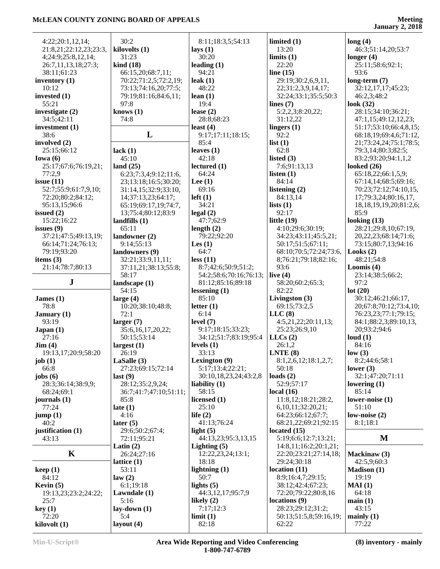| 4:22;20:1,12,14;                    | 30:2                                       | 8:11;18:3,5;54:13                 | limited $(1)$                            | long(4)                                      |
|-------------------------------------|--------------------------------------------|-----------------------------------|------------------------------------------|----------------------------------------------|
| 21:8,21;22:12,23;23:3,              | kilovolts (1)                              | lays $(1)$                        | 13:20                                    | 46:3;51:14,20;53:7                           |
| 4;24:9;25:8,12,14;                  | 31:23                                      | 30:20                             | limits(1)                                | longer $(4)$                                 |
| 26:7,11,13,18;27:3;                 | $\operatorname{kind}(18)$                  | leading $(1)$                     | 22:20                                    | 25:11;58:6;92:1;                             |
| 38:11;61:23                         | 66:15,20;68:7,11;                          | 94:21                             | line $(15)$                              | 93:6                                         |
| inventory (1)                       | 70:22;71:2,5;72:2,19;                      | leak $(1)$                        | 29:19;30:2,6,9,11,                       | $long-term (7)$                              |
| 10:12                               | 73:13;74:16,20;77:5;                       | 48:22                             | 22;31:2,3,9,14,17;                       | 32:12,17,17;45:23;                           |
| invested $(1)$                      | 79:19;81:16;84:6,11;                       | lean $(1)$                        | 32:24;33:1;35:5;50:3                     | 46:2,3;48:2                                  |
| 55:21                               | 97:8                                       | 19:4                              | lines $(7)$                              | look $(32)$                                  |
| investigate $(2)$                   | knows $(1)$                                | lease $(2)$                       | 5:2,2,3;8:20,22;                         | 28:15;34:10;36:21;                           |
| 34:5;42:11                          | 74:8                                       | 28:8;68:23                        | 31:12,22                                 | 47:1,15;49:12,12,23;                         |
| investment $(1)$                    |                                            | least $(4)$                       | lingers $(1)$                            | 51:17:53:10:66:4,8,15;                       |
| 38:6                                | L                                          | 9:17:17:11:18:15;                 | 92:2                                     | 68:18,19;69:4,6;71:12,                       |
| involved (2)<br>25:15;66:12         |                                            | 85:4<br>leaves $(1)$              | list(1)<br>62:8                          | 21;73:24,24;75:1;78:5;                       |
| Iowa $(6)$                          | lack $(1)$<br>45:10                        | 42:18                             | listed $(3)$                             | 79:3,14;80:3;82:5;<br>83:2;93:20;94:1,1,2    |
| 25:17;67:6;76:19,21;                | land $(25)$                                | lectured(1)                       | 7:6;91:13,13                             | looked $(26)$                                |
| 77:2,9                              | 6:23;7:3,4;9:12;11:6,                      | 64:24                             | listen $(1)$                             | 65:18,22;66:1,5,9;                           |
| issue $(11)$                        | 23;13:18;16:5;30:20;                       | Lee $(1)$                         | 84:14                                    | 67:14,14;68:5;69:16;                         |
| 52:7;55:9;61:7,9,10;                | 31:14,15;32:9;33:10,                       | 69:16                             | listening $(2)$                          | 70:23;72:12;74:10,15,                        |
| 72:20;80:2;84:12;                   | 14;37:13,23;64:17;                         | $left(1\right)$                   | 84:13,14                                 | 17;79:3,24;80:16,17,                         |
| 95:13,15;96:6                       | 65:19;69:17,19;74:7,                       | 34:21                             | lists $(1)$                              | 18, 18, 19, 19, 20; 81: 2, 6;                |
| issued $(2)$                        | 13;75:4;80:12;83:9                         | legal(2)                          | 92:17                                    | 85:9                                         |
| 15:22;16:22                         | landfills $(1)$                            | 47:7;62:9                         | little $(19)$                            | looking $(13)$                               |
| issues $(9)$                        | 65:11                                      | length $(2)$                      | 4:10;29:6;30:19;                         | 28:21;29:8,10;67:19,                         |
| 37:21;47:5;49:13,19;                | landowner (2)                              | 79:22;92:20                       | 34:23;43:11;45:5,21;                     | 20, 22, 23; 68: 14; 71: 6;                   |
| 66:14;71:24;76:13;                  | 9:14;55:13                                 | Les $(1)$                         | 50:17;51:5;67:11;                        | 73:15;80:7,13;94:16                          |
| 79:19;93:20                         | landowners (9)                             | 64:7                              | 68:10;70:5;72:24;73:6,                   | Looks $(2)$                                  |
| items $(3)$                         | 32:21;33:9,11,11;                          | less(11)                          | 8;76:21;79:18;82:16;<br>93:6             | 48:21;54:8                                   |
| 21:14;78:7;80:13                    | 37:11,21;38:13;55:8;<br>58:17              | 8:7;42:6;50:9;51:2;               |                                          | Loomis $(4)$                                 |
|                                     |                                            |                                   |                                          |                                              |
|                                     |                                            | 54:2;58:6;70:16;76:13;            | live $(4)$                               | 23:14;38:5;66:2;                             |
| ${\bf J}$                           | landscape (1)                              | 81:12;85:16;89:18                 | 58:20;60:2;65:3;                         | 97:2                                         |
|                                     | 54:15                                      | lessening $(1)$                   | 82:22                                    | lot(20)                                      |
| James $(1)$<br>78:8                 | large $(4)$<br>10:20;38:10;48:8;           | 85:10<br>letter $(1)$             | Livingston $(3)$<br>69:15;73:2,5         | 30:12;46:21;66:17,<br>20;67:8;70:12;73:4,10; |
| January $(1)$                       | 72:1                                       | 6:14                              | LLC(8)                                   | 76:23,23;77:1;79:15;                         |
| 93:19                               | larger $(7)$                               | level $(7)$                       | 4:5,21,22;20:11,13;                      | 84:1;88:2,3;89:10,13,                        |
| Japan(1)                            | 35:6,16,17,20,22;                          | 9:17;18:15;33:23;                 | 25:23;26:9,10                            | 20;93:2;94:6                                 |
| 27:16                               | 50:15;53:14                                | 34:12;51:7;83:19;95:4             | LLCs(2)                                  | loud $(1)$                                   |
| $\text{Jim} (4)$                    | largest $(1)$                              | levels $(1)$                      | 26:1,2                                   | 84:16                                        |
| 19:13,17;20:9;58:20                 | 26:19                                      | 33:13                             | LNTE(8)                                  | low(3)                                       |
| job(1)                              | LaSalle (3)                                | Lexington (9)                     | 8:1,2,6,12;18:1,2,7;                     | 8:2;44:6;58:1                                |
| 66:8                                | 27:23;69:15;72:14                          | 5:17;13:4;22:21;                  | 50:18                                    | lower $(3)$                                  |
| jobs $(6)$                          | last(9)                                    | 30:10,18,23,24;43:2,8             | loads $(2)$                              | 32:1;47:20;71:11                             |
| 28:3;36:14;38:9,9;<br>68:24;69:1    | 28:12;35:2,9,24;<br>36:7;41:7;47:10;51:11; | liability $(1)$<br>58:15          | 52:9;57:17<br>local $(16)$               | lowering $(1)$<br>85:14                      |
| journals $(1)$                      | 85:8                                       | licensed (1)                      | 11:8,12;18:21;28:2,                      | lower-noise $(1)$                            |
| 77:24                               | late $(1)$                                 | 25:10                             | 6,10,11;32:20,21;                        | 51:10                                        |
| jump(1)                             | 4:16                                       | life $(2)$                        | 64:23;66:12;67:7;                        | low-noise $(2)$                              |
| 40:2                                | later $(5)$                                | 41:13;76:24                       | 68:21,22;69:21;92:15                     | 8:1;18:1                                     |
| justification (1)                   | 29:6;50:2;67:4;                            | light $(5)$                       | located $(15)$                           |                                              |
| 43:13                               | 72:11;95:21                                | 44:13,23;95:3,13,15               | 5:19;6:6;12:7;13:21;                     | M                                            |
|                                     | Latin $(2)$                                | Lighting $(5)$                    | 14:8,11;16:2;20:1,21;                    |                                              |
| $\mathbf K$                         | 26:24;27:16                                | 12:22,23,24;13:1;                 | 22:20;23:21;27:14,18;                    | Mackinaw (3)                                 |
|                                     | lattice $(1)$                              | 18:18                             | 29:24;30:18                              | 42:5,9;60:3                                  |
| keep(1)                             | 53:11                                      | lightning $(1)$                   | location(11)                             | <b>Madison</b> (1)                           |
| 84:12                               | law(2)                                     | 50:7                              | 8:9;16:4,7;29:15;                        | 19:19                                        |
| Kevin $(5)$<br>19:13,23;23:2;24:22; | 6:1;19:18                                  | lights $(5)$<br>44:3,12,17;95:7,9 | 38:12;42:4;67:23;<br>72:20;79:22;80:8,16 | MAI(1)<br>64:18                              |
| 25:7                                | Lawndale (1)<br>5:16                       | likely $(2)$                      | locations (9)                            | main(1)                                      |
| key(1)                              | $lay-down(1)$                              | 7:17;12:3                         | 28:23;29:12;31:2;                        | 43:15                                        |
| 72:20<br>kilovolt (1)               | 5:4<br>layout $(4)$                        | limit(1)<br>82:18                 | 50:13;51:5,8;59:16,19;<br>62:22          | mainly $(1)$<br>77:22                        |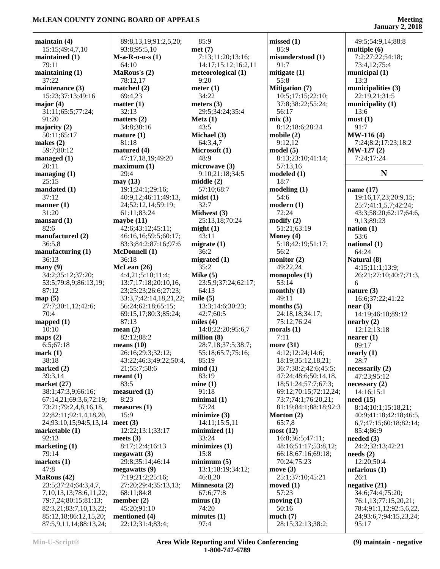**January 2, 2018**

| maintain $(4)$                | 89:8,13,19;91:2,5,20;    | 85:9                               | missed(1)             | 49:5;54:9,14;88:8               |
|-------------------------------|--------------------------|------------------------------------|-----------------------|---------------------------------|
| 15:15;49:4,7,10               | 93:8;95:5,10             | met(7)                             | 85:9                  | multiple $(6)$                  |
| maintained (1)                | $M-a-R-o-u-s(1)$         | 7:13;11:20;13:16;                  | misunderstood (1)     | 7:2;27:22;54:18;                |
| 79:11                         | 64:10                    | 14:17;15:12;16:2,11                | 91:7                  | 73:4,12;75:4                    |
| maintaining $(1)$             | MaRous's (2)             | meteorological (1)                 | mitigate (1)          | municipal $(1)$                 |
| 37:22                         | 78:12,17                 | 9:20                               | 55:8                  | 13:3                            |
| maintenance (3)               | matched $(2)$            | meter $(1)$                        | <b>Mitigation</b> (7) | municipalities (3)              |
| 15:23;37:13;49:16             | 69:4,23                  | 34:22                              | 10:5;17:15;22:10;     | 22:19,21;31:5                   |
| major $(4)$                   | matter (1)               | meters $(3)$                       | 37:8;38:22;55:24;     | municipality $(1)$              |
| 31:11;65:5;77:24;             | 32:13                    | 29:5;34:24;35:4                    | 56:17                 | 13:6                            |
| 91:20                         | matters $(2)$            | Metz(1)                            | mix(3)                | must(1)                         |
| majority $(2)$                | 34:8;38:16               | 43:5                               | 8:12;18:6;28:24       | 91:7                            |
| 50:11;65:17                   | mature(1)                | Michael (3)                        | mobile(2)             | $MW-116(4)$                     |
| makes $(2)$                   | 81:18                    | 64:3,4,7                           | 9:12,12               | 7:24;8:2;17:23;18:2             |
| 59:7;80:12                    | matured (4)              | Microsoft (1)                      | model(5)              | $MW-127(2)$                     |
| managed $(1)$                 | 47:17,18,19;49:20        | 48:9                               | 8:13;23:10;41:14;     | 7:24;17:24                      |
| 20:11                         | maximum <sub>(1)</sub>   | microwave (3)                      | 57:13,16              |                                 |
| managing $(1)$                | 29:4                     | 9:10;21:18;34:5                    | modeled(1)            | N                               |
| 25:15                         | may(13)                  | middle(2)                          | 18:7                  |                                 |
| mandated (1)                  | 19:1;24:1;29:16;         | 57:10;68:7                         | modeling(1)           | name (17)                       |
| 37:12                         | 40:9,12;46:11;49:13,     | mids(1)                            | 54:6                  | 19:16,17,23;20:9,15;            |
| manner $(1)$                  | 24;52:12,14;59:19;       | 32:7                               | modern(1)             | 25:7;41:1,5,7;42:24;            |
| 31:20                         | 61:11;83:24              | Midwest (3)                        | 72:24                 | 43:3;58:20;62:17;64:6,          |
| mansard $(1)$                 | maybe $(11)$             | 25:13,18;70:24                     | $\text{modify}(2)$    | 9,13;89:23                      |
| 82:6                          | 42:6;43:12;45:11;        | might(1)                           | 51:21;63:19           | nation $(1)$                    |
| manufactured (2)              | 46:16,16;59:5;60:17;     | 43:11                              | Money $(4)$           | 53:6                            |
| 36:5,8                        | 83:3;84:2;87:16;97:6     | migrate $(1)$                      | 5:18;42:19;51:17;     | national $(1)$                  |
| manufacturing $(1)$           | <b>McDonnell</b> (1)     | 36:2                               | 56:2                  | 64:24                           |
| 36:13                         | 36:18                    | migrated $(1)$                     | monitor $(2)$         | Natural (8)                     |
| $\mathbf{many}(9)$            | McLean (26)              | 35:2                               | 49:22,24              | 4:15;11:1;13:9;                 |
| 34:2;35:12;37:20;             | 4:4,21;5:10;11:4;        | Mike $(5)$                         | monopoles $(1)$       | 26:21;27:10;40:7;71:3,          |
| 53:5;79:8,9;86:13,19;         | 13:7;17:18;20:10,16,     | 23:5,9;37:24;62:17;                | 53:14                 | 6                               |
| 87:12                         | 23;25:23;26:6;27:23;     | 64:13                              | monthly $(1)$         | nature $(3)$                    |
| map(5)                        | 33:3,7;42:14,18,21,22;   | mile $(5)$                         | 49:11                 | 16:6;37:22;41:22                |
| 27:7;30:1,12;42:6;            | 56:24;62:18;65:15;       | 13:3;14:6;30:23;                   | months $(5)$          | near(3)                         |
| 70:4                          | 69:15,17;80:3;85:24;     | 42:7;60:5                          | 24:18,18;34:17;       | 14:19;46:10;89:12               |
| mapped $(1)$                  | 87:13                    | miles $(4)$                        | 75:12;76:24           | nearby (2)                      |
| 10:10                         | mean $(2)$<br>82:12;88:2 | 14:8;22:20;95:6,7<br>million $(8)$ | morals $(1)$<br>7:11  | 12:12;13:18                     |
| maps $(2)$<br>6:5;67:18       | means $(10)$             | 28:7,18;37:5;38:7;                 | more $(31)$           | nearer(1)<br>89:17              |
| mark(1)                       | 26:16;29:3;32:12;        | 55:18;65:7;75:16;                  | 4:12;12:24;14:6;      | nearly(1)                       |
| 38:18                         | 43:22;46:3;49:22;50:4,   | 85:19                              | 18:19;35:12,18,21;    | 28:7                            |
| marked $(2)$                  | 21;55:7;58:6             | mind(1)                            | 36:7;38:2;42:6;45:5;  | necessarily (2)                 |
| 39:3,14                       | mean(1)                  | 83:19                              | 47:24;48:6;50:14,18,  | 47:23;95:12                     |
| market $(27)$                 | 83:5                     | mine(1)                            | 18;51:24;57:7;67:3;   | necessary(2)                    |
| 38:1;47:3,9;66:16;            | $measured$ (1)           | 91:18                              | 69:12;70:15;72:12,24; | 14:16;15:1                      |
| 67:14,21;69:3,6;72:19;        | 8:23                     | minimal(1)                         | 73:7;74:1;76:20,21;   | need(15)                        |
| 73:21;79:2,4,8,16,18,         | measures (1)             | 57:24                              | 81:19;84:1;88:18;92:3 | 8:14:10:1:15:18.21:             |
| 22;82:11;92:1,4,18,20,        | 15:9                     | minimize (3)                       | Morton (2)            | 40:9;41:18;42:18;46:5,          |
| 24;93:10,15;94:5,13,14        | meet $(3)$               | 14:11:15:5.11                      | 65:7,8                | 6,7;47:15;60:18;82:14;          |
| marketable $(1)$              | 12:22;13:1;33:17         | minimized (1)                      | most(12)              | 85:4;86:9                       |
| 92:13                         | meets $(3)$              | 33:24                              | 16:8;36:5;47:11;      | needed $(3)$                    |
| marketing $(1)$               | 8:17;12:4;16:13          | minimizes(1)                       | 48:16;51:17;53:8,12;  | 24:2;32:13;42:21                |
| 79:14                         | megawatt(3)              | 15:8                               | 66:18;67:16;69:18;    | $\boldsymbol{\text{needs}}$ (2) |
| markets $(1)$                 | 29:8;35:14;46:14         | minimum(5)                         | 70:24;75:23           | 12:20;50:4                      |
| 47:8                          | megawatts(9)             | 13:1;18:19;34:12;                  | move $(3)$            | nefarious(1)                    |
| MaRous (42)                   | 7:19;21:2;25:16;         | 46:8,20                            | 25:1;37:10;45:21      | 26:1                            |
| 23:5;37:24;64:3,4,7,          | 27:20;29:4;35:13,13;     | Minnesota (2)                      | moved $(1)$           | negative $(21)$                 |
| 7, 10, 13, 13; 78: 6, 11, 22; | 68:11;84:8               | 67:6;77:8                          | 57:23                 | 34:6;74:4;75:20;                |
| 79:7,24;80:15;81:13;          | member $(2)$             | minus(1)                           | moving $(1)$          | 76:1,13;77:15,20,21;            |
| 82:3,21;83:7,10,13,22;        | 45:20;91:10              | 74:20                              | 50:16                 | 78:4;91:1,12;92:5,6,22,         |
| 85:12,18;86:12,15,20;         | mentioned (4)            | minutes <sub>(1)</sub>             | much(7)               | 24;93:6,7;94:15,23,24;          |
| 87:5,9,11,14;88:13,24;        | 22:12;31:4;83:4;         | 97:4                               | 28:15;32:13;38:2;     | 95:17                           |
|                               |                          |                                    |                       |                                 |

**(9) maintain - negative**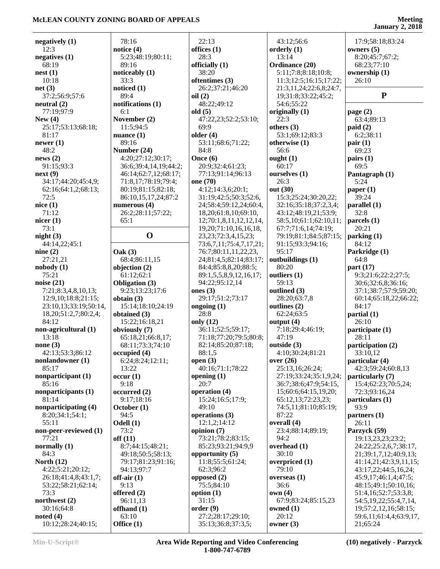### **Meeting**

|                                   |                            |                                         |                         | January $2, 2018$                   |
|-----------------------------------|----------------------------|-----------------------------------------|-------------------------|-------------------------------------|
|                                   | 78:16                      | 22:13                                   | 43:12;56:6              | 17:9;58:18;83:24                    |
| negatively $(1)$<br>12:3          |                            |                                         | orderly $(1)$           |                                     |
|                                   | notice $(4)$               | offices $(1)$<br>28:3                   | 13:14                   | owners $(5)$                        |
| negatives $(1)$<br>68:19          | 5:23;48:19;80:11;<br>89:16 | officially (1)                          |                         | 8:20;45:7;67:2;<br>68:23;77:10      |
|                                   |                            | 38:20                                   | Ordinance (20)          |                                     |
| nest(1)<br>10:18                  | noticeably $(1)$<br>33:3   |                                         | 5:11;7:8;8:18;10:8;     | ownership (1)                       |
|                                   |                            | oftentimes (3)                          | 11:3;12:5;16:15;17:22;  | 26:10                               |
| net(3)                            | noticed $(1)$<br>89:4      | 26:2;37:21;46:20                        | 21:3,11,24;22:6,8;24:7, | ${\bf P}$                           |
| 37:2;56:9;57:6                    |                            | oil(2)                                  | 19;31:8;33:22;45:2;     |                                     |
| neutral (2)<br>77:19;97:9         | notifications (1)<br>6:1   | 48:22;49:12                             | 54:6;55:22              |                                     |
| New $(4)$                         |                            | old $(5)$                               | originally (1)<br>22:3  | page $(2)$                          |
|                                   | November (2)               | 47:22,23;52:2;53:10;<br>69:9            |                         | 63:4;89:13                          |
| 25:17;53:13;68:18;                | 11:5;94:5                  |                                         | others $(3)$            | paid(2)<br>6:2;38:11                |
| 81:17                             | nuance $(1)$<br>89:16      | older $(4)$<br>53:11;68:6;71:22;        | 53:1;69:12;83:3         |                                     |
| newer $(1)$<br>48:2               | Number (24)                | 84:8                                    | otherwise (1)<br>56:6   | pair(1)<br>69:23                    |
| news(2)                           | 4:20;27:12;30:17;          | Once (6)                                | ought $(1)$             |                                     |
| 91:15;93:3                        | 36:6;39:4,14,19;44:2;      | 20:9;32:4;61:23;                        | 60:17                   | pairs(1)<br>69:5                    |
| next(9)                           | 46:14;62:7,12;68:17;       | 77:13;91:14;96:13                       | ourselves (1)           | Pantagraph (1)                      |
| 34:17;44:20;45:4,9;               | 71:8,17;78:19;79:4;        | one (70)                                | 26:3                    | 5:24                                |
| 62:16;64:1,2;68:13;               | 80:19;81:15;82:18;         | 4:12;14:3,6;20:1;                       | out (30)                | paper $(1)$                         |
| 72:5                              | 86:10,15,17,24;87:2        | 31:19;42:5;50:3;52:6,                   | 15:3;25:24;30:20,22;    | 39:24                               |
| nice(1)                           | numerous $(4)$             | 24;58:4;59:12,24;60:4,                  | 32:16;35:18;37:2,3,4;   | parallel(1)                         |
| 71:12                             | 26:2;28:11;57:22;          | 18,20;61:8,10;69:10,                    | 43:12;48:19,21;53:9;    | 32:8                                |
| nicer $(1)$                       | 65:1                       | 12;70:1,8,11,12,12,14,                  | 58:5,10;61:1;62:10,11;  | parcels (1)                         |
| 73:1                              |                            | 19, 20; 71: 10, 16, 16, 18,             | 67:7;71:6,14;74:19;     | 20:21                               |
| night $(3)$                       | $\mathbf 0$                | 23, 23; 72: 3, 4, 15, 23;               | 79:19;81:1;84:5;87:15;  | parking(1)                          |
| 44:14,22;45:1                     |                            | 73:6,7,11;75:4,7,17,21;                 | 91:15;93:3;94:16;       | 84:12                               |
| nine $(2)$                        | $\textbf{Oak}(3)$          | 76:7;80:11,11,22,23,                    | 95:17                   | Parkridge (1)                       |
| 27:21,21                          | 68:4;86:11,15              | 24;81:4,5;82:14;83:17;                  | outbuildings (1)        | 64:8                                |
| nobody (1)                        | objection (2)              | 84:4;85:8,8,20;88:5;                    | 80:20                   | part $(17)$                         |
| 75:21                             | 61:12;62:1                 | 89:1,5,5,8,9,12,16,17;                  | outliers (1)            | 9:3;21:6;22:2;27:5;                 |
| noise $(21)$                      | <b>Obligation</b> (3)      | 94:22;95:12,14                          | 59:13                   | 30:6;32:6,8;36:16;                  |
| 7:21;8:3,4,8,10,13;               | 9:23;13:23;17:6            | ones $(3)$                              | outlined (3)            | 37:1;38:7;57:9;59:20;               |
| 12:9,10;18:8;21:15;               | obtain $(3)$               | 29:17;51:2;73:17                        | 28:20;63:7,8            | 60:14;65:18,22;66:22;               |
| 23:10,13;33:19;50:14,             | 15:14;18:10;24:19          | ongoing $(1)$                           | outlines (2)            | 84:17                               |
| 18, 20; 51: 2, 7; 80: 2, 4;       | obtained $(3)$             | 28:8                                    | 62:24;63:5              | partial(1)                          |
| 84:12                             | 15:22;16:18,21             | only (12)                               | output $(4)$            | 26:10                               |
| non-agricultural (1)              | obviously (7)              | 36:11;52:5;59:17;                       | 7:18;29:4;46:19;        | participate (1)                     |
| 13:18                             | 65:18,21;66:8,17;          | 71:18;77:20;79:5;80:8;                  | 47:19                   | 28:11                               |
| none $(3)$                        | 68:11;73:3;74:10           | 82:14;85:20;87:18;                      | outside (3)             | participation (2)                   |
| 42:13;53:3;86:12                  | occupied(4)                | 88:1,5                                  | 4:10;30:24;81:21        | 33:10,12                            |
| nonlandowner (1)                  | 6:24;8:24;12:11;           | open $(3)$                              | over $(26)$             | particular (4)                      |
| 85:17                             | 13:22                      | 40:16;71:1;78:22                        | 25:13,16;26:24;         | 42:3;59:24;60:8,13                  |
| nonparticipant (1)                | occur(1)                   | opening $(1)$                           | 27:19;33:24;35:1,9,24;  | particularly (7)                    |
| 85:16                             | 9:18                       | 20:7                                    | 36:7;38:6;47:9;54:15,   | 15:4;62:23;70:5,24;                 |
| nonparticipants (1)               | occurred(2)                | operation (4)                           | 15;60:6;64:15,19,20;    | 72:3;93:16,24                       |
| 81:14                             | 9:17;18:16                 | 15:24;16:5;17:9;                        | 65:12,13;72:23,23;      | particulars (1)                     |
| nonparticipating (4)              | October (1)                | 49:10                                   | 74:5,11;81:10;85:19;    | 93:9                                |
| 8:20;34:1;54:1;                   | 94:5                       | operations (3)                          | 87:22                   | partners(1)                         |
| 55:11                             | Odell (1)                  | 12:1,2;14:12                            | overall (4)             | 26:11                               |
| non-peer-reviewed (1)             | 73:2                       | opinion (7)                             | 23:4;88:14;89:19;       | Parzyck (59)                        |
| 77:21                             | off(11)                    | 73:21;78:2;83:15;                       | 94:2                    | 19:13,23,23;23:2;                   |
| normally $(1)$                    | 8:7;44:15;48:21;           | 85:23;93:21;94:9,9                      | overhead (1)            | 24:22;25:2,6,7;38:17,               |
| 84:3                              | 49:18;50:5;58:13;          | opportunity $(5)$                       | 30:10                   | 21;39:1,7,12;40:9,13;               |
| North $(12)$                      | 79:17;81:23;91:16;         | 11:8;55:5;61:24;                        | overpriced (1)          | 41:14,21;42:3,9,11,15;              |
| 4:22;5:21;20:12;                  | 94:13;97:7                 | 62:3;96:2                               | 79:10                   | 43:17,22;44:5,16,24;                |
| 26:18;41:4,8;43:1,7;              | off-air $(1)$              | opposed $(2)$                           | overseas $(1)$          | 45:9,17;46:1,4;47:5;                |
| 53:22;58:21;62:14;                | 9:13                       | 75:5;84:10                              | 36:6                    | 48:15;49:1;50:10,16;                |
| 73:3                              | offered (2)                | option $(1)$                            | own(4)                  | 51:4,16;52:7;53:3,8;                |
|                                   |                            |                                         |                         |                                     |
| northwest (2)                     | 96:11,13                   | 31:15                                   | 67:9;83:24;85:15,23     | 54:5, 19, 22; 55: 4, 7, 14,         |
| 30:16;64:8                        | offhand (1)                | order(9)                                | owned (1)               | 19;57:2,12,16;58:15;                |
| noted $(4)$<br>10:12;28:24;40:15; | 63:10<br>Office (1)        | 27:2;28:17;29:10;<br>35:13;36:8;37:3,5; | 20:12<br>owner (3)      | 59:6,11;61:4,4;63:9,17,<br>21;65:24 |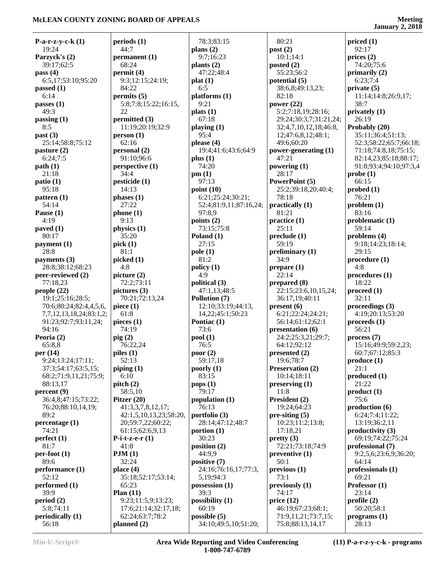**January 2, 2018**

| <b>P-a-r-z-y-c-k</b> $(1)$ | periods(1)             | 78:3;83:15             | 80:21                  | priced(1)                               |
|----------------------------|------------------------|------------------------|------------------------|-----------------------------------------|
| 19:24                      | 44:7                   | plans $(2)$            | post(2)                | 92:17                                   |
| Parzyck's (2)              | permanent (1)          | 9:7;16:23              | 10:1;14:1              | prices $(2)$                            |
| 39:17;62:5                 | 68:24                  | plants (2)             | posted $(2)$           | 74:20;75:6                              |
| pass $(4)$                 | permit(4)              | 47:22;48:4             | 55:23;56:2             | primarily $(2)$                         |
| 6:5,17;53:10;95:20         | 9:3;12:15;24:19;       | plat(1)                | potential (5)          | 6:23;7:4                                |
| passed $(1)$               | 84:22                  | 6:5                    | 38:6,8;49:13,23;       | private(5)                              |
| 6:14                       | permits (5)            | plafforms(1)           | 82:18                  | 11:14;14:8;26:9,17;                     |
| passes $(1)$               | 5:8;7:8;15:22;16:15,   | 9:21                   | power $(22)$           | 38:7                                    |
| 49:3                       | 22                     | plats(1)               | 5:2;7:18,19;28:16;     | privately (1)                           |
| passing $(1)$              | permitted (3)          | 67:18                  | 29:24;30:3,7;31:21,24; | 26:19                                   |
| 8:5                        | 11:19;20:19;32:9       | playing $(1)$          | 32:4,7,10,12,18;46:8,  | Probably (20)                           |
| past $(3)$                 | person(1)              | 95:4                   | 12;47:6,8,12;48:1;     | 35:11;36:4;51:13;                       |
| 25:14;58:8;75:12           | 62:16                  | please $(4)$           | 49:6;60:20             | 52:3;58:22;65:7;66:18;                  |
|                            |                        | 19:4;41:6;43:6;64:9    |                        |                                         |
| $\mathbf{p}$ asture (2)    | personal (2)           |                        | power-generating (1)   | 71:18;74:8,18;75:15;                    |
| 6:24;7:5                   | 91:10;96:6             | plus $(1)$             | 47:21                  | 82:14,23;85:18;88:17;                   |
| path(1)                    | perspective (1)        | 74:20                  | powering (1)           | 91:8;93:4;94:10;97:3,4                  |
| 21:18                      | 34:4                   | pm(1)                  | 28:17                  | probe(1)                                |
| patio(1)                   | pesticide (1)          | 97:13                  | PowerPoint (5)         | 66:15                                   |
| 95:18                      | 14:13                  | point $(10)$           | 25:2;39:18,20;40:4;    | $\boldsymbol{\mathrm{probed}}$ (1)      |
| pattern $(1)$              | phases (1)             | 6:21;25:24;30:21;      | 78:18                  | 76:21                                   |
| 54:14                      | 27:22                  | 52:4;81:9,11;87:16,24; | practically $(1)$      | problem(1)                              |
| Pause $(1)$                | phone (1)              | 97:8.9                 | 81:21                  | 83:16                                   |
| 4:19                       | 9:13                   | points $(2)$           | practive(1)            | problematic (1)                         |
| paved $(1)$                | physics (1)            | 73:15;75:8             | 25:11                  | 59:14                                   |
| 80:17                      | 35:20                  | Poland $(1)$           | preclude (1)           | problems $(4)$                          |
| payment (1)                | pick(1)                | 27:15                  | 59:19                  | 9:18;14:23;18:14;                       |
| 28:8                       | 81:1                   | pole(1)                | preliminary (1)        | 29:15                                   |
| payments (3)               | picked (1)             | 81:2                   | 34:9                   | procedure(1)                            |
| 28:8;38:12;68:23           | 4:8                    | policy(1)              | prepare (1)            | 4:8                                     |
| peer-reviewed (2)          | picture (2)            | 4:9                    | 22:14                  | procedures (1)                          |
|                            |                        |                        |                        | 18:22                                   |
| 77:18,23                   | 72:2;73:11             | political (3)          | prepared (8)           |                                         |
| people $(22)$              | pictures $(3)$         | 47:1,13;48:5           | 22:15;23:6,10,15,24;   | proceed (1)                             |
| 19:1;25:16;28:5;           | 70:21;72:13,24         | Pollution (7)          | 36:17,19;40:11         | 32:11                                   |
| 70:6;80:24;82:4,4,5,6,     | piece $(1)$            | 12:10;33:19;44:13,     | present(6)             | proceedings (3)                         |
| 7,7,12,13,18,24;83:1,2;    | 61:8                   | 14, 22; 45: 1; 50: 23  | 6:21;22:24;24:21;      | 4:19;20:13;53:20                        |
| 91:23;92:7;93:11,24;       | pieces $(1)$           | Pontiac (1)            | 56:14;61:12;62:1       | $\boldsymbol{proceeds}\boldsymbol{(1)}$ |
| 94:16                      | 74:19                  | 73:6                   | presentation (6)       | 56:21                                   |
| Peoria $(2)$               | $\pi$ ig (2)           | pool(1)                | 24:2;25:3,21;29:7;     | process (7)                             |
| 65:8,8                     | 76:22,24               | 76:5                   | 64:12;92:12            | 15:16;49:9;59:2,23;                     |
| per (14)                   | piles (1)              | poor $(2)$             | presented (2)          | 60:7;67:12;85:3                         |
| 9:24;13:24;17:11;          | 52:13                  | 59:17,18               | 19:6;78:7              | produce (1)                             |
| 37:3;54:17;63:5,15;        | piping(1)              | poorly $(1)$           | Preservation (2)       | 21:1                                    |
| 68:2;71:9,11,21;75:9;      | 6:10                   | 83:15                  | 10:14;18:11            | produced(1)                             |
| 88:13,17                   | pitch $(2)$            | pops(1)                | preserving (1)         | 21:22                                   |
| percent(9)                 | 58:5,10                | 79:17                  | 11:8                   | product(1)                              |
| 36:4,8;47:15;73:22;        | Pitzer $(20)$          | population (1)         | President (2)          | 75:6                                    |
| 76:20;88:10,14,19;         | 41:3,3,7,8,12,17;      | 76:13                  | 19:24;64:23            | production (6)                          |
| 89:2                       | 42:1,5,10,13,23;58:20, |                        | $pre-siting (5)$       | 6:24;7:4;11:22;                         |
|                            |                        | portfolio (3)          |                        |                                         |
| percentage(1)              | 20;59:7,22;60:22;      | 28:14;47:12;48:7       | 10:23;11:2;13:8;       | 13:19;36:2,11                           |
| 74:21                      | 61:15;62:6,9,13        | portion $(1)$          | 17:18,21               | productivity $(3)$                      |
| perfect $(1)$              | P-i-t-z-e- $r(1)$      | 30:23                  | $\text{pretty}(3)$     | 69:19:74:22:75:24                       |
| 81:7                       | 41:8                   | position $(2)$         | 72:21;73:18;74:9       | professional (7)                        |
| $per$ foot $(1)$           | PJM(1)                 | 44:9,9                 | preventive(1)          | 9:2,5,6;23:6,9;36:20;                   |
| 89:6                       | 32:24                  | positive (7)           | 50:1                   | 64:14                                   |
| performance (1)            | place $(4)$            | 24:16;76:16,17;77:3,   | previous <sub>1</sub>  | professionals (1)                       |
| 52:12                      | 35:18;52:17;53:14;     | 5,19;94:3              | 73:1                   | 69:21                                   |
| performed (1)              | 65:23                  | possession (1)         | previously (1)         | Professor (1)                           |
| 39:9                       | Plan $(11)$            | 39:3                   | 74:17                  | 23:14                                   |
| period(2)                  | 9:23;11:5,9;13:23;     | possibility $(1)$      | price $(12)$           | profile $(2)$                           |
| 5:8;74:11                  | 17:6;21:14;32:17,18;   | 60:19                  | 46:19;67:23;68:1;      | 50:20;58:1                              |
| periodically (1)           | 62:24;63:7;78:2        | possible $(5)$         | 71:9,11,21;73:7,15;    | programs(1)                             |
| 56:18                      | planned $(2)$          | 34:10;49:5,10;51:20;   | 75:8;88:13,14,17       | 28:13                                   |
|                            |                        |                        |                        |                                         |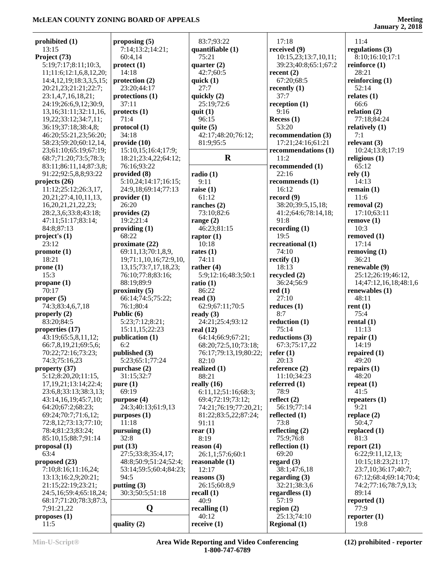| prohibited (1)                | proposing $(5)$                | 83:7;93:22            | 17:18                | 11:4                   |
|-------------------------------|--------------------------------|-----------------------|----------------------|------------------------|
| 13:15                         | 7:14;13:2;14:21;               | quantifiable $(1)$    | received (9)         | regulations (3)        |
| Project (73)                  | 60:4,14                        | 75:21                 | 10:15,23;13:7,10,11; | 8:10;16:10;17:1        |
| 5:19;7:17;8:11;10:3,          | $\text{protect}\left(1\right)$ | quarter $(2)$         | 39:23;40:8;65:1;67:2 | reinforce $(1)$        |
| 11;11:6;12:1,6,8,12,20;       | 14:18                          | 42:7;60:5             | recent $(2)$         | 28:21                  |
| 14:4, 12, 19; 18:3, 3, 5, 15; | protection $(2)$               | quick $(1)$           | 67:20;68:5           | reinforcing $(1)$      |
| 20:21,23;21:21;22:7;          | 23:20;44:17                    | 27:7                  | recently $(1)$       | 52:14                  |
| 23:1,4,7,16,18,21;            | protections (1)                | quickly (2)           | 37:7                 | relates $(1)$          |
| 24:19;26:6,9,12;30:9,         | 37:11                          | 25:19;72:6            | reception $(1)$      | 66:6                   |
| 13, 16; 31: 11; 32: 11, 16,   | protects <sub>(1)</sub>        | quit $(1)$            | 9:16                 | relation $(2)$         |
| 19,22;33:12;34:7,11;          | 71:4                           | 96:15                 | Recess $(1)$         | 77:18;84:24            |
| 36:19;37:18;38:4,8;           | protocol (1)                   | quite $(5)$           | 53:20                | relatively $(1)$       |
| 46:20;55:21,23;56:20;         | 34:18                          | 42:17;48:20;76:12;    | recommendation (3)   | 7:1                    |
| 58:23;59:20;60:12,14,         | provide(10)                    | 81:9:95:5             | 17:21;24:16;61:21    | relevant $(3)$         |
| 23;61:10;65:19;67:19;         | 15:10,15;16:4;17:9;            |                       | recommendations (1)  | 10:24;13:8;17:19       |
| 68:7;71:20;73:5;78:3;         | 18:21;23:4,22;64:12;           | $\mathbf R$           | 11:2                 | religious $(1)$        |
| 83:11;86:11,14;87:3,8;        | 76:16;93:22                    |                       | recommended (1)      | 65:12                  |
| 91:22;92:5,8,8;93:22          | provided (8)                   | radio(1)              | 22:16                | rely(1)                |
|                               | 5:10,24;14:17;16:15;           | 9:11                  | recommends (1)       | 14:13                  |
| projects $(26)$               |                                |                       | 16:12                |                        |
| 11:12;25:12;26:3,17,          | 24:9,18;69:14;77:13            | raise $(1)$           |                      | remain $(1)$           |
| 20, 21; 27: 4, 10, 11, 13,    | provider(1)                    | 61:12                 | record $(9)$         | 11:6                   |
| 16, 20, 21, 21, 22, 23;       | 26:20                          | ranches $(2)$         | 38:20;39:5,15,18;    | removal (2)            |
| 28:2,3,6;33:8;43:18;          | provides $(2)$                 | 73:10;82:6            | 41:2;64:6;78:14,18;  | 17:10;63:11            |
| 47:11;51:17;83:14;            | 19:2;21:4                      | range $(2)$           | 91:8                 | remove(1)              |
| 84:8;87:13                    | providing $(1)$                | 46:23;81:15           | recording(1)         | 10:3                   |
| project's (1)                 | 68:22                          | raptor $(1)$          | 19:5                 | removed $(1)$          |
| 23:12                         | proximate $(22)$               | 10:18                 | recreational (1)     | 17:14                  |
| promote(1)                    | 69:11,13;70:1,8,9,             | rates $(1)$           | 74:10                | removing $(1)$         |
| 18:21                         | 19;71:1,10,16;72:9,10,         | 74:11                 | rectify $(1)$        | 36:21                  |
| prone(1)                      | 13, 15; 73: 7, 17, 18, 23;     | rather $(4)$          | 18:13                | renewable (9)          |
| 15:3                          | 76:10;77:8;83:16;              | 5:9;12:16;48:3;50:1   | recycled (2)         | 25:12;26:19;46:12,     |
| propane $(1)$                 | 88:19;89:9                     | ratio $(1)$           | 36:24;56:9           | 14;47:12,16,18;48:1,6  |
| 70:17                         | proximity(5)                   | 86:22                 | red(1)               | renewables $(1)$       |
| proper $(5)$                  | 66:14;74:5;75:22;              | read $(3)$            | 27:10                | 48:11                  |
| 74:3;83:4,6,7,18              | 76:1;80:4                      | 62:9;67:11;70:5       | reduces $(1)$        | rent $(1)$             |
| properly $(2)$                | Public (6)                     | ready $(3)$           | 8:7                  | 75:4                   |
| 83:20;84:5                    | 5:23;7:12;8:21;                | 24:21;25:4;93:12      | reduction $(1)$      | rental $(1)$           |
| properties (17)               | 15:11,15;22:23                 | real $(12)$           | 75:14                | 11:13                  |
| 43:19;65:5,8,11,12;           | publication (1)                | 64:14;66:9;67:21;     | reductions (3)       | repair $(1)$           |
|                               |                                |                       |                      |                        |
| 66:7,8,19,21;69:5,6;          | 6:2                            | 68:20;72:5,10;73:18;  | 67:3;75:17,22        | 14:19                  |
| 70:22;72:16;73:23;            | published (3)                  | 76:17;79:13,19;80:22; | refer $(1)$          | repaired (1)           |
| 74:3;75:16,23                 | 5:23;65:1;77:24                | 82:10                 | 20:13                | 49:20                  |
| property (37)                 | purchase (2)                   | realized (1)          | reference $(2)$      | repairs $(1)$          |
| 5:12;8:20,20;11:15,           | 31:15;32:7                     | 88:21                 | 11:10:34:23          | 48:20                  |
| 17, 19, 21; 13: 14; 22: 4;    | pure(1)                        | really $(16)$         | referred $(1)$       | repeat $(1)$           |
| 23:6,8;33:13;38:3,13;         | 69:19                          | 6:11,12;51:16;68:3;   | 78:9                 | 41:5                   |
| 43:14,16,19;45:7,10;          | purpose (4)                    | 69:4;72:19;73:12;     | reflect $(2)$        | repeaters $(1)$        |
| 64:20;67:2;68:23;             | 24:3;40:13;61:9,13             | 74:21;76:19;77:20,21; | 56:19;77:14          | 9:21                   |
| 69:24;70:7;71:6,12;           | purpose <sub>1</sub>           | 81:22;83:5,22;87:24;  | reflected $(1)$      | replace $(2)$          |
| 72:8,12;73:13;77:10;          | 11:18                          | 91:11                 | 73:8                 | 50:4,7                 |
| 78:4;81:23;83:24;             | pursuing $(1)$                 | rear $(1)$            | reflecting $(2)$     | replaced $(1)$         |
| 85:10,15;88:7;91:14           | 32:8                           | 8:19                  | 75:9;76:8            | 81:3                   |
| proposal(1)                   | put (13)                       | reason $(4)$          | reflection $(1)$     | report $(21)$          |
| 63:4                          | 27:5;33:8;35:4,17;             | 26:1,1;57:6;60:1      | 69:20                | 6:22;9:11,12,13;       |
| proposed $(23)$               | 48:8;50:9;51:24;52:4;          | reasonable $(1)$      | regard $(3)$         | 10:15;18:23;21:17;     |
| 7:10;8:16;11:16,24;           | 53:14;59:5;60:4;84:23;         | 12:17                 | 38:1;47:6,18         | 23:7,10;36:17;40:7;    |
| 13:13;16:2,9;20:21;           | 94:5                           | reasons $(3)$         | regarding $(3)$      | 67:12;68:4;69:14;70:4; |
| 21:15;22:19;23:21;            | putting $(3)$                  | 26:15;60:8,9          | 32:21;38:3,6         | 74:2;77:16;78:7,9,13;  |
| 24:5,16;59:4;65:18,24;        | 30:3;50:5;51:18                |                       | regardless $(1)$     | 89:14                  |
|                               |                                | recall $(1)$          |                      |                        |
| 68:17;71:20;78:3;87:3,        |                                | 40:9                  | 57:19                | reported $(1)$         |
| 7;91:21,22                    | Q                              | recalling $(1)$       | region $(2)$         | 77:9                   |
| proposes $(1)$                |                                | 40:12                 | 25:13;74:10          | reporter $(1)$         |
| 11:5                          | quality (2)                    | receive $(1)$         | <b>Regional</b> (1)  | 19:8                   |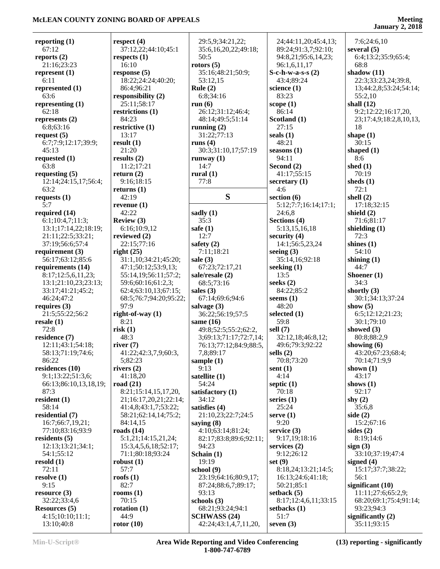| reporting $(1)$              | respect $(4)$          | 29:5,9;34:21,22;       | 24;44:11,20;45:4,13;   | 7:6;24:6,10             |
|------------------------------|------------------------|------------------------|------------------------|-------------------------|
| 67:12                        | 37:12,22;44:10;45:1    | 35:6,16,20,22;49:18;   | 89:24;91:3,7;92:10;    | several $(5)$           |
| reports $(2)$                | respects $(1)$         | 50:5                   | 94:8,21;95:6,14,23;    | 6:4;13:2;35:9;65:4;     |
| 21:16;23:23                  | 16:10                  | rotors $(5)$           | 96:1,6,11,17           | 68:8                    |
| represent $(1)$              | response $(5)$         | 35:16;48:21;50:9;      | $S-c-h-w-a-s-s(2)$     | shadow $(11)$           |
| 6:11                         | 18:22;24:24;40:20;     | 53:12,15               | 43:4:89:24             | 22:3;33:23,24;39:8,     |
| represented (1)              | 86:4;96:21             | Rule $(2)$             | science $(1)$          | 13;44:2,8;53:24;54:14;  |
| 63:6                         | responsibility (2)     | 6:8;34:16              | 83:23                  | 55:2,10                 |
| representing $(1)$           | 25:11;58:17            | run $(6)$              | scope $(1)$            | shall $(12)$            |
| 62:18                        | restrictions (1)       | 26:12;31:12;46:4;      | 86:14                  | 9:2;12:22;16:17,20,     |
| represents (2)               | 84:23                  | 48:14;49:5;51:14       | Scotland (1)           | 23;17:4,9;18:2,8,10,13, |
| 6:8;63:16                    | restrictive (1)        | running $(2)$          | 27:15                  | 18                      |
| request $(5)$                | 13:17                  | 31:22;77:13            | seals $(1)$            | shape $(1)$             |
| 6:7;7:9;12:17;39:9;          | result(1)              | runs $(4)$             | 48:21                  | 30:15                   |
| 45:13                        | 21:20                  | 30:3;31:10,17;57:19    | seasons $(1)$          | shaped $(1)$            |
| requested $(1)$              | results $(2)$          | runway $(1)$           | 94:11                  | 8:6                     |
| 63:8                         | 11:2;17:21             | 14:7                   | Second (2)             | shed $(1)$              |
| requesting $(5)$             | return $(2)$           | rural $(1)$            | 41:17;55:15            | 70:19                   |
|                              |                        | 77:8                   |                        | sheds $(1)$             |
| 12:14;24:15,17;56:4;<br>63:2 | 9:16;18:15             |                        | secretary $(1)$<br>4:6 | 72:1                    |
|                              | returns $(1)$          | S                      |                        |                         |
| requests $(1)$               | 42:19                  |                        | section $(6)$          | shell $(2)$             |
| 5:7                          | revenue $(1)$          |                        | 5:12;7:7;16:14;17:1;   | 17:18;32:15             |
| required (14)                | 42:22                  | sadly (1)              | 24:6,8                 | shield $(2)$            |
| 6:1;10:4,7;11:3;             | Review (3)             | 35:3                   | Sections (4)           | 71:6;81:17              |
| 13:1;17:14,22;18:19;         | 6:16;10:9,12           | safe $(1)$             | 5:13,15,16,18          | shielding $(1)$         |
| 21:11;22:5;33:21;            | reviewed (2)           | 12:7                   | security $(4)$         | 72:3                    |
| 37:19;56:6;57:4              | 22:15:77:16            | safety $(2)$           | 14:1;56:5,23,24        | shines $(1)$            |
| requirement $(3)$            | right(25)              | 7:11;18:21             | seeing $(3)$           | 54:10                   |
| 56:17;63:12;85:6             | 31:1,10;34:21;45:20;   | sale $(3)$             | 35:14,16;92:18         | shining $(1)$           |
| requirements (14)            | 47:1;50:12;53:9,13;    | 67:23;72:17,21         | seeking $(1)$          | 44:7                    |
| 8:17;12:5,6,11,23;           | 55:14,19;56:11;57:2;   | sale/resale (2)        | 13:5                   | Shoener $(1)$           |
| 13:1;21:10,23;23:13;         | 59:6;60:16;61:2,3;     | 68:5;73:16             | seeks $(2)$            | 34:3                    |
| 33:17;41:21;45:2;            | 62:4;63:10,13;67:15;   | sales $(3)$            | 84:22;85:2             | shortly $(3)$           |
| 46:24;47:2                   | 68:5;76:7;94:20;95:22; | 67:14;69:6;94:6        | seems $(1)$            | 30:1;34:13;37:24        |
| requires $(3)$               | 97:9                   | salvage $(3)$          | 48:20                  | show $(5)$              |
| 21:5;55:22;56:2              | right-of-way $(1)$     | 36:22;56:19;57:5       | selected $(1)$         | 6:5;12:12;21:23;        |
| resale(1)                    | 8:21                   | same $(16)$            | 59:8                   | 30:1;79:10              |
| 72:8                         | risk(1)                | 49:8;52:5;55:2;62:2,   | sell $(7)$             | showed $(3)$            |
| residence (7)                | 48:3                   | 3;69:13;71:17;72:7,14; | 32:12,18;46:8,12;      | 80:8;88:2,9             |
| 12:11;43:1;54:18;            | river $(7)$            | 76:13;77:12;84:9;88:5, | 49:6;79:3;92:22        | showing $(6)$           |
| 58:13;71:19;74:6;            | 41:22;42:3,7,9;60:3,   | 7,8;89:17              | sells $(2)$            | 43:20;67:23;68:4;       |
| 86:22                        | 5:82:23                | sample $(1)$           | 70:8;73:20             | 70:14;71:9,9            |
| residences (10)              | rivers $(2)$           | 9:13                   | sent $(1)$             | shown $(1)$             |
| 9:1;13:22;51:3,6;            | 41:18,20               | satellite $(1)$        | 4:14                   | 43:17                   |
| 66:13;86:10,13,18,19;        | road $(21)$            | 54:24                  | septic $(1)$           | shows $(1)$             |
| 87:3                         | 8:21;15:14,15,17,20,   | satisfactory (1)       | 70:18                  | 92:17                   |
| resident $(1)$               | 21;16:17,20,21;22:14;  | 34:12                  | series $(1)$           | shy $(2)$               |
| 58:14                        | 41:4,8;43:1,7;53:22;   | satisfies (4)          | 25:24                  | 35:6.8                  |
| residential (7)              | 58:21;62:14,14;75:2;   | 21:10,23;22:7;24:5     | serve $(1)$            | side $(2)$              |
| 16:7;66:7,19,21;             | 84:14,15               | saying $(8)$           | 9:20                   | 15:2;67:16              |
| 77:10;83:16;93:9             | roads $(14)$           | 4:10;63:14;81:24;      | service $(3)$          | sides $(2)$             |
| residents $(5)$              | 5:1,21;14:15,21,24;    | 82:17;83:8;89:6;92:11; | 9:17,19;18:16          | 8:19:14:6               |
| 12:13:13:21:34:1;            | 15:3,4,5,6,18;52:17;   | 94:23                  | services $(2)$         | sign(3)                 |
| 54:1;55:12                   | 71:1;80:18;93:24       | Schain $(1)$           | 9:12;26:12             | 33:10;37:19;47:4        |
| resold $(1)$                 | robust $(1)$           | 19:19                  | set(9)                 | signed $(4)$            |
| 72:11                        | 57:7                   |                        |                        |                         |
|                              |                        | school (9)             | 8:18,24;13:21;14:5;    | 15:17;37:7;38:22;       |
| resolve $(1)$                | roofs $(1)$            | 23:19;64:16;80:9,17;   | 16:13;24:6;41:18;      | 56:1                    |
| 9:15                         | 82:7                   | 87:24;88:6,7;89:17;    | 50:21;85:1             | significant $(10)$      |
| resource $(3)$               | rooms $(1)$            | 93:13                  | setback $(5)$          | 11:11;27:6;65:2,9;      |
| 32:22;33:4,6                 | 70:15                  | schools $(3)$          | 8:17;12:4,6,11;33:15   | 68:20;69:1;75:4;91:14;  |
| <b>Resources</b> (5)         | rotation $(1)$         | 68:21;93:24;94:1       | setbacks (1)           | 93:23;94:3              |
| 4:15;10:10;11:1;             | 44:9                   | <b>SCHWASS (24)</b>    | 51:7                   | significantly $(2)$     |
| 13:10;40:8                   | rotor $(10)$           | 42:24;43:1,4,7,11,20,  | seven $(3)$            | 35:11;93:15             |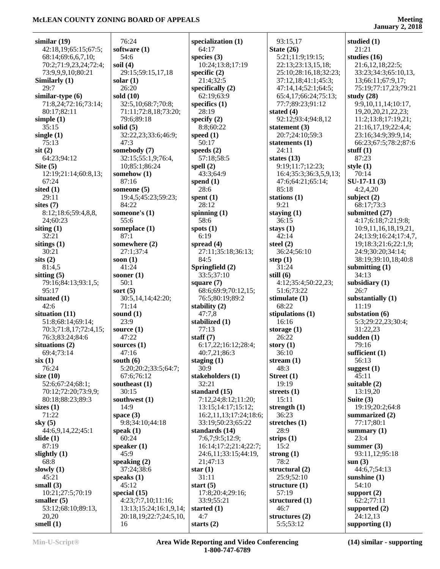**January 2, 2018**

| similar $(19)$                       | 76:24                        | specialization (1)                  | 93:15,17                           | studied $(1)$             |
|--------------------------------------|------------------------------|-------------------------------------|------------------------------------|---------------------------|
| 42:18,19;65:15;67:5;                 | software (1)                 | 64:17                               | State $(26)$                       | 21:21                     |
| 68:14;69:6,6,7,10;                   | 54:6                         | species $(3)$                       | 5:21;11:9;19:15;                   | studies $(16)$            |
| 70:2;71:9,23,24;72:4;                | soil $(4)$                   | 10:24;13:8;17:19                    | 22:13;23:13,15,18;                 | 21:6,12,18;22:5;          |
| 73:9,9,9,10;80:21                    | 29:15;59:15,17,18            | specific $(2)$                      | 25:10;28:16,18;32:23;              | 33:23;34:3;65:10,13,      |
| Similarly (1)                        | solar $(1)$                  | 21:4;32:5                           | 37:12,18;41:1;45:3;                | 13;66:11;67:9,17;         |
| 29:7                                 | 26:20                        | specifically $(2)$                  | 47:14,14;52:1;64:5;                | 75:19;77:17,23;79:21      |
| similar-type $(6)$                   | sold (10)                    | 62:19;63:9                          | 65:4,17;66:24;75:13;               | study $(28)$              |
| 71:8,24;72:16;73:14;                 | 32:5,10;68:7;70:8;           | specifics $(1)$                     | 77:7;89:23;91:12                   | 9:9,10,11,14;10:17,       |
| 80:17;82:11                          | 71:11;72:8,18;73:20;         | 28:19                               | stated $(4)$                       | 19, 20, 20, 21, 22, 23;   |
| simple $(1)$                         | 79:6;89:18                   | specify $(2)$                       | 92:12;93:4;94:8,12                 | 11:2;13:8;17:19,21;       |
| 35:15                                | solid $(5)$                  | 8:8;60:22                           | statement $(3)$                    | 21:16,17,19;22:4,4;       |
| single $(1)$                         | 32:22,23;33:6;46:9;          | speed $(1)$                         | 20:7;24:10;59:3                    | 23:16;34:9;39:9,14;       |
| 75:13                                | 47:3                         | 50:17                               | statements $(1)$                   | 66:23;67:5;78:2;87:6      |
| $s$ it $(2)$                         | somebody (7)                 | speeds $(2)$                        | 24:11                              | stuff $(1)$               |
| 64:23;94:12                          | 32:15;55:1,9;76:4,           | 57:18;58:5                          | states $(13)$                      | 87:23                     |
| Site $(5)$                           | 10;85:1;86:24                | spell $(2)$                         | 9:19;11:7;12:23;                   | style $(1)$               |
| 12:19:21:14:60:8,13:                 | somehow (1)                  | 43:3;64:9                           | 16:4;35:3;36:3,5,9,13;             | 70:14                     |
| 67:24                                | 87:16                        | spend $(1)$                         | 47:6;64:21;65:14;                  | $SU-17-11(3)$             |
| sited $(1)$                          | someone (5)                  | 28:6                                | 85:18                              | 4:2,4,20                  |
| 29:11                                | 19:4,5;45:23;59:23;          | spent $(1)$                         | stations $(1)$                     | subject $(2)$             |
| sites $(7)$                          | 84:22                        | 28:12                               | 9:21                               | 68:17;73:3                |
| 8:12;18:6;59:4,8,8,                  | someone's (1)                | spinning $(1)$                      | staying $(1)$                      | submitted (27)            |
| 24;60:23                             | 55:6                         | 58:6                                | 36:15                              | 4:17;6:18;7:21;9:8;       |
| siting $(1)$                         | someplace (1)                | spots $(1)$                         | stays $(1)$                        | 10:9,11,16,18,19,21,      |
| 32:21                                | 87:1                         | 6:19                                | 42:14                              | 24;13:9;16:24;17:4,7,     |
| sitings $(1)$                        | somewhere (2)                | spread $(4)$                        | steel $(2)$                        | 19;18:3;21:6;22:1,9;      |
| 30:21                                | 27:1;37:4                    | 27:11;35:18;36:13;                  | 36:24;56:10                        | 24:9;30:20;34:14;         |
| sits(2)                              | soon $(1)$                   | 84:5                                | step $(1)$                         | 38:19;39:10,18;40:8       |
| 81:4,5                               | 41:24                        | Springfield (2)<br>33:5;37:10       | 31:24                              | submitting $(1)$<br>34:13 |
| sitting $(5)$<br>79:16;84:13;93:1,5; | sooner $(1)$<br>50:1         |                                     | still $(6)$<br>4:12;35:4;50:22,23; |                           |
| 95:17                                | sort $(5)$                   | square $(7)$<br>68:6;69:9;70:12,15; | 51:6;73:22                         | subsidiary $(1)$<br>26:7  |
| situated $(1)$                       | 30:5,14,14;42:20;            | 76:5;80:19;89:2                     | stimulate $(1)$                    | substantially (1)         |
| 42:6                                 | 71:14                        | stability (2)                       | 68:22                              | 11:19                     |
| situation (11)                       | sound $(1)$                  | 47:7,8                              | stipulations $(1)$                 | substation (6)            |
| 51:8;68:14;69:14;                    | 23:9                         | stabilized (1)                      | 16:16                              | 5:3;29:22,23;30:4;        |
| 70:3;71:8,17;72:4,15;                | source $(1)$                 | 77:13                               | storage $(1)$                      | 31:22,23                  |
| 76:3;83:24;84:6                      | 47:22                        | staff $(7)$                         | 26:22                              | sudden $(1)$              |
| situations $(2)$                     | sources $(1)$                | 6:17,22;16:12;28:4;                 | story $(1)$                        | 79:16                     |
| 69:4;73:14                           | 47:16                        | 40:7,21;86:3                        | 36:10                              | sufficient (1)            |
| six(1)                               | south $(6)$                  | staging $(1)$                       | stream $(1)$                       | 56:13                     |
| 76:24                                | 5:20;20:2;33:5;64:7;         | 30:9                                | 48:3                               | suggest $(1)$             |
| size $(10)$                          | 67:6;76:12                   | stakeholders (1)                    | Street $(1)$                       | 45:11                     |
| 52:6;67:24;68:1;                     | southeast $(1)$              | 32:21                               | 19:19                              | suitable $(2)$            |
| 70:12;72:20;73:9,9;                  | 30:15                        | standard (15)                       | streets $(1)$                      | 13:19,20                  |
| 80:18;88:23;89:3                     | southwest (1)                | 7:12,24;8:12;11:20;                 | 15:11                              | Suite $(3)$               |
| sizes $(1)$                          | 14:9                         | 13:15;14:17;15:12;                  | strength $(1)$                     | 19:19;20:2;64:8           |
| 71:22                                | space $(3)$                  | 16:2,11,13;17:24;18:6;              | 36:23                              | summarized (2)            |
| sky $(5)$                            | 9:8:34:10:44:18              | 33:19;50:23;65:22                   | stretches $(1)$                    | 77:17;80:1                |
| 44:6,9,14,22;45:1                    | speak $(1)$                  | standards (14)                      | 28:9                               | summary $(1)$             |
| slide $(1)$                          | 60:24                        | 7:6,7;9:5;12:9;                     | strips $(1)$                       | 23:4                      |
| 87:19                                | speaker $(1)$                | 16:14;17:2;21:4;22:7;               | 15:2                               | summer $(3)$              |
| slightly $(1)$                       | 45:9                         | 24:6,11;33:15;44:19,                | strong $(1)$                       | 93:11,12;95:18            |
| 68:8                                 | speaking $(2)$               | 21;47:13                            | 78:2                               | sum(3)                    |
| slowly $(1)$                         | 37:24;38:6                   | star $(1)$                          | structural (2)                     | 44:6,7;54:13              |
| 45:21                                | speaks $(1)$                 | 31:11                               | 25:9;52:10                         | sunshine $(1)$            |
| small $(3)$                          | 45:12                        | start $(5)$                         | structure $(1)$                    | 54:10                     |
| 10:21;27:5;70:19                     | special $(15)$               | 17:8;20:4;29:16;                    | 57:19                              | support $(2)$             |
| smaller $(5)$                        | 4:23;7:7,10;11:16;           | 33:9;55:21                          | structured (1)                     | 62:2;77:11                |
| 53:12;68:10;89:13,                   | 13:13;15:24;16:1,9,14;       | started $(1)$                       | 46:7                               | supported (2)             |
| 20,20                                | 20:18, 19; 22: 7; 24: 5, 10, | 4:7                                 | structures $(2)$                   | 24:12,13                  |
| smell $(1)$                          | 16                           | starts $(2)$                        | 5:5;53:12                          | supporting $(1)$          |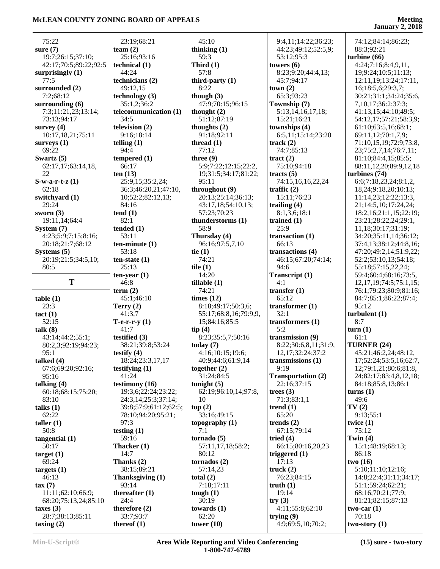## **Meeting**<br>**January 2, 2018**

| 75:22                            | 23:19;68:21                | 45:10                 | 9:4,11;14:22;36:23;               | 74:12;84:14;86:23;            |
|----------------------------------|----------------------------|-----------------------|-----------------------------------|-------------------------------|
| sure $(7)$                       | team $(2)$                 | thinking $(1)$        | 44:23;49:12;52:5,9;               | 88:3;92:21                    |
| 19:7;26:15;37:10;                | 25:16;93:16                | 59:3                  | 53:12;95:3                        | turbine $(66)$                |
| 42:17;70:5;89:22;92:5            | technical $(1)$            | Third $(1)$           | towers $(6)$                      | 4:24;7:16;8:4,9,11,           |
| surprisingly (1)                 | 44:24                      | 57:8                  | 8:23;9:20;44:4,13;                | 19;9:24;10:5;11:13;           |
| 77:5                             | technicians (2)            | third-party $(1)$     | 45:7;94:17                        | 12:11,19;13:24;17:11,         |
| surrounded (2)                   | 49:12,15                   | 8:22                  | town(2)                           | 16;18:5,6;29:3,7;             |
| 7:2;68:12                        | technology $(3)$           | though $(3)$          | 65:3;93:23                        | 30:21;31:1;34:24;35:6,        |
| surrounding $(6)$                | 35:1,2;36:2                | 47:9:70:15:96:15      | Township (7)                      | 7, 10, 17; 36: 2; 37: 3;      |
| 7:3;11:21,23;13:14;              | telecommunication (1)      | thought $(2)$         | 5:13,14,16,17,18;                 | 41:13,15;44:10;49:5;          |
| 73:13;94:17                      | 34:5                       | 51:12;87:19           | 15:21;16:21                       | 54:12,17;57:21;58:3,9;        |
| survey $(4)$                     | television (2)             | thoughts (2)          | townships (4)                     | 61:10;63:5,16;68:1;           |
| 10:17,18,21;75:11                | 9:16;18:14                 | 91:18;92:11           | 6:5,11;15:14;23:20                | 69:11,12;70:1,7,9;            |
| surveys $(1)$                    | telling $(1)$              | thread $(1)$          | track $(2)$                       | 71:10,15,19;72:9;73:8,        |
| 69:22                            | 94:4                       | 77:12                 | 74:7;85:13                        | 23;75:2,7,14;76:7,11;         |
| Swartz $(5)$                     | tempered $(1)$             | three $(9)$           | $\text{tract}(2)$                 | 81:10;84:4,15;85:5;           |
| 62:17,17;63:14,18,               | 66:17                      | 5:9;7:22;12:15;22:2,  | 75:10;94:18                       | 88:11,12,20;89:9,12,18        |
| 22                               | ten $(13)$                 | 19;31:5;34:17;81:22;  | tracts $(5)$                      | turbines (74)                 |
| $S-w-a-r-t-z(1)$                 | 25:9,15;35:2,24;           | 95:11                 | 74:15,16,16,22,24                 | 6:6;7:18,23,24;8:1,2,         |
| 62:18                            | 36:3;46:20,21;47:10,       | throughout (9)        | traffic $(2)$                     | 18, 24; 9: 18, 20; 10: 13;    |
| switchyard (1)                   | 10;52:2;82:12,13;          | 20:13;25:14;36:13;    | 15:11;76:23                       | 11:14,23;12:22;13:3,          |
| 29:24                            | 84:16                      | 43:17,18;54:10,13;    | trailing $(4)$                    | 21;14:5,10;17:24,24;          |
| sworn $(3)$                      | tend(1)                    | 57:23;70:23           | 8:1,3,6;18:1                      | 18:2,16:21:1,15:22:19;        |
| 19:11,14;64:4                    | 82:1                       | thunderstorms (1)     | trained $(1)$                     | 23:21;28:22,24;29:1,          |
| System (7)                       | tended $(1)$               | 58:9                  | 25:9                              | 11,18;30:17;31:19;            |
| 4:23;5:9;7:15;8:16;              | 53:11                      | Thursday (4)          | transaction $(1)$                 | 34:20;35:11,14;36:12;         |
| 20:18;21:7;68:12                 | $ten-minute(1)$            | 96:16;97:5,7,10       | 66:13                             | 37:4,13;38:12;44:8,16;        |
| Systems $(5)$                    | 53:18                      | tie $(1)$             | transactions (4)                  | 47:20;49:2,14;51:9,22;        |
| 20:19;21:5;34:5,10;              | $ten-state(1)$             | 74:21                 | 46:15;67:20;74:14;                | 52:2;53:10,13;54:18;          |
| 80:5                             | 25:13                      | tile $(1)$            | 94:6                              | 55:18;57:15,22,24;            |
|                                  | $ten-year(1)$              | 14:20                 | Transcript (1)                    | 59:4;60:4;68:16;73:5,         |
|                                  |                            |                       |                                   |                               |
| T                                | 46:8                       | tillable(1)           | 4:1                               | 12, 17, 19; 74: 5; 75: 1, 15; |
|                                  | term $(2)$                 | 74:21                 | transfer $(1)$                    | 76:1;79:23;80:9;81:16;        |
| table(1)                         | 45:1;46:10                 | times $(12)$          | 65:12                             | 84:7;85:1;86:22;87:4;         |
| 23:3                             | Terry $(2)$                | 8:18;49:17;50:3,6;    | transformer $(1)$                 | 95:12                         |
| tact(1)                          | 41:3.7                     | 55:17;68:8,16;79:9,9, | 32:1                              | turbulent(1)                  |
| 52:15                            | $T-e-r-r-y(1)$             | 15;84:16;85:5         | transformers $(1)$                | 8:7                           |
| talk (8)                         | 41:7                       | tip(4)                | 5:2                               | turn(1)                       |
| 43:14;44:2;55:1;                 | testified $(3)$            | 8:23;35:5,7;50:16     | transmission (9)                  | 61:1                          |
| 80:2,3;92:19;94:23;              | 38:21;39:8;53:24           | today $(7)$           | 8:22;30:6,8,11;31:9,              | TURNER (24)                   |
| 95: I                            | testify $(4)$              | 4:16;10:15;19:6;      | 12,17;32:24;37:2                  | 45:21;46:2,24;48:12,          |
| talked $(4)$                     | 18:24;23:3,17,17           | 40:9;44:6;61:9,14     | transmissions $(1)$               | 17;52:24;53:5,16;62:7,        |
| 67:6;69:20;92:16;                | testifying $(1)$           | together $(2)$        | 9:19                              | 12;79:1,21;80:6;81:8,         |
| 95:16                            | 41:24                      | 31:24;84:5            | Transportation (2)                | 24;82:17;83:4,8,12,18;        |
| talking $(4)$                    | testimony (16)             | tonight $(5)$         | 22:16;37:15                       | 84:18;85:8,13;86:1            |
| 60:18;68:15;75:20;               | 19:3,6;22:24;23:22;        | 62:19:96:10,14:97:8,  | trees $(3)$                       | turns(1)                      |
| 83:10                            | 24:3,14;25:3;37:14;        | 10                    | 71:3;83:1,1                       | 49:6                          |
| talks $(1)$                      | 39:8;57:9;61:12;62:5;      | top(2)                | trend $(1)$                       | TV(2)                         |
| 62:22                            | 78:10;94:20;95:21;         | 33:16;49:15           | 65:20                             | 9:13;55:1                     |
| taller $(1)$                     | 97:3                       | topography $(1)$      | trends $(2)$                      | twice $(1)$                   |
| 50:8                             | testing $(1)$              | 7:1                   | 67:15;79:14                       | 75:12                         |
| tangential(1)                    | 59:16                      | tornado(5)            | tried $(4)$                       | Twin $(4)$                    |
| 50:17                            | Thacker (1)                | 57:11,17,18;58:2;     | 66:15;80:16,20,23                 | 15:1;48:19;68:13;             |
| target(1)                        | 14:7                       | 80:12                 | triggered $(1)$                   | 86:18                         |
| 69:24                            | Thanks (2)                 | tornados $(2)$        | 17:13                             | two(16)                       |
| targets $(1)$                    | 38:15;89:21                | 57:14,23              | truck $(2)$                       | 5:10;11:10;12:16;             |
| 46:13                            | Thanksgiving (1)           | total $(2)$           | 76:23;84:15                       | 14:8;22:4;31:11;34:17;        |
| $\tan(7)$                        | 93:14                      | 7:18;17:11            | truth $(1)$                       | 51:1;59:24;62:21;             |
| 11:11;62:10;66:9;                | thereafter $(1)$           | tough $(1)$           | 19:14                             | 68:16;70:21;77:9;             |
| 68:20;75:13,24;85:10             | 24:4                       | 30:19                 | try(3)                            | 81:21;82:15;87:13             |
| taxes $(3)$                      | therefore $(2)$            | towards $(1)$         | 4:11;55:8;62:10                   | two-car $(1)$                 |
| 28:7;38:13;85:11<br>taxing $(2)$ | 33:7;93:7<br>thereof $(1)$ | 62:20<br>tower $(10)$ | trying $(9)$<br>4:9;69:5,10;70:2; | 70:18<br>two-story $(1)$      |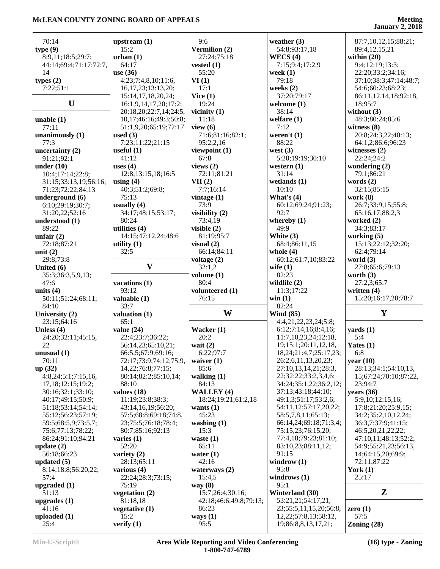| 70:14                                                                                                          | upstream $(1)$          | 9:6                    | weather $(3)$                                     | 87:7,10,12,15;88:21;   |
|----------------------------------------------------------------------------------------------------------------|-------------------------|------------------------|---------------------------------------------------|------------------------|
| type(9)                                                                                                        | 15:2                    | Vermilion (2)          | 54:8;93:17,18                                     | 89:4,12,15,21          |
| 8:9,11;18:5;29:7;                                                                                              | urban(1)                | 27:24;75:18            | WECS $(4)$                                        | within $(20)$          |
| 44:14;69:4;71:17;72:7,                                                                                         | 64:17                   | vested $(1)$           | 7:15;9:4;17:2,9                                   | 9:4;12:19;13:3;        |
| 14                                                                                                             | use (36)                | 55:20                  | week $(1)$                                        | 22:20;33:2;34:16;      |
| types $(2)$                                                                                                    | 4:23;7:4,8,10;11:6,     | VI(1)                  | 79:18                                             | 37:10;38:3;47:14;48:7; |
| 7:22;51:1                                                                                                      | 16, 17, 23; 13: 13, 20; | 17:1                   | weeks $(2)$                                       | 54:6;60:23;68:23;      |
|                                                                                                                | 15:14, 17, 18, 20, 24;  | Vice $(1)$             | 37:20;79:17                                       | 86:11,12,14,18;92:18,  |
| U                                                                                                              | 16:1,9,14,17,20;17:2;   | 19:24                  | welcome $(1)$                                     | 18;95:7                |
|                                                                                                                | 20:18,20;22:7,14;24:5,  | vicinity $(1)$         | 38:14                                             | without $(3)$          |
| unable $(1)$                                                                                                   | 10,17;46:16;49:3;50:8;  | 11:18                  | welfare $(1)$                                     | 48:3;80:24;85:6        |
| 77:11                                                                                                          | 51:1,9,20;65:19;72:17   | view $(6)$             | 7:12                                              | witness $(8)$          |
| unanimously (1)                                                                                                | used $(3)$              | 71:6;81:16;82:1;       | weren't $(1)$                                     | 20:8;24:3,22;40:13;    |
| 77:3                                                                                                           | 7:23;11:22;21:15        | 95:2,2,16              | 88:22                                             | 64:1,2;86:6;96:23      |
| uncertainty $(2)$                                                                                              | useful $(1)$            | viewpoint (1)          | west $(3)$                                        | witnesses $(2)$        |
| 91:21;92:1                                                                                                     | 41:12                   | 67:8                   | 5:20;19:19;30:10                                  | 22:24;24:2             |
| under $(10)$                                                                                                   | uses $(4)$              | views $(2)$            | western $(1)$                                     | wondering $(2)$        |
| 10:4;17:14;22:8;                                                                                               | 12:8;13:15,18;16:5      | 72:11;81:21            | 31:14                                             | 79:1;86:21             |
| 31:15;33:13,19;56:16;                                                                                          | using $(4)$             | VII(2)                 | wetlands $(1)$                                    | words $(2)$            |
|                                                                                                                | 40:3;51:2;69:8;         | 7:7;16:14              | 10:10                                             | 32:15;85:15            |
| 71:23;72:22;84:13                                                                                              | 75:13                   |                        |                                                   |                        |
| underground (6)                                                                                                |                         | vintage $(1)$          | What's $(4)$                                      | work $(8)$             |
| 6:10;29:19;30:7;                                                                                               | usually $(4)$           | 73:9                   | 60:12;69:24;91:23;<br>92:7                        | 26:7;33:9,15;55:8;     |
| 31:20,22;52:16                                                                                                 | 34:17;48:15;53:17;      | visibility $(2)$       |                                                   | 65:16,17;88:2,3        |
| understood (1)                                                                                                 | 80:24                   | 73:4,19                | whereby $(1)$                                     | worked (2)             |
| 89:22                                                                                                          | utilities (4)           | visible $(2)$          | 49:9                                              | 34:3;83:17             |
| unfair $(2)$                                                                                                   | 14:15;47:12,24;48:6     | 81:19;95:7             | White (3)                                         | working $(5)$          |
| 72:18;87:21                                                                                                    | utility $(1)$           | visual $(2)$           | 68:4;86:11,15                                     | 15:13;22:12;32:20;     |
| unit $(2)$                                                                                                     | 32:5                    | 66:14;84:11            | whole $(4)$                                       | 62:4;79:14             |
| 29:8;73:8                                                                                                      |                         | voltage (2)            | 60:12;61:7,10;83:22                               | world $(3)$            |
| United $(6)$                                                                                                   | $\mathbf{V}$            | 32:1,2                 | wife $(1)$                                        | 27:8;65:6;79:13        |
| 35:3;36:3,5,9,13;                                                                                              |                         | volume $(1)$           | 82:23                                             | worth $(3)$            |
| 47:6                                                                                                           | vacations (1)           | 80:4                   | wildlife $(2)$                                    | 27:2,3;65:7            |
|                                                                                                                |                         |                        |                                                   |                        |
|                                                                                                                | 93:12                   | volunteered (1)        | 11:3;17:22                                        | written $(4)$          |
| 50:11;51:24;68:11;                                                                                             | valuable (1)            | 76:15                  | win(1)                                            | 15:20;16:17,20;78:7    |
| 84:10                                                                                                          | 33:7                    |                        | 82:24                                             |                        |
|                                                                                                                | valuation (1)           | W                      | <b>Wind (85)</b>                                  | Y                      |
|                                                                                                                | 65:1                    |                        | 4:4,21,22,23,24;5:8;                              |                        |
| 23:15;64:16                                                                                                    | value $(24)$            | Wacker $(1)$           | 6:12;7:14,16;8:4,16;                              | $\text{ yards} (1)$    |
| 24:20;32:11;45:15,                                                                                             |                         | 20:2                   | 11:7,10,23,24;12:18,                              | 5:4                    |
|                                                                                                                | 22:4;23:7;36:22;        |                        |                                                   |                        |
| 22                                                                                                             | 56:14,23;65:10,21;      | wait $(2)$             | 19;15:1;20:11,12,18,                              | Yates $(1)$            |
| unusual $(1)$                                                                                                  | 66:5,5;67:9;69:16;      | 6:22;97:7              | 18, 24; 21: 4, 7; 25: 17, 23;                     | 6:8                    |
| 70:11                                                                                                          | 72:17;73:9;74:12;75:9,  | waiver $(1)$           | 26:2,6,11,13,20,23;                               | year $(10)$            |
|                                                                                                                | 14, 22; 76: 8; 77: 15;  | 85:6                   | 27:10,13,14,21;28:3,                              | 28:13:34:1:54:10.13.   |
| 4:8,24;5:1;7:15,16,                                                                                            | 80:14;82:2;85:10,14;    | walking $(1)$          | 22;32:22;33:2,3,4,6;                              | 15;67:24;70:10;87:22,  |
| 17,18;12:15;19:2;                                                                                              | 88:10                   | 84:13                  | 34:24;35:1,22;36:2,12;                            | 23;94:7                |
| 30:16;32:1;33:10;                                                                                              | values $(18)$           | <b>WALLEY (4)</b>      | 37:13;43:18;44:10;                                | years $(36)$           |
| 40:17;49:15;50:9;                                                                                              | 11:19;23:8;38:3;        | 18:24;19:21;61:2,18    | 49:1,3;51:17;53:2,6;                              | 5:9,10;12:15,16;       |
| 51:18;53:14;54:14;                                                                                             | 43:14,16,19;56:20;      | wants $(1)$            | 54:11,12;57:17,20,22;                             | 17:8;21:20;25:9,15;    |
| 55:12;56:23;57:19;                                                                                             | 57:5;68:8;69:18;74:8,   | 45:23                  | 58:5,7,8,11;65:13;                                | 34:2;35:2,10,12,24;    |
| 59:5;68:5,9;73:5,7;                                                                                            | 23;75:5;76:18;78:4;     | washing $(1)$          | 66:14,24;69:18;71:3,4;                            | 36:3,7;37:9;41:15;     |
| 75:6;77:13;78:22;                                                                                              | 80:7;85:16;92:13        | 15:3                   | 75:15,23;76:15,20;                                | 46:5,20,21,22,22;      |
| 86:24;91:10;94:21                                                                                              | varies $(1)$            | waste $(1)$            | 77:4,18;79:23;81:10;                              | 47:10,11;48:13;52:2;   |
|                                                                                                                | 52:20                   | 65:11                  | 83:10,23;88:11,12;                                | 54:9;55:21,23;56:13,   |
| 56:18;66:23                                                                                                    | variety $(2)$           | water $(1)$            | 91:15                                             | 14;64:15,20;69:9;      |
|                                                                                                                | 28:13;65:11             | 42:16                  | windrow $(1)$                                     | 72:11;87:22            |
| 8:14;18:8;56:20,22;                                                                                            | various $(4)$           | waterways $(2)$        | 95:8                                              | York $(1)$             |
| 57:4                                                                                                           | 22:24;28:3;73:15;       | 15:4,5                 | windrows $(1)$                                    | 25:17                  |
|                                                                                                                | 75:19                   | way $(8)$              | 95:1                                              |                        |
| units $(4)$<br>University (2)<br>Unless $(4)$<br>up(32)<br>update(2)<br>updated $(5)$<br>upgraded (1)<br>51:13 | vegetation $(2)$        | 15:7;26:4;30:16;       | Winterland (30)                                   | ${\bf z}$              |
| upgrades $(1)$                                                                                                 | 81:18,18                | 42:18;46:6;49:8;79:13; | 53:21,21;54:17,21,                                |                        |
| 41:16                                                                                                          | vegetative $(1)$        | 86:23                  | 23;55:5,11,15,20;56:8,                            | zero $(1)$             |
| uploaded $(1)$<br>25:4                                                                                         | 15:2<br>verify $(1)$    | ways $(1)$<br>95:5     | 12, 22; 57: 8, 13; 58: 12,<br>19;86:8,8,13,17,21; | 57:5<br>Zoning $(28)$  |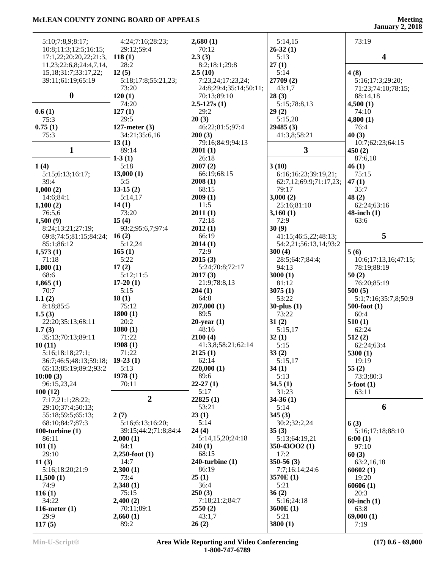# **January 2, 2018**

| 5:10;7:8,9;8:17;<br>10:8;11:3;12:5;16:15; | 4:24;7:16;28:23;<br>29:12;59:4 | 2,680(1)<br>70:12         | 5:14,15<br>$26-32(1)$  | 73:19                   |
|-------------------------------------------|--------------------------------|---------------------------|------------------------|-------------------------|
| 17:1,22;20:20,22;21:3,                    | 118(1)                         | 2.3(3)                    | 5:13                   | $\overline{\mathbf{4}}$ |
| 11,23;22:6,8;24:4,7,14,                   | 28:2                           | 8:2;18:1;29:8             | 27(1)                  |                         |
| 15, 18; 31: 7; 33: 17, 22;                | 12(5)                          | 2.5(10)                   | 5:14                   | 4(8)                    |
| 39:11;61:19;65:19                         | 5:18;17:8;55:21,23;            | 7:23,24;17:23,24;         | 27709 (2)              | 5:16;17:3;29:20;        |
|                                           | 73:20                          | 24:8;29:4;35:14;50:11;    | 43:1,7                 | 71:23;74:10;78:15;      |
| $\boldsymbol{0}$                          | 120(1)                         | 70:13;89:10               | 28(3)                  | 88:14,18                |
|                                           | 74:20                          | $2.5 - 127s(1)$           | 5:15;78:8,13           | 4,500(1)                |
| 0.6(1)                                    | 127(1)                         | 29:2                      | 29(2)                  | 74:10                   |
| 75:3                                      | 29:5                           | 20(3)                     | 5:15,20                | 4,800(1)                |
| 0.75(1)                                   | 127-meter $(3)$                | 46:22;81:5;97:4           | 29485(3)               | 76:4                    |
| 75:3                                      | 34:21;35:6,16                  | 200(3)                    | 41:3,8;58:21           | 40(3)                   |
|                                           | 13(1)                          | 79:16;84:9;94:13          |                        | 10:7;62:23;64:15        |
| 1                                         | 89:14                          | 2001(1)                   | 3                      | 450(2)                  |
|                                           | $1-3(1)$                       | 26:18                     |                        | 87:6,10                 |
| 1(4)                                      | 5:18                           | 2007(2)                   | 3(10)                  | 46(1)                   |
| 5:15;6:13;16:17;                          | 13,000(1)                      | 66:19;68:15               | 6:16:16:23:39:19,21;   | 75:15                   |
| 39:4                                      | 5:5                            | 2008(1)                   | 62:7,12;69:9;71:17,23; | 47(1)                   |
| 1,000(2)                                  | $13-15(2)$                     | 68:15                     | 79:17                  | 35:7                    |
| 14:6;84:1                                 | 5:14,17                        | 2009(1)                   | 3,000(2)               | 48(2)                   |
| 1,100(2)                                  | 14(1)                          | 11:5                      | 25:16;81:10            | 62:24;63:16             |
| 76:5,6                                    | 73:20                          | 2011(1)                   | 3,160(1)               | $48$ -inch $(1)$        |
| 1,500(9)                                  | 15(4)                          | 72:18                     | 72:9                   | 63:6                    |
| 8:24;13:21;27:19;                         | 93:2;95:6,7;97:4               | 2012(1)                   | 30(9)                  |                         |
| 69:8;74:5;81:15;84:24;                    | 16(2)                          | 66:19                     | 41:15;46:5,22;48:13;   | 5                       |
| 85:1;86:12                                | 5:12,24                        | 2014(1)                   | 54:2,21;56:13,14;93:2  |                         |
| 1,573(1)                                  | 165(1)                         | 72:9                      | 300(4)                 | 5(6)                    |
| 71:18                                     | 5:22                           | 2015(3)                   | 28:5;64:7;84:4;        | 10:6;17:13,16;47:15;    |
| 1,800(1)                                  | 17(2)                          | 5:24;70:8;72:17           | 94:13                  | 78:19;88:19             |
| 68:6                                      | 5:12;11:5                      | 2017(3)                   | 3000(1)                | 50(2)                   |
| 1,865(1)                                  | $17-20(1)$                     | 21:9;78:8,13              | 81:12                  | 76:20;85:19             |
| 70:7                                      | 5:15                           | 204(1)                    | 3075(1)                | 500(5)                  |
| 1.1(2)                                    | 18(1)                          | 64:8                      | 53:22                  | 5:1;7:16;35:7,8;50:9    |
| 8:18;85:5                                 | 75:12                          | 207,000(1)                | $30$ -plus $(1)$       | $500$ -foot $(1)$       |
| 1.5(3)                                    | 1800(1)                        | 89:5                      | 73:22                  | 60:4                    |
| 22:20;35:13;68:11                         | 20:2                           | $20$ -year $(1)$<br>48:16 | 31(2)                  | 510(1)                  |
| 1.7(3)<br>35:13;70:13;89:11               | 1880(1)<br>71:22               | 2100(4)                   | 5:15,17<br>32(1)       | 62:24<br>512(2)         |
| 10(11)                                    | 1908(1)                        | 41:3,8;58:21;62:14        | 5:15                   | 62:24;63:4              |
| 5:16;18:18;27:1;                          | 71:22                          | 2125(1)                   | 33(2)                  | 5300(1)                 |
| 36:7;46:5;48:13;59:18;                    | $19-23(1)$                     | 62:14                     | 5:15,17                | 19:19                   |
| 65:13;85:19;89:2;93:2                     | 5:13                           | 220,000 (1)               | 34(1)                  | 55(2)                   |
| 10:00(3)                                  | 1978(1)                        | 89:6                      | 5:13                   | 73:3;80:3               |
| 96:15,23,24                               | 70:11                          | $22-27(1)$                | 34.5(1)                | $5$ -foot $(1)$         |
| 100(12)                                   |                                | 5:17                      | 31:23                  | 63:11                   |
| 7:17;21:1;28:22;                          | $\overline{2}$                 | 22825(1)                  | $34-36(1)$             |                         |
| 29:10;37:4;50:13;                         |                                | 53:21                     | 5:14                   | 6                       |
| 55:18;59:5;65:13;                         | 2(7)                           | 23(1)                     | 345(3)                 |                         |
| 68:10;84:7;87:3                           | 5:16:6:13:16:20;               | 5:14                      | 30:2;32:2,24           | 6(3)                    |
| 100-turbine $(1)$                         | 39:15;44:2;71:8;84:4           | 24(4)                     | 35(3)                  | 5:16;17:18;88:10        |
| 86:11                                     | 2,000(1)                       | 5:14,15,20;24:18          | 5:13;64:19,21          | 6:00(1)                 |
| 101(1)                                    | 84:1                           | 240(1)                    | 350-43002 (1)          | 97:10                   |
| 29:10                                     | $2,250$ -foot $(1)$            | 68:15                     | 17:2                   | 60(3)                   |
| 11(3)                                     | 14:7                           | $240$ -turbine $(1)$      | $350-56(3)$            | 63:2,16,18              |
| 5:16;18:20;21:9                           | 2,300(1)                       | 86:19                     | 7:7;16:14;24:6         | 60602(1)                |
| 11,500(1)                                 | 73:4                           | 25(1)                     | 3570E (1)              | 19:20                   |
| 74:9                                      | 2,348(1)                       | 36:4                      | 5:21                   | 60606(1)                |
| 116(1)                                    | 75:15                          | 250(3)                    | 36(2)                  | 20:3                    |
| 34:22                                     | 2,400(2)                       | 7:18;21:2;84:7            | 5:16;24:18             | $60$ -inch $(1)$        |
| 116-meter $(1)$                           | 70:11;89:1                     | 2550(2)                   | 3600E(1)               | 63:8                    |
| 29:9                                      | 2,660(1)                       | 43:1,7                    | 5:21                   | 69,000(1)               |
| 117(5)                                    | 89:2                           | 26(2)                     | 3800(1)                | 7:19                    |